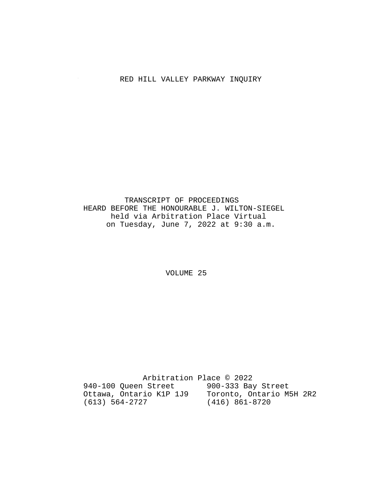# RED HILL VALLEY PARKWAY INQUIRY

 TRANSCRIPT OF PROCEEDINGS HEARD BEFORE THE HONOURABLE J. WILTON-SIEGEL held via Arbitration Place Virtual on Tuesday, June 7, 2022 at 9:30 a.m.

VOLUME 25

 Arbitration Place © 2022 940-100 Queen Street 900-333 Bay Street Ottawa, Ontario K1P 1J9 Toronto, Ontario M5H 2R2 (613) 564-2727 (416) 861-8720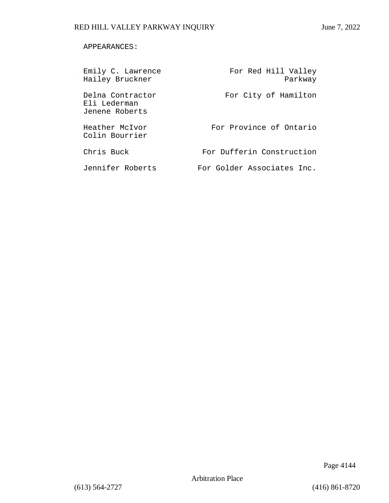### APPEARANCES:

| Emily C. Lawrence<br>Hailey Bruckner               | For Red Hill Valley<br>Parkway |
|----------------------------------------------------|--------------------------------|
| Delna Contractor<br>Eli Lederman<br>Jenene Roberts | For City of Hamilton           |
| Heather McIvor<br>Colin Bourrier                   | For Province of Ontario        |
| Chris Buck                                         | For Dufferin Construction      |
| Jennifer Roberts                                   | For Golder Associates Inc.     |

Page 4144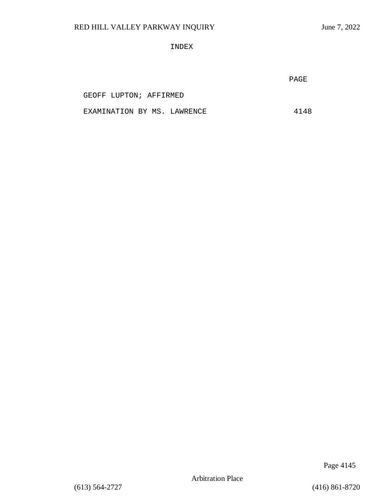INDEX

PAGE

GEOFF LUPTON; AFFIRMED

 $\sim$ 

EXAMINATION BY MS. LAWRENCE 4148

Page 4145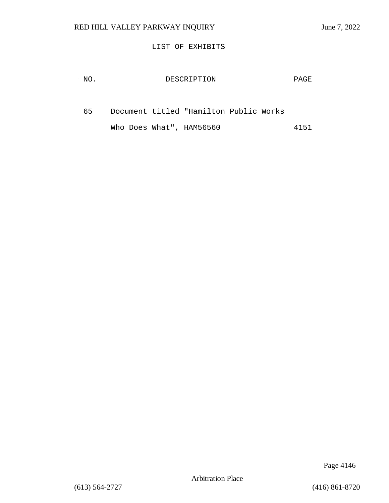### LIST OF EXHIBITS

| NO. | DESCRIPTION                            | PAGE |
|-----|----------------------------------------|------|
| 65. | Document titled "Hamilton Public Works |      |
|     | Who Does What", HAM56560               | 4151 |

Page 4146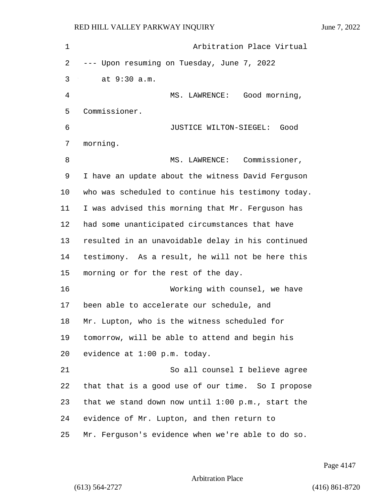| 1  | Arbitration Place Virtual                           |
|----|-----------------------------------------------------|
| 2  | --- Upon resuming on Tuesday, June 7, 2022          |
| 3  | at 9:30 a.m.                                        |
| 4  | MS. LAWRENCE: Good morning,                         |
| 5  | Commissioner.                                       |
| 6  | JUSTICE WILTON-SIEGEL:<br>Good                      |
| 7  | morning.                                            |
| 8  | MS. LAWRENCE: Commissioner,                         |
| 9  | I have an update about the witness David Ferguson   |
| 10 | who was scheduled to continue his testimony today.  |
| 11 | I was advised this morning that Mr. Ferguson has    |
| 12 | had some unanticipated circumstances that have      |
| 13 | resulted in an unavoidable delay in his continued   |
| 14 | testimony. As a result, he will not be here this    |
| 15 | morning or for the rest of the day.                 |
| 16 | Working with counsel, we have                       |
| 17 | been able to accelerate our schedule, and           |
| 18 | Mr. Lupton, who is the witness scheduled for        |
| 19 | tomorrow, will be able to attend and begin his      |
| 20 | evidence at 1:00 p.m. today.                        |
| 21 | So all counsel I believe agree                      |
| 22 | that that is a good use of our time. So I propose   |
| 23 | that we stand down now until $1:00$ p.m., start the |
| 24 | evidence of Mr. Lupton, and then return to          |
| 25 | Mr. Ferguson's evidence when we're able to do so.   |

Page 4147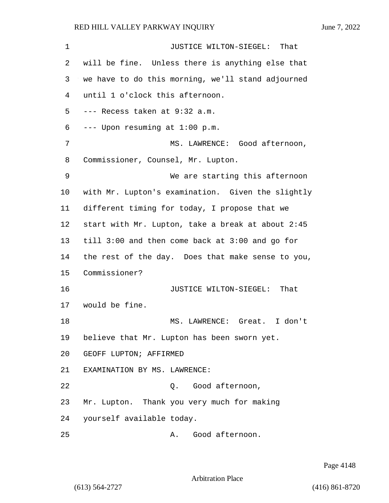1 JUSTICE WILTON-SIEGEL: That will be fine. Unless there is anything else that we have to do this morning, we'll stand adjourned until 1 o'clock this afternoon. --- Recess taken at 9:32 a.m. --- Upon resuming at 1:00 p.m. 7 MS. LAWRENCE: Good afternoon, Commissioner, Counsel, Mr. Lupton. 9 We are starting this afternoon with Mr. Lupton's examination. Given the slightly different timing for today, I propose that we start with Mr. Lupton, take a break at about 2:45 till 3:00 and then come back at 3:00 and go for the rest of the day. Does that make sense to you, Commissioner? **JUSTICE WILTON-SIEGEL:** That would be fine. 18 MS. LAWRENCE: Great. I don't believe that Mr. Lupton has been sworn yet. GEOFF LUPTON; AFFIRMED EXAMINATION BY MS. LAWRENCE: 22 Q. Good afternoon, Mr. Lupton. Thank you very much for making yourself available today. 25 A. Good afternoon.

Page 4148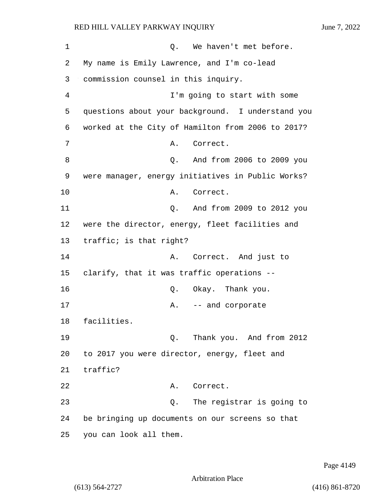| 1  | Q. We haven't met before.                         |
|----|---------------------------------------------------|
| 2  | My name is Emily Lawrence, and I'm co-lead        |
| 3  | commission counsel in this inquiry.               |
| 4  | I'm going to start with some                      |
| 5  | questions about your background. I understand you |
| 6  | worked at the City of Hamilton from 2006 to 2017? |
| 7  | Correct.<br>Α.                                    |
| 8  | And from 2006 to 2009 you<br>Q.                   |
| 9  | were manager, energy initiatives in Public Works? |
| 10 | Correct.<br>Α.                                    |
| 11 | And from 2009 to 2012 you<br>Q.                   |
| 12 | were the director, energy, fleet facilities and   |
| 13 | traffic; is that right?                           |
| 14 | Correct. And just to<br>Α.                        |
| 15 | clarify, that it was traffic operations --        |
| 16 | Q. Okay. Thank you.                               |
| 17 | -- and corporate<br>Α.                            |
| 18 | facilities.                                       |
| 19 | Thank you. And from 2012<br>Ο.                    |
| 20 | to 2017 you were director, energy, fleet and      |
| 21 | traffic?                                          |
| 22 | Correct.<br>Α.                                    |
| 23 | The registrar is going to<br>Q.                   |
| 24 | be bringing up documents on our screens so that   |
| 25 | you can look all them.                            |

Page 4149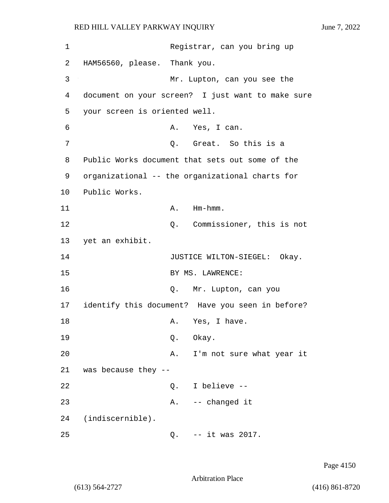1 Registrar, can you bring up 2 HAM56560, please. Thank you. 3 Mr. Lupton, can you see the 4 document on your screen? I just want to make sure 5 your screen is oriented well. 6 A. Yes, I can. 7 C. Great. So this is a 8 Public Works document that sets out some of the 9 organizational -- the organizational charts for 10 Public Works. 11 A. Hm-hmm. 12 Q. Commissioner, this is not 13 yet an exhibit. 14 JUSTICE WILTON-SIEGEL: Okay. 15 BY MS. LAWRENCE: 16 Q. Mr. Lupton, can you 17 identify this document? Have you seen in before? 18 A. Yes, I have. 19 Q. Okay. 20 A. I'm not sure what year it 21 was because they -- 22 Q. I believe -- 23 A. -- changed it 24 (indiscernible). 25 Q. -- it was 2017.

Page 4150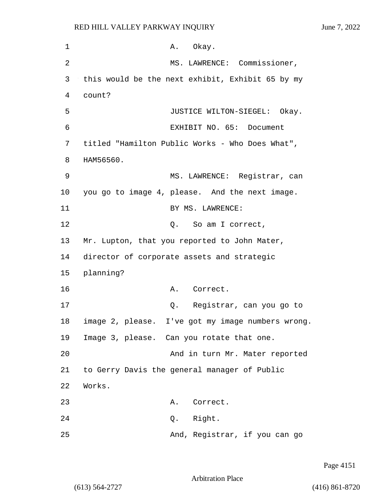1 A. Okay. 2 MS. LAWRENCE: Commissioner, 3 this would be the next exhibit, Exhibit 65 by my 4 count? 5 JUSTICE WILTON-SIEGEL: Okay. 6 EXHIBIT NO. 65: Document 7 titled "Hamilton Public Works - Who Does What", 8 HAM56560. 9 MS. LAWRENCE: Registrar, can 10 you go to image 4, please. And the next image. 11 BY MS. LAWRENCE: 12 O. So am I correct, 13 Mr. Lupton, that you reported to John Mater, 14 director of corporate assets and strategic 15 planning? 16 A. Correct. 17 Q. Registrar, can you go to 18 image 2, please. I've got my image numbers wrong. 19 Image 3, please. Can you rotate that one. 20 And in turn Mr. Mater reported 21 to Gerry Davis the general manager of Public 22 Works. 23 A. Correct. 24 Q. Right. 25 And, Registrar, if you can go

Page 4151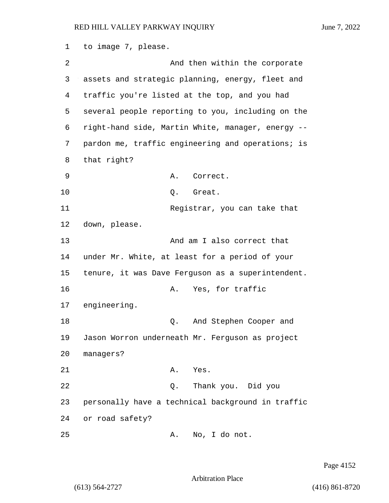1 to image 7, please. 2 And then within the corporate 3 assets and strategic planning, energy, fleet and 4 traffic you're listed at the top, and you had 5 several people reporting to you, including on the 6 right-hand side, Martin White, manager, energy -- 7 pardon me, traffic engineering and operations; is 8 that right? 9 A. Correct. 10 Q. Great. 11 Registrar, you can take that 12 down, please. 13 And am I also correct that 14 under Mr. White, at least for a period of your 15 tenure, it was Dave Ferguson as a superintendent. 16 A. Yes, for traffic 17 engineering. 18 C. And Stephen Cooper and 19 Jason Worron underneath Mr. Ferguson as project 20 managers? 21 A. Yes. 22 Q. Thank you. Did you 23 personally have a technical background in traffic 24 or road safety? 25 A. No, I do not.

Page 4152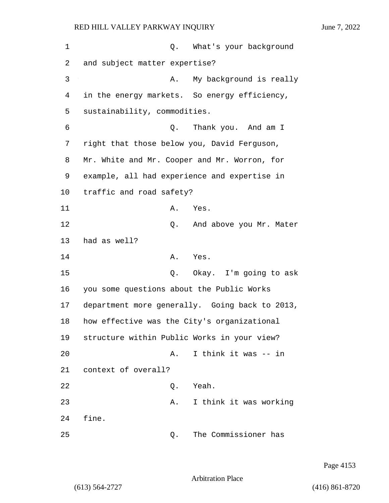1 Q. What's your background 2 and subject matter expertise? 3 A. My background is really 4 in the energy markets. So energy efficiency, 5 sustainability, commodities. 6 Q. Thank you. And am I 7 right that those below you, David Ferguson, 8 Mr. White and Mr. Cooper and Mr. Worron, for 9 example, all had experience and expertise in 10 traffic and road safety? 11 A. Yes. 12 Q. And above you Mr. Mater 13 had as well? 14 A. Yes. 15 Q. Okay. I'm going to ask 16 you some questions about the Public Works 17 department more generally. Going back to 2013, 18 how effective was the City's organizational 19 structure within Public Works in your view? 20 A. I think it was -- in 21 context of overall? 22 Q. Yeah. 23 A. I think it was working 24 fine. 25 Q. The Commissioner has

Page 4153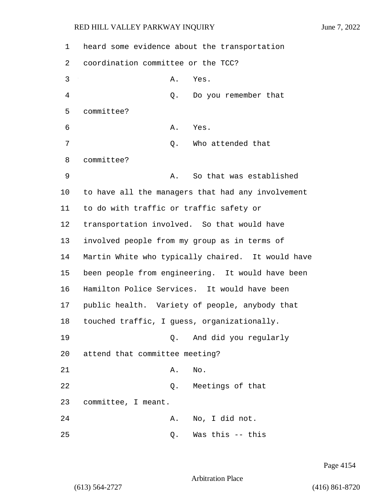1 heard some evidence about the transportation 2 coordination committee or the TCC? 3 A. Yes. 4 Q. Do you remember that 5 committee? 6 A. Yes. 7 Q. Who attended that 8 committee? 9 A. So that was established 10 to have all the managers that had any involvement 11 to do with traffic or traffic safety or 12 transportation involved. So that would have 13 involved people from my group as in terms of 14 Martin White who typically chaired. It would have 15 been people from engineering. It would have been 16 Hamilton Police Services. It would have been 17 public health. Variety of people, anybody that 18 touched traffic, I guess, organizationally. 19 Q. And did you regularly 20 attend that committee meeting? 21 A. No. 22 Q. Meetings of that 23 committee, I meant. 24 A. No, I did not. 25 Q. Was this -- this

Page 4154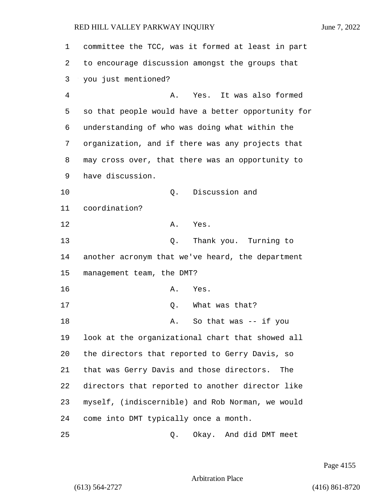| 1  | committee the TCC, was it formed at least in part  |
|----|----------------------------------------------------|
| 2  | to encourage discussion amongst the groups that    |
| 3  | you just mentioned?                                |
| 4  | Yes. It was also formed<br>Α.                      |
| 5  | so that people would have a better opportunity for |
| 6  | understanding of who was doing what within the     |
| 7  | organization, and if there was any projects that   |
| 8  | may cross over, that there was an opportunity to   |
| 9  | have discussion.                                   |
| 10 | Discussion and<br>Q.                               |
| 11 | coordination?                                      |
| 12 | Yes.<br>Α.                                         |
| 13 | Thank you. Turning to<br>Q.                        |
| 14 | another acronym that we've heard, the department   |
| 15 | management team, the DMT?                          |
| 16 | Α.<br>Yes.                                         |
| 17 | What was that?<br>Q.                               |
| 18 | So that was $--$ if you<br>Α.                      |
| 19 | look at the organizational chart that showed all   |
| 20 | the directors that reported to Gerry Davis, so     |
| 21 | that was Gerry Davis and those directors.<br>The   |
| 22 | directors that reported to another director like   |
| 23 | myself, (indiscernible) and Rob Norman, we would   |
| 24 | come into DMT typically once a month.              |
| 25 | Okay. And did DMT meet<br>Q.                       |

Page 4155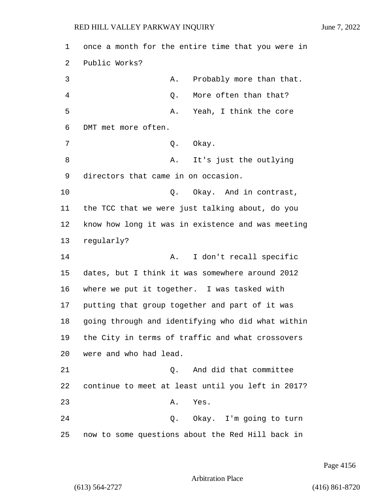1 once a month for the entire time that you were in 2 Public Works? 3 A. Probably more than that. 4 C. More often than that? 5 A. Yeah, I think the core 6 DMT met more often. 7 O. Okay. 8 A. It's just the outlying 9 directors that came in on occasion. 10 Q. Okay. And in contrast, 11 the TCC that we were just talking about, do you 12 know how long it was in existence and was meeting 13 regularly? 14 A. I don't recall specific 15 dates, but I think it was somewhere around 2012 16 where we put it together. I was tasked with 17 putting that group together and part of it was 18 going through and identifying who did what within 19 the City in terms of traffic and what crossovers 20 were and who had lead. 21 Q. And did that committee 22 continue to meet at least until you left in 2017? 23 A. Yes. 24 Q. Okay. I'm going to turn

25 now to some questions about the Red Hill back in

Page 4156

Arbitration Place

(613) 564-2727 (416) 861-8720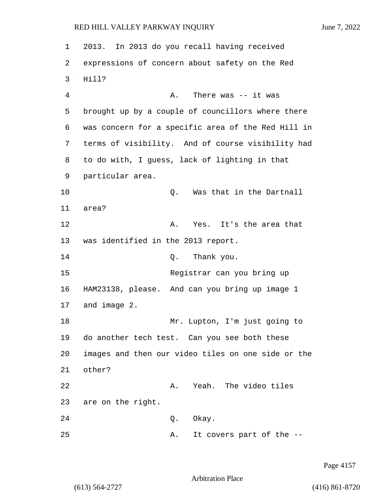| 1  | 2013. In 2013 do you recall having received        |
|----|----------------------------------------------------|
| 2  | expressions of concern about safety on the Red     |
| 3  | Hill?                                              |
| 4  | There was $--$ it was<br>Α.                        |
| 5  | brought up by a couple of councillors where there  |
| 6  | was concern for a specific area of the Red Hill in |
| 7  | terms of visibility. And of course visibility had  |
| 8  | to do with, I guess, lack of lighting in that      |
| 9  | particular area.                                   |
| 10 | Was that in the Dartnall<br>Q.                     |
| 11 | area?                                              |
| 12 | Yes. It's the area that<br>Α.                      |
| 13 | was identified in the 2013 report.                 |
| 14 | Thank you.<br>Q.                                   |
| 15 | Registrar can you bring up                         |
| 16 | HAM23138, please. And can you bring up image 1     |
| 17 | and image 2.                                       |
| 18 | Mr. Lupton, I'm just going to                      |
| 19 | do another tech test. Can you see both these       |
| 20 | images and then our video tiles on one side or the |
| 21 | other?                                             |
| 22 | Yeah. The video tiles<br>Α.                        |
| 23 | are on the right.                                  |
| 24 | Okay.<br>Q.                                        |
| 25 | It covers part of the --<br>Α.                     |

Page 4157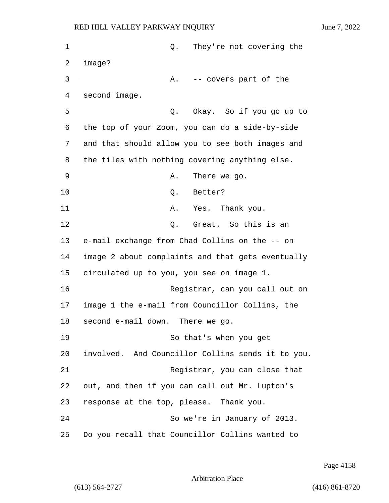1 Q. They're not covering the 2 image? 3 A. -- covers part of the 4 second image. 5 Q. Okay. So if you go up to 6 the top of your Zoom, you can do a side-by-side 7 and that should allow you to see both images and 8 the tiles with nothing covering anything else. 9 A. There we go. 10 Q. Better? 11 A. Yes. Thank you. 12 C. Great. So this is an 13 e-mail exchange from Chad Collins on the -- on 14 image 2 about complaints and that gets eventually 15 circulated up to you, you see on image 1. 16 Registrar, can you call out on 17 image 1 the e-mail from Councillor Collins, the

18 second e-mail down. There we go.

19 So that's when you get 20 involved. And Councillor Collins sends it to you. 21 Registrar, you can close that 22 out, and then if you can call out Mr. Lupton's 23 response at the top, please. Thank you. 24 So we're in January of 2013. 25 Do you recall that Councillor Collins wanted to

Page 4158

Arbitration Place

(613) 564-2727 (416) 861-8720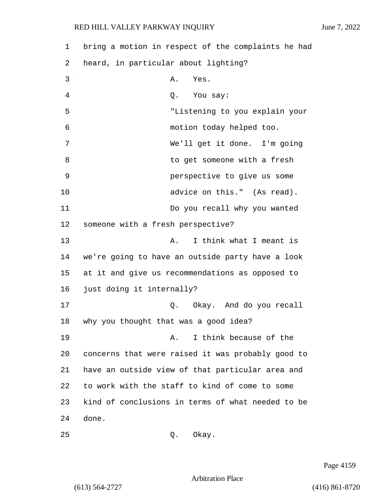| $\mathbf 1$ | bring a motion in respect of the complaints he had |
|-------------|----------------------------------------------------|
| 2           | heard, in particular about lighting?               |
| 3           | Yes.<br>Α.                                         |
| 4           | Q. You say:                                        |
| 5           | "Listening to you explain your                     |
| 6           | motion today helped too.                           |
| 7           | We'll get it done. I'm going                       |
| 8           | to get someone with a fresh                        |
| 9           | perspective to give us some                        |
| 10          | advice on this." (As read).                        |
| 11          | Do you recall why you wanted                       |
| 12          | someone with a fresh perspective?                  |
| 13          | I think what I meant is<br>Α.                      |
| 14          | we're going to have an outside party have a look   |
| 15          | at it and give us recommendations as opposed to    |
| 16          | just doing it internally?                          |
| 17          | Okay. And do you recall<br>Q.                      |
| 18          | why you thought that was a good idea?              |
| 19          | I think because of the<br>Α.                       |
| 20          | concerns that were raised it was probably good to  |
| 21          | have an outside view of that particular area and   |
| 22          | to work with the staff to kind of come to some     |
| 23          | kind of conclusions in terms of what needed to be  |
| 24          | done.                                              |

25 Q. Okay.

Page 4159

Arbitration Place

(613) 564-2727 (416) 861-8720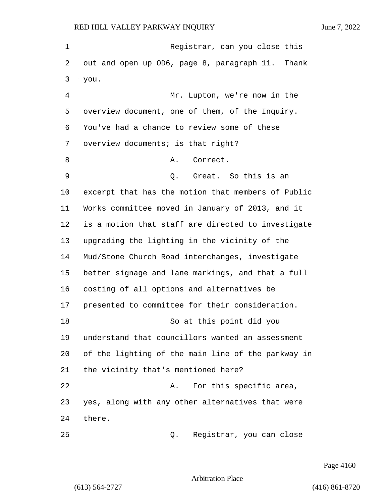1 Registrar, can you close this out and open up OD6, page 8, paragraph 11. Thank you. 4 Mr. Lupton, we're now in the overview document, one of them, of the Inquiry. You've had a chance to review some of these overview documents; is that right? 8 A. Correct. 9 Q. Great. So this is an excerpt that has the motion that members of Public Works committee moved in January of 2013, and it is a motion that staff are directed to investigate upgrading the lighting in the vicinity of the Mud/Stone Church Road interchanges, investigate better signage and lane markings, and that a full costing of all options and alternatives be presented to committee for their consideration. 18 So at this point did you understand that councillors wanted an assessment of the lighting of the main line of the parkway in the vicinity that's mentioned here? 22 A. For this specific area, yes, along with any other alternatives that were there. 25 Q. Registrar, you can close

Page 4160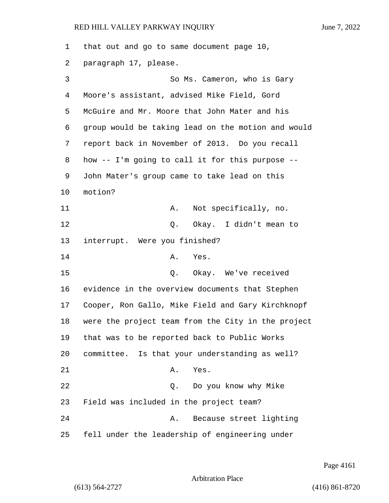that out and go to same document page 10, paragraph 17, please. 3 So Ms. Cameron, who is Gary Moore's assistant, advised Mike Field, Gord McGuire and Mr. Moore that John Mater and his group would be taking lead on the motion and would report back in November of 2013. Do you recall how -- I'm going to call it for this purpose -- John Mater's group came to take lead on this 10 motion? 11 A. Not specifically, no. 12 O. Okay. I didn't mean to interrupt. Were you finished? 14 A. Yes. 15 Q. Okay. We've received evidence in the overview documents that Stephen Cooper, Ron Gallo, Mike Field and Gary Kirchknopf were the project team from the City in the project that was to be reported back to Public Works committee. Is that your understanding as well? 21 A. Yes. 22 Q. Do you know why Mike Field was included in the project team? 24 A. Because street lighting fell under the leadership of engineering under

Page 4161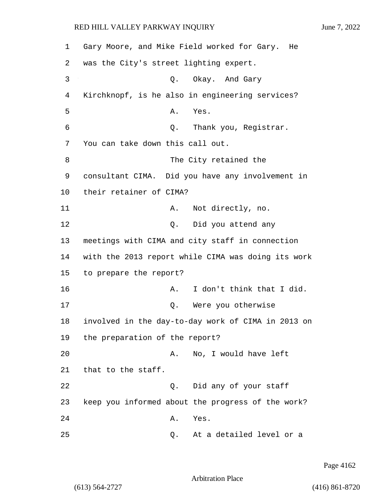1 Gary Moore, and Mike Field worked for Gary. He 2 was the City's street lighting expert. 3 Q. Okay. And Gary 4 Kirchknopf, is he also in engineering services? 5 A. Yes. 6 Q. Thank you, Registrar. 7 You can take down this call out. 8 The City retained the 9 consultant CIMA. Did you have any involvement in 10 their retainer of CIMA? 11 A. Not directly, no. 12 Q. Did you attend any 13 meetings with CIMA and city staff in connection 14 with the 2013 report while CIMA was doing its work 15 to prepare the report? 16 **A.** I don't think that I did. 17 Q. Were you otherwise 18 involved in the day-to-day work of CIMA in 2013 on 19 the preparation of the report? 20 A. No, I would have left 21 that to the staff. 22 Q. Did any of your staff 23 keep you informed about the progress of the work? 24 A. Yes. 25 Q. At a detailed level or a

Page 4162

Arbitration Place

(613) 564-2727 (416) 861-8720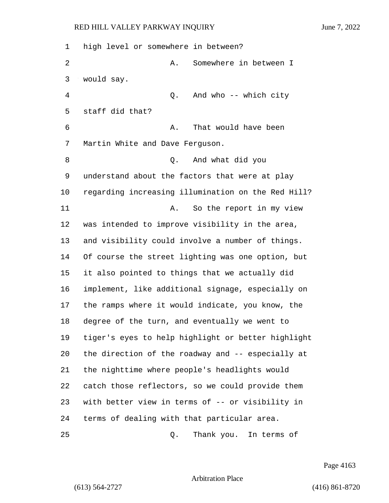| $\mathbf 1$ | high level or somewhere in between?                |
|-------------|----------------------------------------------------|
| 2           | Somewhere in between I<br>Α.                       |
| 3           | would say.                                         |
| 4           | And who -- which city<br>Q.                        |
| 5           | staff did that?                                    |
| 6           | That would have been<br>Α.                         |
| 7           | Martin White and Dave Ferguson.                    |
| 8           | And what did you<br>Q.                             |
| 9           | understand about the factors that were at play     |
| 10          | regarding increasing illumination on the Red Hill? |
| 11          | So the report in my view<br>Α.                     |
| 12          | was intended to improve visibility in the area,    |
| 13          | and visibility could involve a number of things.   |
| 14          | Of course the street lighting was one option, but  |
| 15          | it also pointed to things that we actually did     |
| 16          | implement, like additional signage, especially on  |
| 17          | the ramps where it would indicate, you know, the   |
| 18          | degree of the turn, and eventually we went to      |
| 19          | tiger's eyes to help highlight or better highlight |
| 20          | the direction of the roadway and -- especially at  |
| 21          | the nighttime where people's headlights would      |
| 22          | catch those reflectors, so we could provide them   |
| 23          | with better view in terms of -- or visibility in   |
| 24          | terms of dealing with that particular area.        |
| 25          | Thank you. In terms of<br>Q.                       |

Page 4163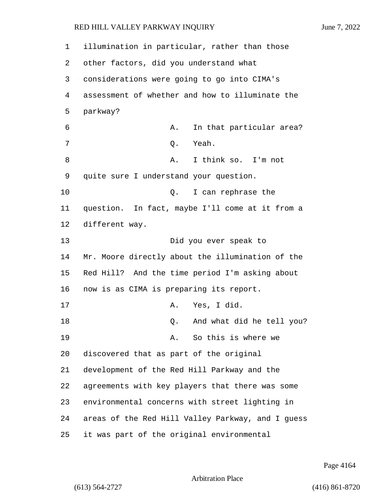| 1    | illumination in particular, rather than those     |
|------|---------------------------------------------------|
| 2    | other factors, did you understand what            |
| 3    | considerations were going to go into CIMA's       |
| 4    | assessment of whether and how to illuminate the   |
| 5    | parkway?                                          |
| 6    | In that particular area?<br>Α.                    |
| 7    | Yeah.<br>Q.                                       |
| 8    | I think so. I'm not<br>Α.                         |
| 9    | quite sure I understand your question.            |
| 10   | I can rephrase the<br>Q.                          |
| 11   | question. In fact, maybe I'll come at it from a   |
| $12$ | different way.                                    |
| 13   | Did you ever speak to                             |
| 14   | Mr. Moore directly about the illumination of the  |
| 15   | Red Hill? And the time period I'm asking about    |
| 16   | now is as CIMA is preparing its report.           |
| 17   | Yes, I did.<br>Α.                                 |
| 18   | And what did he tell you?<br>Q.                   |
| 19   | So this is where we<br>Α.                         |
| 20   | discovered that as part of the original           |
| 21   | development of the Red Hill Parkway and the       |
| 22   | agreements with key players that there was some   |
| 23   | environmental concerns with street lighting in    |
| 24   | areas of the Red Hill Valley Parkway, and I guess |
| 25   | it was part of the original environmental         |

Page 4164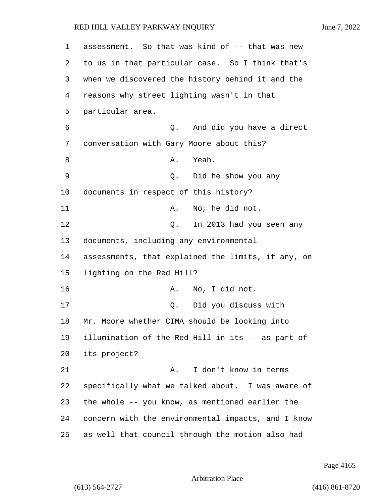| 1  | assessment. So that was kind of -- that was new    |
|----|----------------------------------------------------|
| 2  | to us in that particular case. So I think that's   |
| 3  | when we discovered the history behind it and the   |
| 4  | reasons why street lighting wasn't in that         |
| 5  | particular area.                                   |
| 6  | And did you have a direct<br>Q.                    |
| 7  | conversation with Gary Moore about this?           |
| 8  | Yeah.<br>Α.                                        |
| 9  | Did he show you any<br>Q.                          |
| 10 | documents in respect of this history?              |
| 11 | No, he did not.<br>Α.                              |
| 12 | In 2013 had you seen any<br>Q.                     |
| 13 | documents, including any environmental             |
| 14 | assessments, that explained the limits, if any, on |
| 15 | lighting on the Red Hill?                          |
| 16 | No, I did not.<br>Α.                               |
| 17 | Did you discuss with<br>Q.                         |
| 18 | Mr. Moore whether CIMA should be looking into      |
| 19 | illumination of the Red Hill in its -- as part of  |
| 20 | its project?                                       |
| 21 | I don't know in terms<br>Α.                        |
| 22 | specifically what we talked about. I was aware of  |
| 23 | the whole -- you know, as mentioned earlier the    |
| 24 | concern with the environmental impacts, and I know |
| 25 | as well that council through the motion also had   |

Page 4165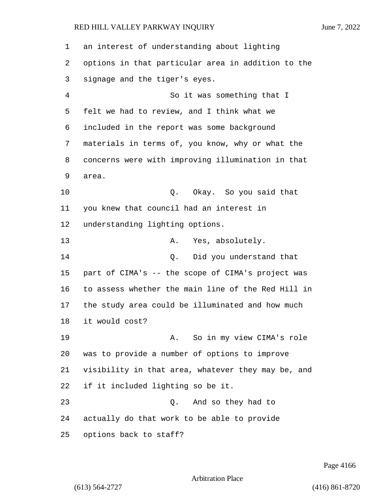an interest of understanding about lighting options in that particular area in addition to the signage and the tiger's eyes. 4 So it was something that I felt we had to review, and I think what we included in the report was some background materials in terms of, you know, why or what the concerns were with improving illumination in that area. 10 Q. Okay. So you said that you knew that council had an interest in understanding lighting options. 13 A. Yes, absolutely. 14 Q. Did you understand that part of CIMA's -- the scope of CIMA's project was to assess whether the main line of the Red Hill in the study area could be illuminated and how much it would cost? 19 A. So in my view CIMA's role was to provide a number of options to improve visibility in that area, whatever they may be, and if it included lighting so be it. 23 Q. And so they had to actually do that work to be able to provide options back to staff?

Page 4166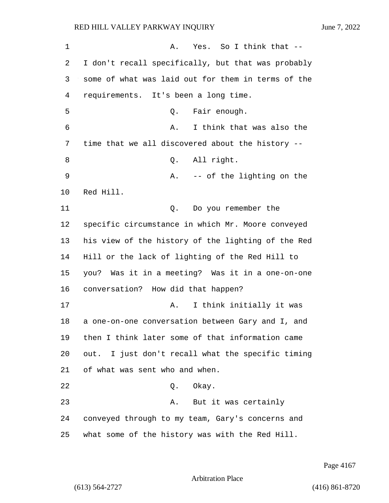| $\mathbf 1$ | Yes. So I think that --<br>Α.                      |
|-------------|----------------------------------------------------|
| 2           | I don't recall specifically, but that was probably |
| 3           | some of what was laid out for them in terms of the |
| 4           | requirements. It's been a long time.               |
| 5           | Q. Fair enough.                                    |
| 6           | I think that was also the<br>Α.                    |
| 7           | time that we all discovered about the history --   |
| 8           | All right.<br>Q.                                   |
| 9           | -- of the lighting on the<br>Α.                    |
| 10          | Red Hill.                                          |
| 11          | Do you remember the<br>Q.                          |
| 12          | specific circumstance in which Mr. Moore conveyed  |
| 13          | his view of the history of the lighting of the Red |
| 14          | Hill or the lack of lighting of the Red Hill to    |
| 15          | you? Was it in a meeting? Was it in a one-on-one   |
| 16          | conversation? How did that happen?                 |
| 17          | I think initially it was<br>Α.                     |
| 18          | a one-on-one conversation between Gary and I, and  |
| 19          | then I think later some of that information came   |
| 20          | out. I just don't recall what the specific timing  |
| 21          | of what was sent who and when.                     |
| 22          | Q. Okay.                                           |
| 23          | A. But it was certainly                            |
| 24          | conveyed through to my team, Gary's concerns and   |
| 25          | what some of the history was with the Red Hill.    |

Page 4167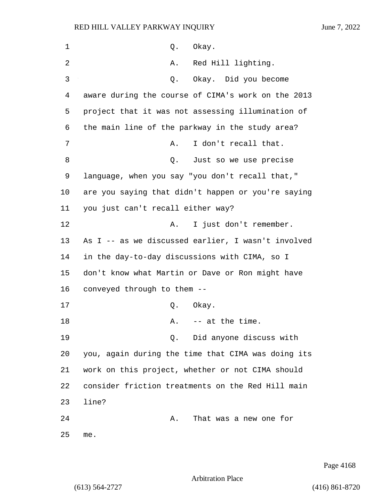| 1  | Okay.<br>Q.                                        |
|----|----------------------------------------------------|
| 2  | Red Hill lighting.<br>Α.                           |
| 3  | Okay. Did you become<br>Q.                         |
| 4  | aware during the course of CIMA's work on the 2013 |
| 5  | project that it was not assessing illumination of  |
| 6  | the main line of the parkway in the study area?    |
| 7  | I don't recall that.<br>Α.                         |
| 8  | Just so we use precise<br>Q.                       |
| 9  | language, when you say "you don't recall that,"    |
| 10 | are you saying that didn't happen or you're saying |
| 11 | you just can't recall either way?                  |
| 12 | I just don't remember.<br>Α.                       |
| 13 | As I -- as we discussed earlier, I wasn't involved |
| 14 | in the day-to-day discussions with CIMA, so I      |
| 15 | don't know what Martin or Dave or Ron might have   |
| 16 | conveyed through to them --                        |
| 17 | Q.<br>Okay.                                        |
| 18 | -- at the time.<br>Α.                              |
| 19 | Did anyone discuss with<br>О.                      |
| 20 | you, again during the time that CIMA was doing its |
| 21 | work on this project, whether or not CIMA should   |
| 22 | consider friction treatments on the Red Hill main  |
| 23 | line?                                              |
| 24 | That was a new one for<br>Α.                       |
| 25 | me.                                                |

Page 4168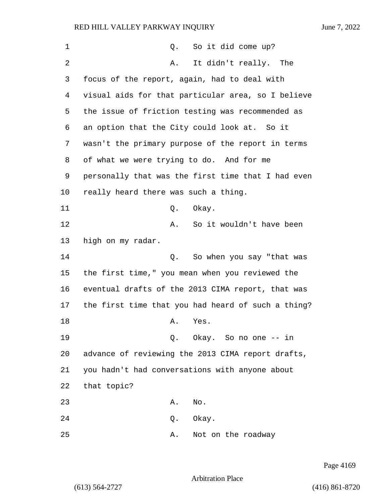| $\mathbf 1$ | So it did come up?<br>Q.                           |
|-------------|----------------------------------------------------|
| 2           | It didn't really. The<br>Α.                        |
| 3           | focus of the report, again, had to deal with       |
| 4           | visual aids for that particular area, so I believe |
| 5           | the issue of friction testing was recommended as   |
| 6           | an option that the City could look at. So it       |
| 7           | wasn't the primary purpose of the report in terms  |
| 8           | of what we were trying to do. And for me           |
| 9           | personally that was the first time that I had even |
| 10          | really heard there was such a thing.               |
| 11          | Okay.<br>Q.                                        |
| 12          | So it wouldn't have been<br>Α.                     |
| 13          | high on my radar.                                  |
| 14          | So when you say "that was<br>Q.                    |
| 15          | the first time," you mean when you reviewed the    |
| 16          | eventual drafts of the 2013 CIMA report, that was  |
| 17          | the first time that you had heard of such a thing? |
| 18          | Yes.<br>Α.                                         |
| 19          | Okay. So no one -- in<br>Q.                        |
| 20          | advance of reviewing the 2013 CIMA report drafts,  |
| 21          | you hadn't had conversations with anyone about     |
| 22          | that topic?                                        |
| 23          | Α.<br>No.                                          |
| 24          | Q. Okay.                                           |
| 25          | Not on the roadway<br>Α.                           |

Page 4169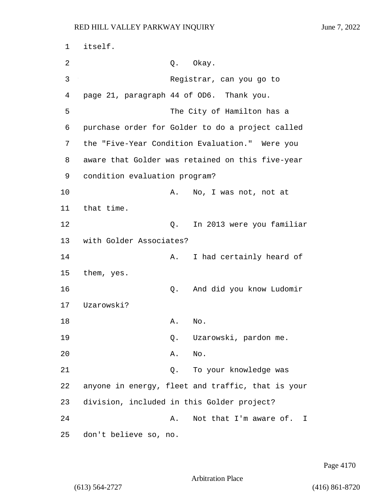1 itself. 2 Q. Okay. 3 Registrar, can you go to 4 page 21, paragraph 44 of OD6. Thank you. 5 The City of Hamilton has a 6 purchase order for Golder to do a project called 7 the "Five-Year Condition Evaluation." Were you 8 aware that Golder was retained on this five-year 9 condition evaluation program? 10 A. No, I was not, not at 11 that time. 12 Q. In 2013 were you familiar 13 with Golder Associates? 14 A. I had certainly heard of 15 them, yes. 16 Q. And did you know Ludomir 17 Uzarowski? 18 A. No. 19 Q. Uzarowski, pardon me. 20 A. No. 21 Q. To your knowledge was 22 anyone in energy, fleet and traffic, that is your 23 division, included in this Golder project? 24 A. Not that I'm aware of. I 25 don't believe so, no.

Page 4170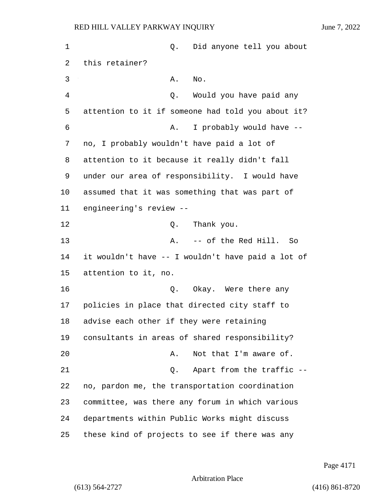| 1  | Q.                                         | Did anyone tell you about                         |
|----|--------------------------------------------|---------------------------------------------------|
| 2  | this retainer?                             |                                                   |
| 3  | Α.                                         | No.                                               |
| 4  | Q.                                         | Would you have paid any                           |
| 5  |                                            | attention to it if someone had told you about it? |
| 6  | Α.                                         | I probably would have --                          |
| 7  | no, I probably wouldn't have paid a lot of |                                                   |
| 8  |                                            | attention to it because it really didn't fall     |
| 9  |                                            | under our area of responsibility. I would have    |
| 10 |                                            | assumed that it was something that was part of    |
| 11 | engineering's review --                    |                                                   |
| 12 | Q.                                         | Thank you.                                        |
| 13 | Α.                                         | -- of the Red Hill.<br>So                         |
| 14 |                                            | it wouldn't have -- I wouldn't have paid a lot of |
| 15 | attention to it, no.                       |                                                   |
| 16 | Q.                                         | Okay. Were there any                              |
| 17 |                                            | policies in place that directed city staff to     |
| 18 | advise each other if they were retaining   |                                                   |
| 19 |                                            | consultants in areas of shared responsibility?    |
| 20 | Α.                                         | Not that I'm aware of.                            |
| 21 | Q.                                         | Apart from the traffic --                         |
| 22 |                                            | no, pardon me, the transportation coordination    |
| 23 |                                            | committee, was there any forum in which various   |
| 24 |                                            | departments within Public Works might discuss     |
| 25 |                                            | these kind of projects to see if there was any    |

Page 4171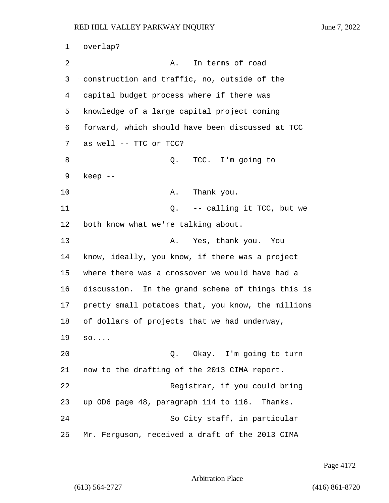1 overlap? 2 A. In terms of road 3 construction and traffic, no, outside of the 4 capital budget process where if there was 5 knowledge of a large capital project coming 6 forward, which should have been discussed at TCC 7 as well -- TTC or TCC? 8 a Q. TCC. I'm going to 9 keep -- 10 A. Thank you. 11 Q. -- calling it TCC, but we 12 both know what we're talking about. 13 A. Yes, thank you. You 14 know, ideally, you know, if there was a project 15 where there was a crossover we would have had a 16 discussion. In the grand scheme of things this is 17 pretty small potatoes that, you know, the millions 18 of dollars of projects that we had underway, 19 so.... 20 Q. Okay. I'm going to turn 21 now to the drafting of the 2013 CIMA report. 22 Registrar, if you could bring 23 up OD6 page 48, paragraph 114 to 116. Thanks. 24 So City staff, in particular 25 Mr. Ferguson, received a draft of the 2013 CIMA

Page 4172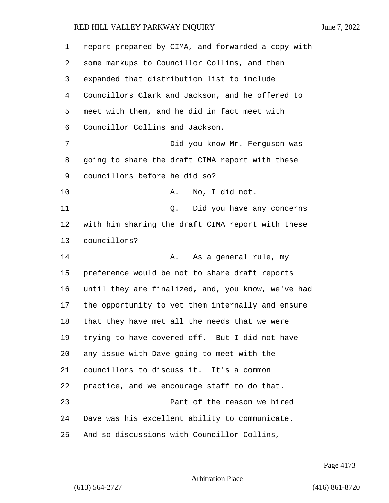report prepared by CIMA, and forwarded a copy with some markups to Councillor Collins, and then expanded that distribution list to include Councillors Clark and Jackson, and he offered to meet with them, and he did in fact meet with Councillor Collins and Jackson. 7 Did you know Mr. Ferguson was going to share the draft CIMA report with these councillors before he did so? 10 A. No, I did not. 11 Q. Did you have any concerns with him sharing the draft CIMA report with these councillors? 14 A. As a general rule, my preference would be not to share draft reports until they are finalized, and, you know, we've had the opportunity to vet them internally and ensure that they have met all the needs that we were trying to have covered off. But I did not have any issue with Dave going to meet with the councillors to discuss it. It's a common practice, and we encourage staff to do that. 23 Part of the reason we hired Dave was his excellent ability to communicate. And so discussions with Councillor Collins,

Page 4173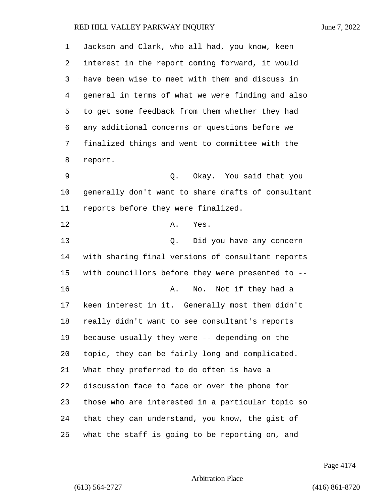| 1  | Jackson and Clark, who all had, you know, keen     |
|----|----------------------------------------------------|
| 2  | interest in the report coming forward, it would    |
| 3  | have been wise to meet with them and discuss in    |
| 4  | general in terms of what we were finding and also  |
| 5  | to get some feedback from them whether they had    |
| 6  | any additional concerns or questions before we     |
| 7  | finalized things and went to committee with the    |
| 8  | report.                                            |
| 9  | Okay. You said that you<br>Q.                      |
| 10 | generally don't want to share drafts of consultant |
| 11 | reports before they were finalized.                |
| 12 | Yes.<br>Α.                                         |
| 13 | Did you have any concern<br>Q.                     |
| 14 | with sharing final versions of consultant reports  |
| 15 | with councillors before they were presented to --  |
| 16 | Not if they had a<br>Α.<br>No.                     |
| 17 | keen interest in it. Generally most them didn't    |
| 18 | really didn't want to see consultant's reports     |
| 19 | because usually they were -- depending on the      |
| 20 | topic, they can be fairly long and complicated.    |
| 21 | What they preferred to do often is have a          |
| 22 | discussion face to face or over the phone for      |
| 23 | those who are interested in a particular topic so  |
| 24 | that they can understand, you know, the gist of    |
| 25 | what the staff is going to be reporting on, and    |

Page 4174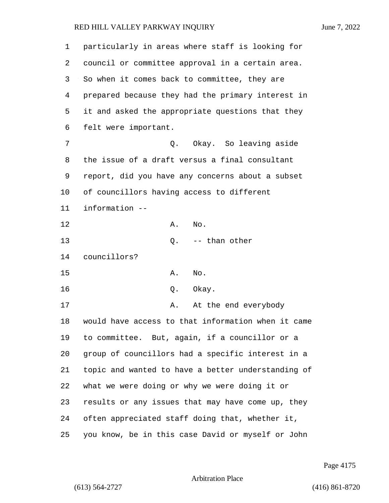| 1  | particularly in areas where staff is looking for   |
|----|----------------------------------------------------|
| 2  | council or committee approval in a certain area.   |
| 3  | So when it comes back to committee, they are       |
| 4  | prepared because they had the primary interest in  |
| 5  | it and asked the appropriate questions that they   |
| 6  | felt were important.                               |
| 7  | Q. Okay. So leaving aside                          |
| 8  | the issue of a draft versus a final consultant     |
| 9  | report, did you have any concerns about a subset   |
| 10 | of councillors having access to different          |
| 11 | information --                                     |
| 12 | No.<br>Α.                                          |
| 13 | $Q.$ -- than other                                 |
| 14 | councillors?                                       |
| 15 | Α.<br>No.                                          |
| 16 | Okay.<br>Q.                                        |
| 17 | At the end everybody<br>А.                         |
| 18 | would have access to that information when it came |
| 19 | to committee. But, again, if a councillor or a     |
| 20 | group of councillors had a specific interest in a  |
| 21 | topic and wanted to have a better understanding of |
| 22 | what we were doing or why we were doing it or      |
| 23 | results or any issues that may have come up, they  |
| 24 | often appreciated staff doing that, whether it,    |
| 25 | you know, be in this case David or myself or John  |

Page 4175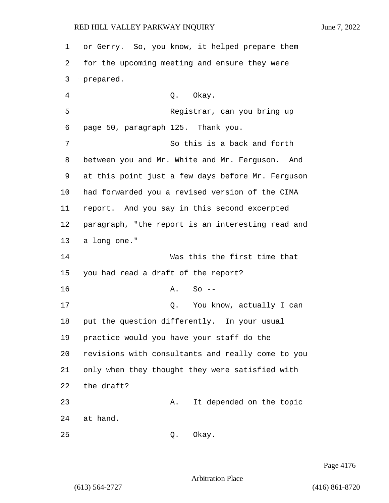or Gerry. So, you know, it helped prepare them for the upcoming meeting and ensure they were prepared. 4 Q. Okay. 5 Registrar, can you bring up page 50, paragraph 125. Thank you. 7 So this is a back and forth between you and Mr. White and Mr. Ferguson. And at this point just a few days before Mr. Ferguson had forwarded you a revised version of the CIMA report. And you say in this second excerpted paragraph, "the report is an interesting read and a long one." 14 Was this the first time that you had read a draft of the report? 16 A. So --17 and Q. You know, actually I can put the question differently. In your usual practice would you have your staff do the revisions with consultants and really come to you only when they thought they were satisfied with the draft? 23 A. It depended on the topic 24 at hand. 25 Q. Okay.

Page 4176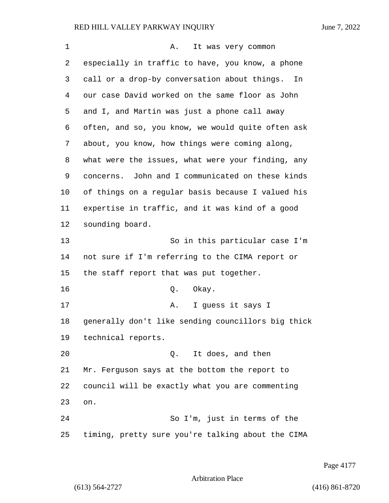| 1  | Α.<br>It was very common                           |
|----|----------------------------------------------------|
| 2  | especially in traffic to have, you know, a phone   |
| 3  | call or a drop-by conversation about things.<br>In |
| 4  | our case David worked on the same floor as John    |
| 5  | and I, and Martin was just a phone call away       |
| 6  | often, and so, you know, we would quite often ask  |
| 7  | about, you know, how things were coming along,     |
| 8  | what were the issues, what were your finding, any  |
| 9  | concerns. John and I communicated on these kinds   |
| 10 | of things on a regular basis because I valued his  |
| 11 | expertise in traffic, and it was kind of a good    |
| 12 | sounding board.                                    |
| 13 | So in this particular case I'm                     |
| 14 | not sure if I'm referring to the CIMA report or    |
| 15 | the staff report that was put together.            |
| 16 | Okay.<br>Q.                                        |
| 17 | I guess it says I<br>Α.                            |
| 18 | generally don't like sending councillors big thick |
| 19 | technical reports.                                 |
| 20 | Q. It does, and then                               |
| 21 | Mr. Ferguson says at the bottom the report to      |
| 22 | council will be exactly what you are commenting    |
| 23 | on.                                                |
| 24 | So I'm, just in terms of the                       |
| 25 | timing, pretty sure you're talking about the CIMA  |

Page 4177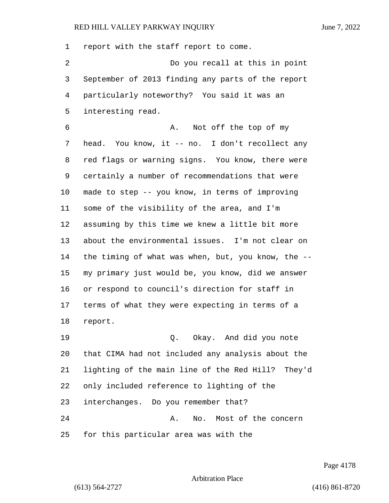report with the staff report to come. 2 Do you recall at this in point September of 2013 finding any parts of the report particularly noteworthy? You said it was an interesting read. 6 A. Not off the top of my head. You know, it -- no. I don't recollect any red flags or warning signs. You know, there were certainly a number of recommendations that were made to step -- you know, in terms of improving some of the visibility of the area, and I'm assuming by this time we knew a little bit more about the environmental issues. I'm not clear on the timing of what was when, but, you know, the -- my primary just would be, you know, did we answer or respond to council's direction for staff in terms of what they were expecting in terms of a report. 19 Q. Okay. And did you note that CIMA had not included any analysis about the lighting of the main line of the Red Hill? They'd only included reference to lighting of the interchanges. Do you remember that? 24 A. No. Most of the concern for this particular area was with the

Page 4178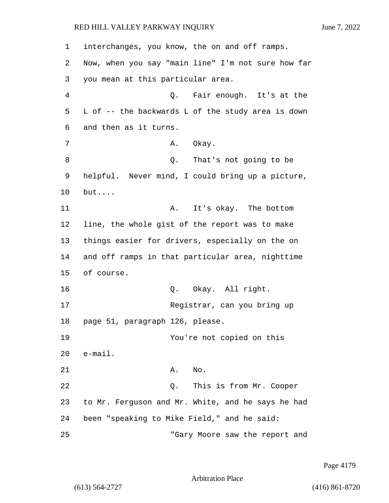1 interchanges, you know, the on and off ramps. 2 Now, when you say "main line" I'm not sure how far 3 you mean at this particular area. 4 Q. Fair enough. It's at the 5 L of -- the backwards L of the study area is down 6 and then as it turns. 7 A. Okay. 8 a Q. That's not going to be 9 helpful. Never mind, I could bring up a picture, 10 but.... 11 A. It's okay. The bottom 12 line, the whole gist of the report was to make 13 things easier for drivers, especially on the on 14 and off ramps in that particular area, nighttime 15 of course. 16 Q. Okay. All right. 17 Registrar, can you bring up 18 page 51, paragraph 126, please. 19 You're not copied on this 20 e-mail. 21 A. No. 22 Q. This is from Mr. Cooper 23 to Mr. Ferguson and Mr. White, and he says he had 24 been "speaking to Mike Field," and he said: 25 "Gary Moore saw the report and

Page 4179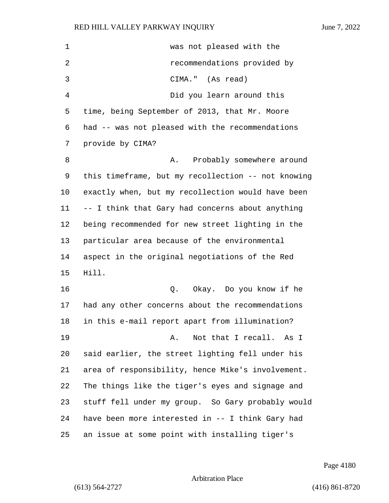1 was not pleased with the 2 recommendations provided by 3 CIMA." (As read) 4 Did you learn around this time, being September of 2013, that Mr. Moore had -- was not pleased with the recommendations provide by CIMA? 8 A. Probably somewhere around this timeframe, but my recollection -- not knowing exactly when, but my recollection would have been -- I think that Gary had concerns about anything being recommended for new street lighting in the particular area because of the environmental aspect in the original negotiations of the Red Hill. 16 Q. Okay. Do you know if he had any other concerns about the recommendations in this e-mail report apart from illumination? 19 A. Not that I recall. As I said earlier, the street lighting fell under his area of responsibility, hence Mike's involvement. The things like the tiger's eyes and signage and stuff fell under my group. So Gary probably would have been more interested in -- I think Gary had an issue at some point with installing tiger's

Page 4180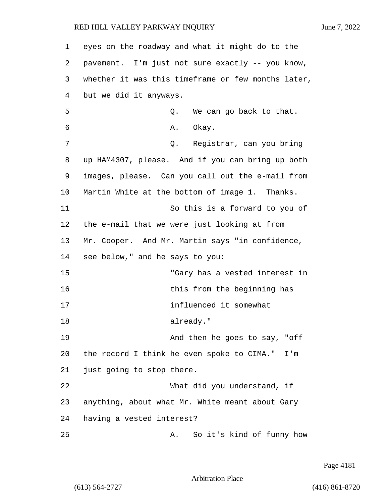1 eyes on the roadway and what it might do to the 2 pavement. I'm just not sure exactly -- you know, 3 whether it was this timeframe or few months later, 4 but we did it anyways. 5 Q. We can go back to that. 6 A. Okay. 7 Q. Registrar, can you bring 8 up HAM4307, please. And if you can bring up both 9 images, please. Can you call out the e-mail from 10 Martin White at the bottom of image 1. Thanks. 11 So this is a forward to you of 12 the e-mail that we were just looking at from 13 Mr. Cooper. And Mr. Martin says "in confidence, 14 see below," and he says to you: 15 "Gary has a vested interest in 16 this from the beginning has 17 influenced it somewhat 18 already." 19 And then he goes to say, "off 20 the record I think he even spoke to CIMA." I'm 21 just going to stop there. 22 What did you understand, if 23 anything, about what Mr. White meant about Gary 24 having a vested interest? 25 A. So it's kind of funny how

Page 4181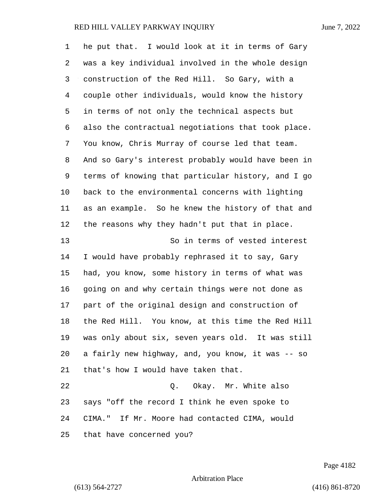| 1              | he put that. I would look at it in terms of Gary   |
|----------------|----------------------------------------------------|
| 2              | was a key individual involved in the whole design  |
| 3              | construction of the Red Hill. So Gary, with a      |
| $\overline{4}$ | couple other individuals, would know the history   |
| 5              | in terms of not only the technical aspects but     |
| 6              | also the contractual negotiations that took place. |
| 7              | You know, Chris Murray of course led that team.    |
| 8              | And so Gary's interest probably would have been in |
| 9              | terms of knowing that particular history, and I go |
| 10             | back to the environmental concerns with lighting   |
| 11             | as an example. So he knew the history of that and  |
| 12             | the reasons why they hadn't put that in place.     |
| 13             | So in terms of vested interest                     |
| 14             | I would have probably rephrased it to say, Gary    |
| 15             | had, you know, some history in terms of what was   |
| 16             | going on and why certain things were not done as   |
| 17             | part of the original design and construction of    |
| 18             | the Red Hill. You know, at this time the Red Hill  |
| 19             | was only about six, seven years old. It was still  |
| 20             | a fairly new highway, and, you know, it was -- so  |
| 21             | that's how I would have taken that.                |
| 22             | Q. Okay. Mr. White also                            |
| 23             | says "off the record I think he even spoke to      |
| 24             | CIMA." If Mr. Moore had contacted CIMA, would      |
| 25             | that have concerned you?                           |

Page 4182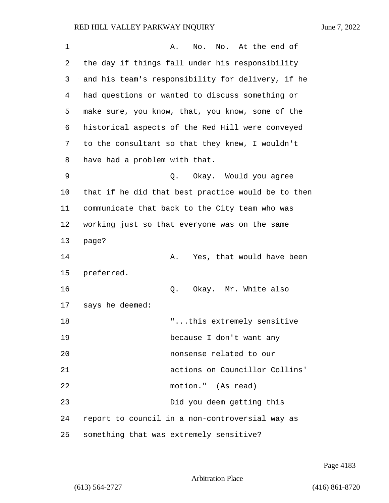| $\mathbf 1$ | No. At the end of<br>No.<br>Α.                     |
|-------------|----------------------------------------------------|
| 2           | the day if things fall under his responsibility    |
| 3           | and his team's responsibility for delivery, if he  |
| 4           | had questions or wanted to discuss something or    |
| 5           | make sure, you know, that, you know, some of the   |
| 6           | historical aspects of the Red Hill were conveyed   |
| 7           | to the consultant so that they knew, I wouldn't    |
| 8           | have had a problem with that.                      |
| 9           | Q.<br>Okay. Would you agree                        |
| $10 \,$     | that if he did that best practice would be to then |
| 11          | communicate that back to the City team who was     |
| 12          | working just so that everyone was on the same      |
| 13          | page?                                              |
| 14          | Yes, that would have been<br>Α.                    |
| 15          | preferred.                                         |
| 16          | Okay. Mr. White also<br>Q.                         |
| 17          | says he deemed:                                    |
| 18          | "this extremely sensitive                          |
| 19          | because I don't want any                           |
| 20          | nonsense related to our                            |
| 21          | actions on Councillor Collins'                     |
| 22          | motion." (As read)                                 |
| 23          | Did you deem getting this                          |
| 24          | report to council in a non-controversial way as    |
| 25          | something that was extremely sensitive?            |

Page 4183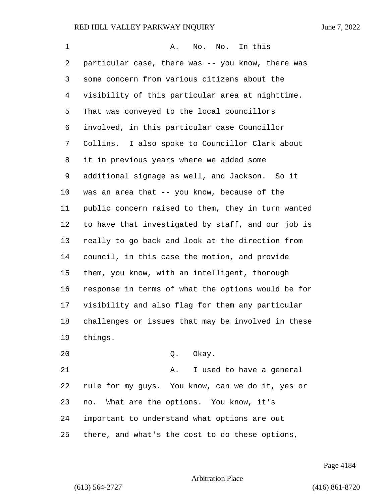| 1  | No. No. In this<br>Α.                              |
|----|----------------------------------------------------|
| 2  | particular case, there was -- you know, there was  |
| 3  | some concern from various citizens about the       |
| 4  | visibility of this particular area at nighttime.   |
| 5  | That was conveyed to the local councillors         |
| 6  | involved, in this particular case Councillor       |
| 7  | Collins. I also spoke to Councillor Clark about    |
| 8  | it in previous years where we added some           |
| 9  | additional signage as well, and Jackson. So it     |
| 10 | was an area that -- you know, because of the       |
| 11 | public concern raised to them, they in turn wanted |
| 12 | to have that investigated by staff, and our job is |
| 13 | really to go back and look at the direction from   |
| 14 | council, in this case the motion, and provide      |
| 15 | them, you know, with an intelligent, thorough      |
| 16 | response in terms of what the options would be for |
| 17 | visibility and also flag for them any particular   |
| 18 | challenges or issues that may be involved in these |
| 19 | things.                                            |
| 20 | Q. Okay.                                           |
| 21 | I used to have a general<br>Α.                     |
| 22 | rule for my guys. You know, can we do it, yes or   |

important to understand what options are out

no. What are the options. You know, it's

there, and what's the cost to do these options,

Page 4184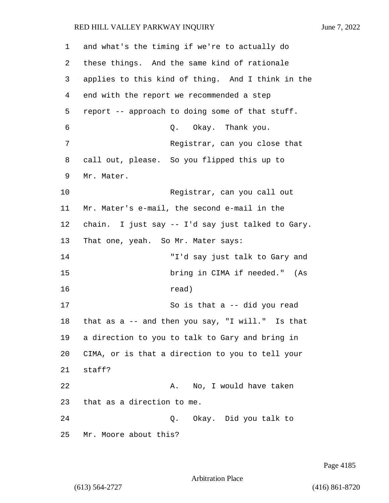1 and what's the timing if we're to actually do 2 these things. And the same kind of rationale 3 applies to this kind of thing. And I think in the 4 end with the report we recommended a step 5 report -- approach to doing some of that stuff. 6 Q. Okay. Thank you. 7 Registrar, can you close that 8 call out, please. So you flipped this up to 9 Mr. Mater. 10 Registrar, can you call out 11 Mr. Mater's e-mail, the second e-mail in the 12 chain. I just say -- I'd say just talked to Gary. 13 That one, yeah. So Mr. Mater says: 14 "I'd say just talk to Gary and 15 bring in CIMA if needed." (As 16 read) 17 So is that a -- did you read 18 that as a -- and then you say, "I will." Is that 19 a direction to you to talk to Gary and bring in 20 CIMA, or is that a direction to you to tell your 21 staff? 22 A. No, I would have taken 23 that as a direction to me. 24 Q. Okay. Did you talk to 25 Mr. Moore about this?

Page 4185

Arbitration Place

(613) 564-2727 (416) 861-8720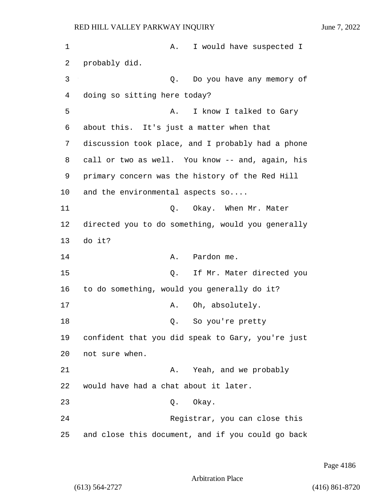1 A. I would have suspected I 2 probably did. 3 Q. Do you have any memory of 4 doing so sitting here today? 5 A. I know I talked to Gary 6 about this. It's just a matter when that 7 discussion took place, and I probably had a phone 8 call or two as well. You know -- and, again, his 9 primary concern was the history of the Red Hill 10 and the environmental aspects so.... 11 Q. Okay. When Mr. Mater 12 directed you to do something, would you generally 13 do it? 14 A. Pardon me. 15 Q. If Mr. Mater directed you 16 to do something, would you generally do it? 17 A. Oh, absolutely. 18 Q. So you're pretty 19 confident that you did speak to Gary, you're just 20 not sure when. 21 A. Yeah, and we probably 22 would have had a chat about it later. 23 Q. Okay. 24 Registrar, you can close this 25 and close this document, and if you could go back

Page 4186

```
Arbitration Place
```
(613) 564-2727 (416) 861-8720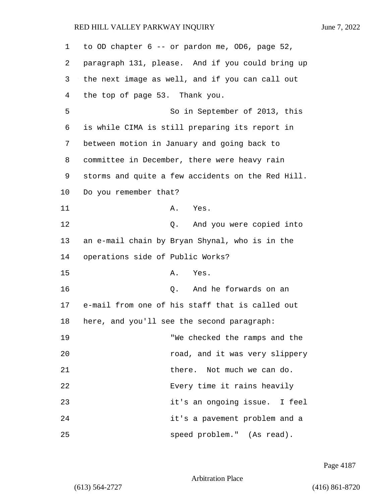| 1      | to OD chapter 6 -- or pardon me, OD6, page 52,    |
|--------|---------------------------------------------------|
| 2      | paragraph 131, please. And if you could bring up  |
| 3      | the next image as well, and if you can call out   |
| 4      | the top of page 53. Thank you.                    |
| 5      | So in September of 2013, this                     |
| 6      | is while CIMA is still preparing its report in    |
| 7      | between motion in January and going back to       |
| 8      | committee in December, there were heavy rain      |
| 9      | storms and quite a few accidents on the Red Hill. |
| 10     | Do you remember that?                             |
| 11     | Α.<br>Yes.                                        |
| 12     | And you were copied into<br>Q.                    |
| 13     | an e-mail chain by Bryan Shynal, who is in the    |
| 14     | operations side of Public Works?                  |
| 15     | Α.<br>Yes.                                        |
| 16     | And he forwards on an<br>Q.                       |
| 17     | e-mail from one of his staff that is called out   |
| $18\,$ | here, and you'll see the second paragraph:        |
| 19     | "We checked the ramps and the                     |
| 20     | road, and it was very slippery                    |
| 21     | there. Not much we can do.                        |
| 22     | Every time it rains heavily                       |
| 23     | it's an ongoing issue. I feel                     |
| 24     | it's a pavement problem and a                     |
| 25     | speed problem." (As read).                        |

Page 4187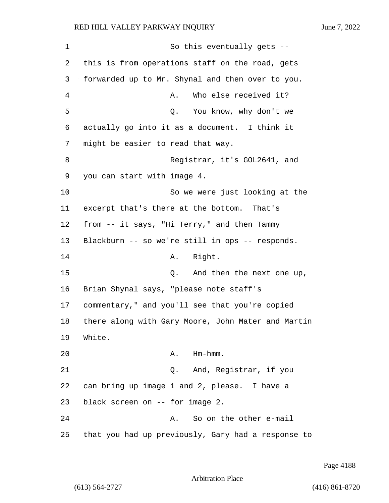1 So this eventually gets -- 2 this is from operations staff on the road, gets 3 forwarded up to Mr. Shynal and then over to you. 4 A. Who else received it? 5 Q. You know, why don't we 6 actually go into it as a document. I think it 7 might be easier to read that way. 8 Registrar, it's GOL2641, and 9 you can start with image 4. 10 So we were just looking at the 11 excerpt that's there at the bottom. That's 12 from -- it says, "Hi Terry," and then Tammy 13 Blackburn -- so we're still in ops -- responds. 14 A. Right. 15 and then the next one up, 16 Brian Shynal says, "please note staff's 17 commentary," and you'll see that you're copied 18 there along with Gary Moore, John Mater and Martin 19 White. 20 A. Hm-hmm. 21 Q. And, Registrar, if you 22 can bring up image 1 and 2, please. I have a 23 black screen on -- for image 2. 24 A. So on the other e-mail 25 that you had up previously, Gary had a response to

Page 4188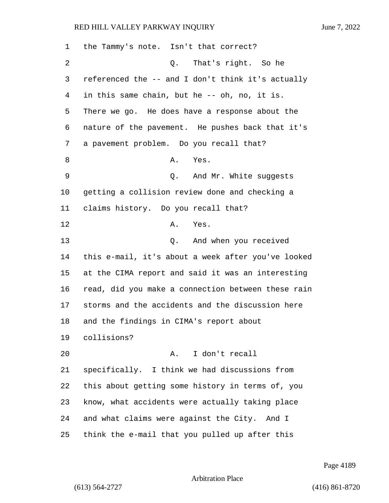| 1  | the Tammy's note. Isn't that correct?              |
|----|----------------------------------------------------|
| 2  | That's right. So he<br>Q.                          |
| 3  | referenced the -- and I don't think it's actually  |
| 4  | in this same chain, but he -- oh, no, it is.       |
| 5  | There we go. He does have a response about the     |
| 6  | nature of the pavement. He pushes back that it's   |
| 7  | a pavement problem. Do you recall that?            |
| 8  | A. Yes.                                            |
| 9  | Q. And Mr. White suggests                          |
| 10 | getting a collision review done and checking a     |
| 11 | claims history. Do you recall that?                |
| 12 | Α.<br>Yes.                                         |
| 13 | Q. And when you received                           |
| 14 | this e-mail, it's about a week after you've looked |
| 15 | at the CIMA report and said it was an interesting  |
| 16 | read, did you make a connection between these rain |
| 17 | storms and the accidents and the discussion here   |
| 18 | and the findings in CIMA's report about            |
| 19 | collisions?                                        |
| 20 | A. I don't recall                                  |
| 21 | specifically. I think we had discussions from      |
| 22 | this about getting some history in terms of, you   |
| 23 | know, what accidents were actually taking place    |
| 24 | and what claims were against the City. And I       |
| 25 | think the e-mail that you pulled up after this     |

Page 4189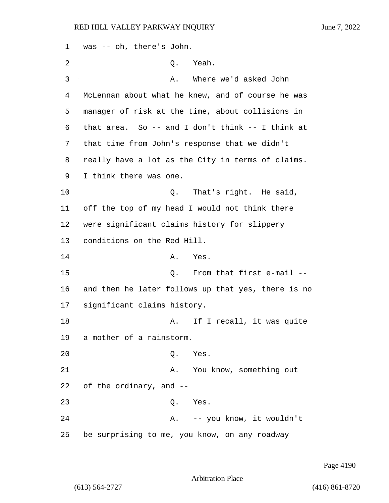1 was -- oh, there's John. 2 Q. Yeah. 3 A. Where we'd asked John 4 McLennan about what he knew, and of course he was 5 manager of risk at the time, about collisions in 6 that area. So -- and I don't think -- I think at 7 that time from John's response that we didn't 8 really have a lot as the City in terms of claims. 9 I think there was one. 10 Q. That's right. He said, 11 off the top of my head I would not think there 12 were significant claims history for slippery 13 conditions on the Red Hill. 14 A. Yes. 15 Q. From that first e-mail -- 16 and then he later follows up that yes, there is no 17 significant claims history. 18 A. If I recall, it was quite 19 a mother of a rainstorm. 20 Q. Yes. 21 A. You know, something out 22 of the ordinary, and -- 23 Q. Yes. 24 A. -- you know, it wouldn't 25 be surprising to me, you know, on any roadway

Page 4190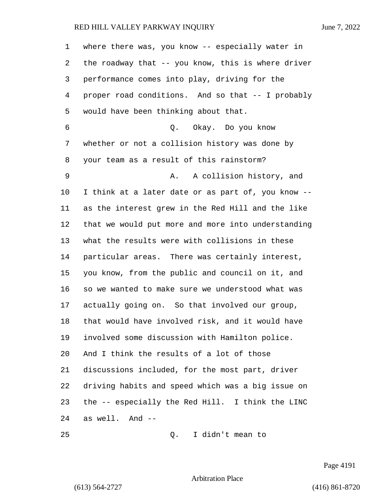| $\mathbf 1$ | where there was, you know $-$ - especially water in |
|-------------|-----------------------------------------------------|
| 2           | the roadway that -- you know, this is where driver  |
| 3           | performance comes into play, driving for the        |
| 4           | proper road conditions. And so that -- I probably   |
| 5           | would have been thinking about that.                |
| 6           | Q. Okay. Do you know                                |
| 7           | whether or not a collision history was done by      |
| 8           | your team as a result of this rainstorm?            |
| 9           | A collision history, and<br>Α.                      |
| 10          | I think at a later date or as part of, you know --  |
| 11          | as the interest grew in the Red Hill and the like   |
| 12          | that we would put more and more into understanding  |
| 13          | what the results were with collisions in these      |
| 14          | particular areas. There was certainly interest,     |
| 15          | you know, from the public and council on it, and    |
| 16          | so we wanted to make sure we understood what was    |
| 17          | actually going on. So that involved our group,      |
| 18          | that would have involved risk, and it would have    |
| 19          | involved some discussion with Hamilton police.      |
| 20          | And I think the results of a lot of those           |
| 21          | discussions included, for the most part, driver     |
| 22          | driving habits and speed which was a big issue on   |
| 23          | the -- especially the Red Hill. I think the LINC    |
| 24          | as well. And --                                     |
| 25          | I didn't mean to<br>Q.                              |

Page 4191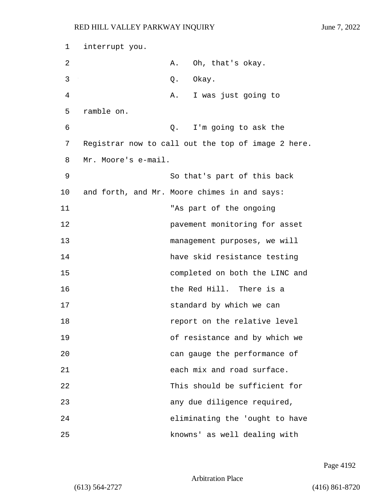| 1  | interrupt you.      |    |                                                    |
|----|---------------------|----|----------------------------------------------------|
| 2  |                     | Α. | Oh, that's okay.                                   |
| 3  |                     | Q. | Okay.                                              |
| 4  |                     | Α. | I was just going to                                |
| 5  | ramble on.          |    |                                                    |
| 6  |                     | Q. | I'm going to ask the                               |
| 7  |                     |    | Registrar now to call out the top of image 2 here. |
| 8  | Mr. Moore's e-mail. |    |                                                    |
| 9  |                     |    | So that's part of this back                        |
| 10 |                     |    | and forth, and Mr. Moore chimes in and says:       |
| 11 |                     |    | "As part of the ongoing                            |
| 12 |                     |    | pavement monitoring for asset                      |
| 13 |                     |    | management purposes, we will                       |
| 14 |                     |    | have skid resistance testing                       |
| 15 |                     |    | completed on both the LINC and                     |
| 16 |                     |    | the Red Hill. There is a                           |
| 17 |                     |    | standard by which we can                           |
| 18 |                     |    | report on the relative level                       |
| 19 |                     |    | of resistance and by which we                      |
| 20 |                     |    | can gauge the performance of                       |
| 21 |                     |    | each mix and road surface.                         |
| 22 |                     |    | This should be sufficient for                      |
| 23 |                     |    | any due diligence required,                        |
| 24 |                     |    | eliminating the 'ought to have                     |
| 25 |                     |    | knowns' as well dealing with                       |

Page 4192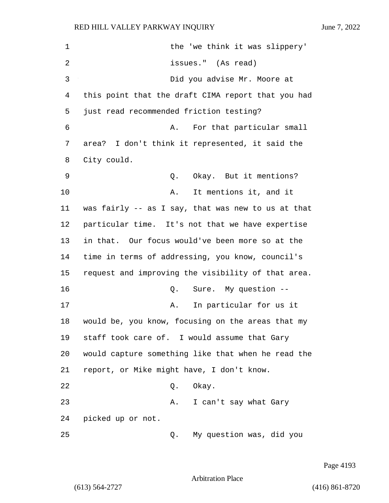| 1  | the 'we think it was slippery'                     |
|----|----------------------------------------------------|
| 2  | issues." (As read)                                 |
| 3  | Did you advise Mr. Moore at                        |
| 4  | this point that the draft CIMA report that you had |
| 5  | just read recommended friction testing?            |
| 6  | For that particular small<br>Α.                    |
| 7  | area? I don't think it represented, it said the    |
| 8  | City could.                                        |
| 9  | Okay. But it mentions?<br>Q.                       |
| 10 | It mentions it, and it<br>Α.                       |
| 11 | was fairly -- as I say, that was new to us at that |
| 12 | particular time. It's not that we have expertise   |
| 13 | in that. Our focus would've been more so at the    |
| 14 | time in terms of addressing, you know, council's   |
| 15 | request and improving the visibility of that area. |
| 16 | Sure. My question --<br>Q.                         |
| 17 | In particular for us it<br>Α.                      |
| 18 | would be, you know, focusing on the areas that my  |
| 19 | staff took care of. I would assume that Gary       |
| 20 | would capture something like that when he read the |
| 21 | report, or Mike might have, I don't know.          |
| 22 | Okay.<br>Q.                                        |
| 23 | Α.<br>I can't say what Gary                        |
| 24 | picked up or not.                                  |
| 25 | My question was, did you<br>Q.                     |

Page 4193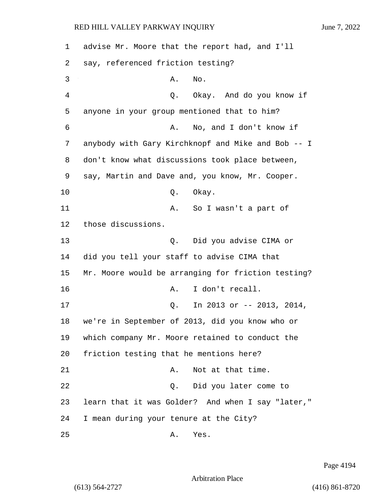1 advise Mr. Moore that the report had, and I'll 2 say, referenced friction testing? 3 A. No. 4 Q. Okay. And do you know if 5 anyone in your group mentioned that to him? 6 A. No, and I don't know if 7 anybody with Gary Kirchknopf and Mike and Bob -- I 8 don't know what discussions took place between, 9 say, Martin and Dave and, you know, Mr. Cooper. 10 Q. Okay. 11 A. So I wasn't a part of 12 those discussions. 13 Q. Did you advise CIMA or 14 did you tell your staff to advise CIMA that 15 Mr. Moore would be arranging for friction testing? 16 A. I don't recall. 17 Q. In 2013 or -- 2013, 2014, 18 we're in September of 2013, did you know who or 19 which company Mr. Moore retained to conduct the 20 friction testing that he mentions here? 21 A. Not at that time. 22 Q. Did you later come to 23 learn that it was Golder? And when I say "later," 24 I mean during your tenure at the City? 25 A. Yes.

Page 4194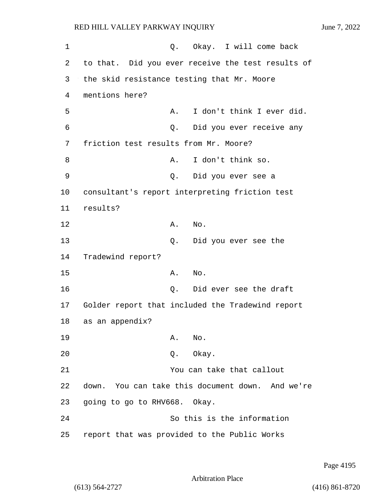1 0. Okay. I will come back 2 to that. Did you ever receive the test results of 3 the skid resistance testing that Mr. Moore 4 mentions here? 5 A. I don't think I ever did. 6 Q. Did you ever receive any 7 friction test results from Mr. Moore? 8 A. I don't think so. 9 Q. Did you ever see a 10 consultant's report interpreting friction test 11 results? 12 A. No. 13 Q. Did you ever see the 14 Tradewind report? 15 A. No. 16 Q. Did ever see the draft 17 Golder report that included the Tradewind report 18 as an appendix? 19 A. No. 20 Q. Okay. 21 You can take that callout 22 down. You can take this document down. And we're 23 going to go to RHV668. Okay. 24 So this is the information 25 report that was provided to the Public Works

Page 4195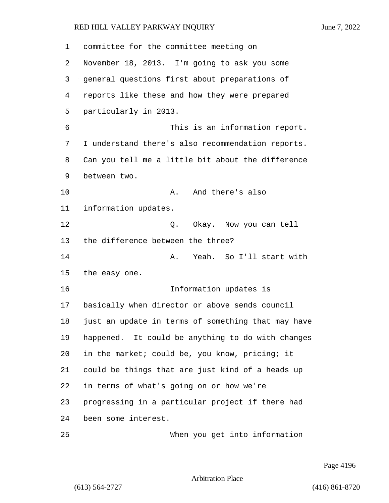committee for the committee meeting on November 18, 2013. I'm going to ask you some general questions first about preparations of reports like these and how they were prepared particularly in 2013. 6 This is an information report. I understand there's also recommendation reports. Can you tell me a little bit about the difference between two. 10 A. And there's also information updates. 12 C. Okay. Now you can tell the difference between the three? 14 A. Yeah. So I'll start with the easy one. 16 Information updates is basically when director or above sends council just an update in terms of something that may have happened. It could be anything to do with changes in the market; could be, you know, pricing; it could be things that are just kind of a heads up in terms of what's going on or how we're progressing in a particular project if there had been some interest. 25 When you get into information

Page 4196

Arbitration Place

(613) 564-2727 (416) 861-8720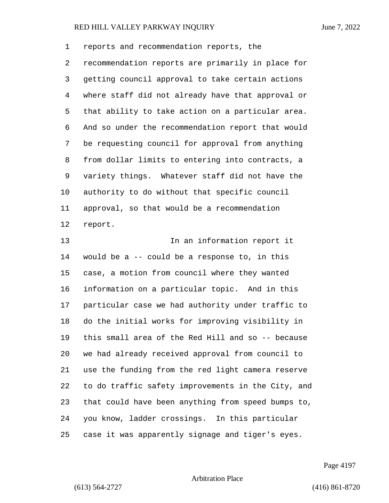reports and recommendation reports, the recommendation reports are primarily in place for getting council approval to take certain actions where staff did not already have that approval or that ability to take action on a particular area. And so under the recommendation report that would be requesting council for approval from anything from dollar limits to entering into contracts, a variety things. Whatever staff did not have the authority to do without that specific council approval, so that would be a recommendation report.

**In an information report it**  would be a -- could be a response to, in this case, a motion from council where they wanted information on a particular topic. And in this particular case we had authority under traffic to do the initial works for improving visibility in this small area of the Red Hill and so -- because we had already received approval from council to use the funding from the red light camera reserve to do traffic safety improvements in the City, and that could have been anything from speed bumps to, you know, ladder crossings. In this particular case it was apparently signage and tiger's eyes.

Page 4197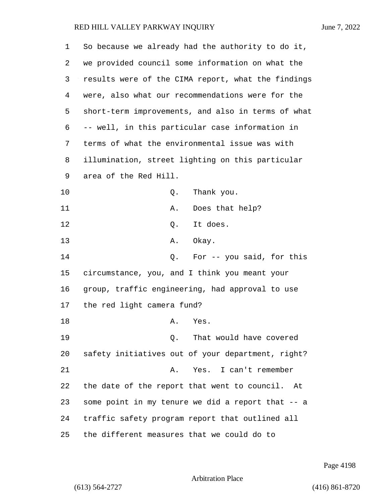| 1  | So because we already had the authority to do it,  |
|----|----------------------------------------------------|
| 2  | we provided council some information on what the   |
| 3  | results were of the CIMA report, what the findings |
| 4  | were, also what our recommendations were for the   |
| 5  | short-term improvements, and also in terms of what |
| 6  | -- well, in this particular case information in    |
| 7  | terms of what the environmental issue was with     |
| 8  | illumination, street lighting on this particular   |
| 9  | area of the Red Hill.                              |
| 10 | Thank you.<br>Q.                                   |
| 11 | Does that help?<br>Α.                              |
| 12 | It does.<br>Q.                                     |
| 13 | Okay.<br>Α.                                        |
| 14 | For -- you said, for this<br>Q.                    |
| 15 | circumstance, you, and I think you meant your      |
| 16 | group, traffic engineering, had approval to use    |
| 17 | the red light camera fund?                         |
| 18 | Yes.<br>Α.                                         |
| 19 | That would have covered<br>Q.                      |
| 20 | safety initiatives out of your department, right?  |
| 21 | Yes. I can't remember<br>Α.                        |
| 22 | the date of the report that went to council.<br>At |
| 23 | some point in my tenure we did a report that -- a  |
| 24 | traffic safety program report that outlined all    |
| 25 | the different measures that we could do to         |

Page 4198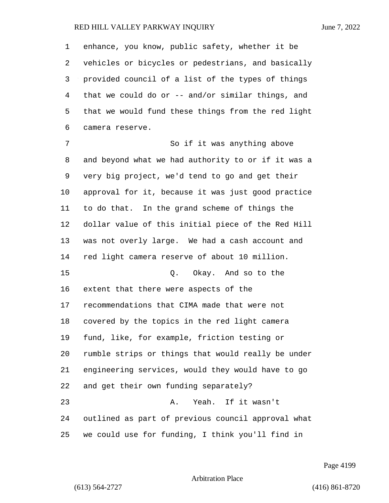enhance, you know, public safety, whether it be vehicles or bicycles or pedestrians, and basically provided council of a list of the types of things that we could do or -- and/or similar things, and that we would fund these things from the red light camera reserve.

7 So if it was anything above and beyond what we had authority to or if it was a very big project, we'd tend to go and get their approval for it, because it was just good practice to do that. In the grand scheme of things the dollar value of this initial piece of the Red Hill was not overly large. We had a cash account and red light camera reserve of about 10 million. 15 Q. Okay. And so to the extent that there were aspects of the recommendations that CIMA made that were not covered by the topics in the red light camera fund, like, for example, friction testing or rumble strips or things that would really be under engineering services, would they would have to go and get their own funding separately? 23 A. Yeah. If it wasn't outlined as part of previous council approval what we could use for funding, I think you'll find in

Page 4199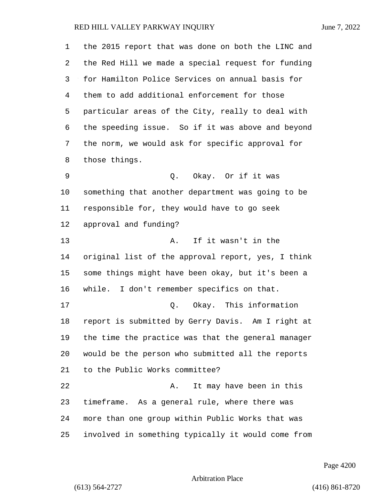| 1       | the 2015 report that was done on both the LINC and |
|---------|----------------------------------------------------|
| 2       | the Red Hill we made a special request for funding |
| 3       | for Hamilton Police Services on annual basis for   |
| 4       | them to add additional enforcement for those       |
| 5       | particular areas of the City, really to deal with  |
| 6       | the speeding issue. So if it was above and beyond  |
| 7       | the norm, we would ask for specific approval for   |
| 8       | those things.                                      |
| 9       | Q. Okay. Or if it was                              |
| $10 \,$ | something that another department was going to be  |
| 11      | responsible for, they would have to go seek        |
| 12      | approval and funding?                              |
| 13      | If it wasn't in the<br>Α.                          |
| 14      | original list of the approval report, yes, I think |
| 15      | some things might have been okay, but it's been a  |
| 16      | while. I don't remember specifics on that.         |
| 17      | Q. Okay. This information                          |
| 18      | report is submitted by Gerry Davis. Am I right at  |
| 19      | the time the practice was that the general manager |
| 20      | would be the person who submitted all the reports  |
| 21      | to the Public Works committee?                     |
| 22      | It may have been in this<br>Α.                     |
| 23      | timeframe. As a general rule, where there was      |
| 24      | more than one group within Public Works that was   |
| 25      | involved in something typically it would come from |

Page 4200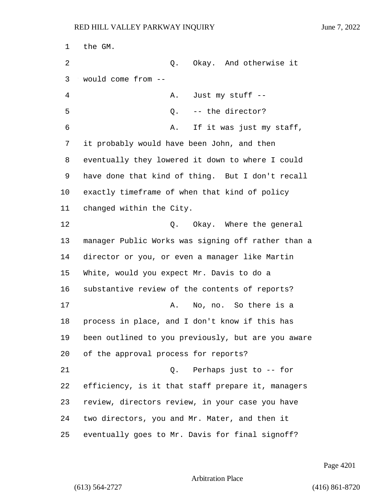the GM. 2 Q. Okay. And otherwise it would come from -- 4 A. Just my stuff -- 5 Q. -- the director? 6 A. If it was just my staff, it probably would have been John, and then eventually they lowered it down to where I could have done that kind of thing. But I don't recall exactly timeframe of when that kind of policy changed within the City. 12 C. Okay. Where the general manager Public Works was signing off rather than a director or you, or even a manager like Martin White, would you expect Mr. Davis to do a substantive review of the contents of reports? 17 A. No, no. So there is a process in place, and I don't know if this has been outlined to you previously, but are you aware of the approval process for reports? 21 Q. Perhaps just to -- for efficiency, is it that staff prepare it, managers review, directors review, in your case you have two directors, you and Mr. Mater, and then it eventually goes to Mr. Davis for final signoff?

Page 4201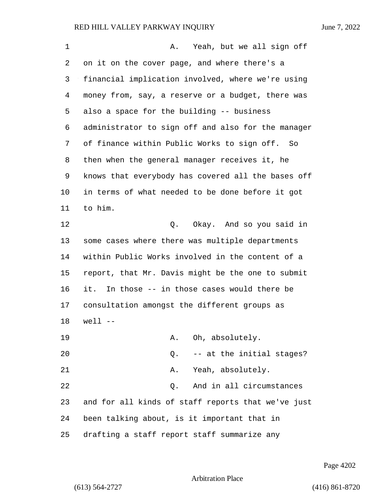| $\mathbf 1$ | Yeah, but we all sign off<br>Α.                    |
|-------------|----------------------------------------------------|
| 2           | on it on the cover page, and where there's a       |
| 3           | financial implication involved, where we're using  |
| 4           | money from, say, a reserve or a budget, there was  |
| 5           | also a space for the building -- business          |
| 6           | administrator to sign off and also for the manager |
| 7           | of finance within Public Works to sign off. So     |
| 8           | then when the general manager receives it, he      |
| 9           | knows that everybody has covered all the bases off |
| 10          | in terms of what needed to be done before it got   |
| 11          | to him.                                            |
| 12          | Okay. And so you said in<br>Q.                     |
| 13          | some cases where there was multiple departments    |
| 14          | within Public Works involved in the content of a   |
| 15          | report, that Mr. Davis might be the one to submit  |
| 16          | it. In those -- in those cases would there be      |
| 17          | consultation amongst the different groups as       |
| 18          | $well$ --                                          |
| 19          | Oh, absolutely.<br>Α.                              |
| 20          | -- at the initial stages?<br>Q.                    |
| 21          | Yeah, absolutely.<br>Α.                            |
| 22          | And in all circumstances<br>Q.                     |
| 23          | and for all kinds of staff reports that we've just |
| 24          | been talking about, is it important that in        |
| 25          | drafting a staff report staff summarize any        |

Page 4202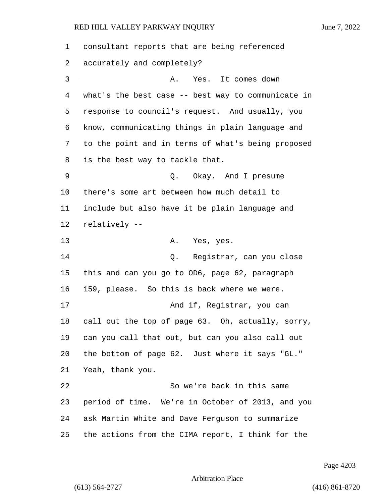consultant reports that are being referenced accurately and completely? 3 A. Yes. It comes down what's the best case -- best way to communicate in response to council's request. And usually, you know, communicating things in plain language and to the point and in terms of what's being proposed is the best way to tackle that. 9 Q. Okay. And I presume there's some art between how much detail to include but also have it be plain language and relatively -- 13 A. Yes, yes. 14 Q. Registrar, can you close this and can you go to OD6, page 62, paragraph 159, please. So this is back where we were. 17 And if, Registrar, you can call out the top of page 63. Oh, actually, sorry, can you call that out, but can you also call out the bottom of page 62. Just where it says "GL." Yeah, thank you. 22 So we're back in this same period of time. We're in October of 2013, and you ask Martin White and Dave Ferguson to summarize the actions from the CIMA report, I think for the

Page 4203

Arbitration Place

(613) 564-2727 (416) 861-8720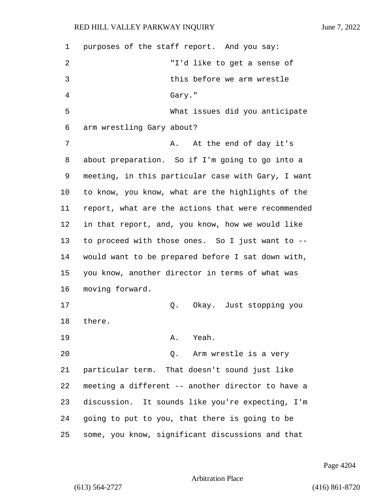purposes of the staff report. And you say: 2 "I'd like to get a sense of 3 this before we arm wrestle 4 Gary." 5 What issues did you anticipate arm wrestling Gary about? 7 A. At the end of day it's about preparation. So if I'm going to go into a meeting, in this particular case with Gary, I want to know, you know, what are the highlights of the report, what are the actions that were recommended in that report, and, you know, how we would like to proceed with those ones. So I just want to -- would want to be prepared before I sat down with, you know, another director in terms of what was moving forward. 17 Q. Okay. Just stopping you 18 there. 19 A. Yeah. 20 Q. Arm wrestle is a very particular term. That doesn't sound just like meeting a different -- another director to have a discussion. It sounds like you're expecting, I'm going to put to you, that there is going to be some, you know, significant discussions and that

Page 4204

Arbitration Place

(613) 564-2727 (416) 861-8720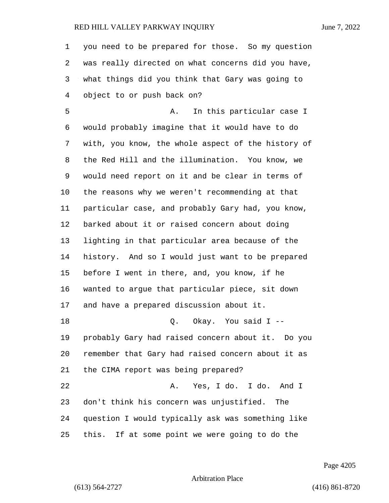you need to be prepared for those. So my question was really directed on what concerns did you have, what things did you think that Gary was going to object to or push back on?

5 A. In this particular case I would probably imagine that it would have to do with, you know, the whole aspect of the history of the Red Hill and the illumination. You know, we would need report on it and be clear in terms of the reasons why we weren't recommending at that particular case, and probably Gary had, you know, barked about it or raised concern about doing lighting in that particular area because of the history. And so I would just want to be prepared before I went in there, and, you know, if he wanted to argue that particular piece, sit down and have a prepared discussion about it. 18 Q. Okay. You said I -- probably Gary had raised concern about it. Do you remember that Gary had raised concern about it as the CIMA report was being prepared? 22 A. Yes, I do. I do. And I don't think his concern was unjustified. The question I would typically ask was something like this. If at some point we were going to do the

Page 4205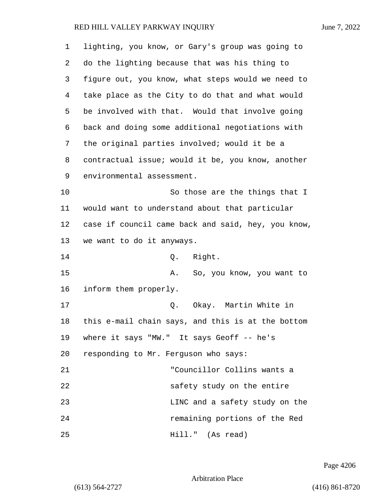| 1  | lighting, you know, or Gary's group was going to   |
|----|----------------------------------------------------|
| 2  | do the lighting because that was his thing to      |
| 3  | figure out, you know, what steps would we need to  |
| 4  | take place as the City to do that and what would   |
| 5  | be involved with that. Would that involve going    |
| 6  | back and doing some additional negotiations with   |
| 7  | the original parties involved; would it be a       |
| 8  | contractual issue; would it be, you know, another  |
| 9  | environmental assessment.                          |
| 10 | So those are the things that I                     |
| 11 | would want to understand about that particular     |
| 12 | case if council came back and said, hey, you know, |
| 13 | we want to do it anyways.                          |
| 14 | Right.<br>Q.                                       |
| 15 | So, you know, you want to<br>Α.                    |
| 16 | inform them properly.                              |
| 17 | Okay. Martin White in<br>Q.                        |
| 18 | this e-mail chain says, and this is at the bottom  |
| 19 | where it says "MW." It says Geoff -- he's          |
| 20 | responding to Mr. Ferguson who says:               |
| 21 | "Councillor Collins wants a                        |
| 22 | safety study on the entire                         |
| 23 | LINC and a safety study on the                     |
| 24 | remaining portions of the Red                      |
| 25 | Hill." (As read)                                   |

Page 4206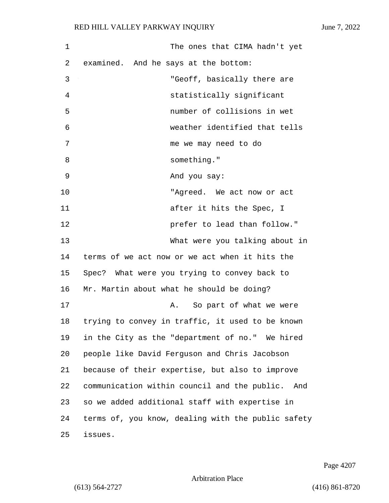| $\mathbf 1$ | The ones that CIMA hadn't yet                       |
|-------------|-----------------------------------------------------|
| 2           | examined. And he says at the bottom:                |
| 3           | "Geoff, basically there are                         |
| 4           | statistically significant                           |
| 5           | number of collisions in wet                         |
| 6           | weather identified that tells                       |
| 7           | me we may need to do                                |
| 8           | something."                                         |
| 9           | And you say:                                        |
| 10          | "Agreed. We act now or act                          |
| 11          | after it hits the Spec, I                           |
| 12          | prefer to lead than follow."                        |
| 13          | What were you talking about in                      |
| 14          | terms of we act now or we act when it hits the      |
| 15          | Spec? What were you trying to convey back to        |
| 16          | Mr. Martin about what he should be doing?           |
| 17          | So part of what we were<br>Α.                       |
| 18          | trying to convey in traffic, it used to be known    |
| 19          | in the City as the "department of no." We hired     |
| 20          | people like David Ferguson and Chris Jacobson       |
| 21          | because of their expertise, but also to improve     |
| 22          | communication within council and the public.<br>And |
| 23          | so we added additional staff with expertise in      |
| 24          | terms of, you know, dealing with the public safety  |
| 25          | issues.                                             |

Page 4207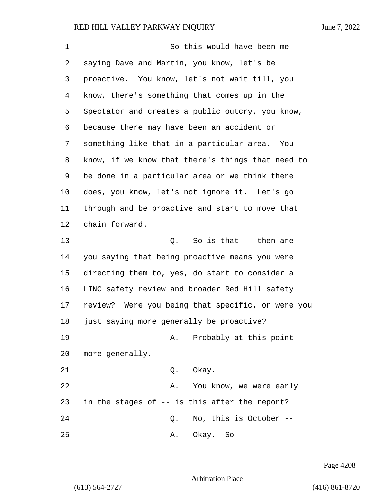1 So this would have been me saying Dave and Martin, you know, let's be proactive. You know, let's not wait till, you know, there's something that comes up in the Spectator and creates a public outcry, you know, because there may have been an accident or something like that in a particular area. You know, if we know that there's things that need to be done in a particular area or we think there does, you know, let's not ignore it. Let's go through and be proactive and start to move that chain forward. 13 C. So is that -- then are you saying that being proactive means you were directing them to, yes, do start to consider a LINC safety review and broader Red Hill safety review? Were you being that specific, or were you just saying more generally be proactive? 19 A. Probably at this point more generally. 21 0. Okay. 22 A. You know, we were early in the stages of -- is this after the report? 24 Q. No, this is October -- 25 A. Okay. So --

Page 4208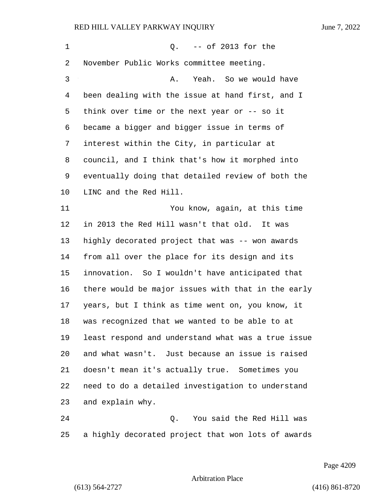1 Q. -- of 2013 for the November Public Works committee meeting. 3 A. Yeah. So we would have been dealing with the issue at hand first, and I think over time or the next year or -- so it became a bigger and bigger issue in terms of interest within the City, in particular at council, and I think that's how it morphed into eventually doing that detailed review of both the LINC and the Red Hill. 11 You know, again, at this time in 2013 the Red Hill wasn't that old. It was highly decorated project that was -- won awards from all over the place for its design and its innovation. So I wouldn't have anticipated that there would be major issues with that in the early years, but I think as time went on, you know, it was recognized that we wanted to be able to at least respond and understand what was a true issue and what wasn't. Just because an issue is raised doesn't mean it's actually true. Sometimes you need to do a detailed investigation to understand and explain why. 24 Q. You said the Red Hill was a highly decorated project that won lots of awards

Page 4209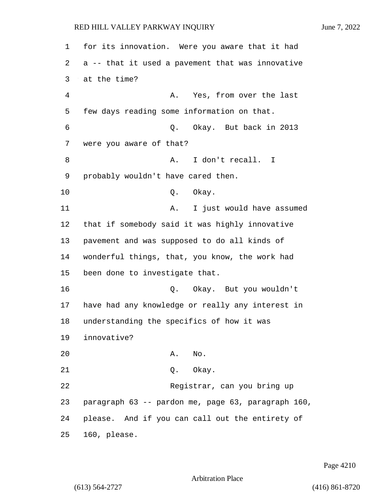| 1  | for its innovation. Were you aware that it had     |
|----|----------------------------------------------------|
| 2  | a -- that it used a pavement that was innovative   |
| 3  | at the time?                                       |
| 4  | Yes, from over the last<br>Α.                      |
| 5  | few days reading some information on that.         |
| 6  | Okay. But back in 2013<br>Q.                       |
| 7  | were you aware of that?                            |
| 8  | I don't recall. I<br>Α.                            |
| 9  | probably wouldn't have cared then.                 |
| 10 | Q. Okay.                                           |
| 11 | I just would have assumed<br>Α.                    |
| 12 | that if somebody said it was highly innovative     |
| 13 | pavement and was supposed to do all kinds of       |
| 14 | wonderful things, that, you know, the work had     |
| 15 | been done to investigate that.                     |
| 16 | Okay. But you wouldn't<br>Q.                       |
| 17 | have had any knowledge or really any interest in   |
| 18 | understanding the specifics of how it was          |
| 19 | innovative?                                        |
| 20 | A. No.                                             |
| 21 | Q. Okay.                                           |
| 22 | Registrar, can you bring up                        |
| 23 | paragraph 63 -- pardon me, page 63, paragraph 160, |
| 24 | please. And if you can call out the entirety of    |
| 25 | 160, please.                                       |

Page 4210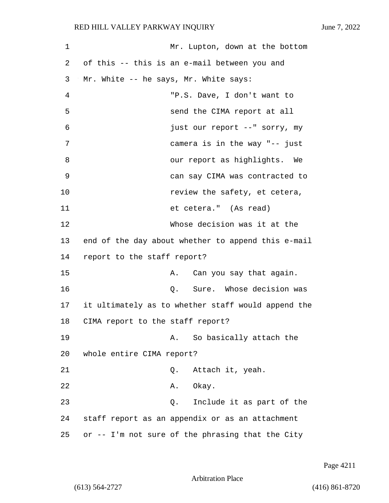| 1  | Mr. Lupton, down at the bottom                     |
|----|----------------------------------------------------|
| 2  | of this -- this is an e-mail between you and       |
| 3  | Mr. White -- he says, Mr. White says:              |
| 4  | "P.S. Dave, I don't want to                        |
| 5  | send the CIMA report at all                        |
| 6  | just our report --" sorry, my                      |
| 7  | camera is in the way "-- just                      |
| 8  | our report as highlights. We                       |
| 9  | can say CIMA was contracted to                     |
| 10 | review the safety, et cetera,                      |
| 11 | et cetera." (As read)                              |
| 12 | Whose decision was it at the                       |
| 13 | end of the day about whether to append this e-mail |
| 14 | report to the staff report?                        |
| 15 | Can you say that again.<br>Α.                      |
| 16 | Sure. Whose decision was<br>Q.                     |
| 17 | it ultimately as to whether staff would append the |
| 18 | CIMA report to the staff report?                   |
| 19 | So basically attach the<br>A.                      |
| 20 | whole entire CIMA report?                          |
| 21 | Attach it, yeah.<br>Q.                             |
| 22 | Okay.<br>Α.                                        |
| 23 | Include it as part of the<br>Q.                    |
| 24 | staff report as an appendix or as an attachment    |
| 25 | or -- I'm not sure of the phrasing that the City   |

Page 4211

Arbitration Place

(613) 564-2727 (416) 861-8720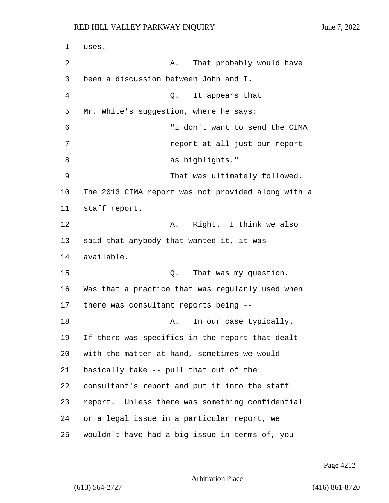1 uses. 2 A. That probably would have 3 been a discussion between John and I. 4 Q. It appears that 5 Mr. White's suggestion, where he says: 6 "I don't want to send the CIMA 7 report at all just our report 8 as highlights." 9 That was ultimately followed. 10 The 2013 CIMA report was not provided along with a 11 staff report. 12 A. Right. I think we also 13 said that anybody that wanted it, it was 14 available. 15 C. That was my question. 16 Was that a practice that was regularly used when 17 there was consultant reports being -- 18 A. In our case typically. 19 If there was specifics in the report that dealt 20 with the matter at hand, sometimes we would 21 basically take -- pull that out of the 22 consultant's report and put it into the staff 23 report. Unless there was something confidential 24 or a legal issue in a particular report, we 25 wouldn't have had a big issue in terms of, you

Page 4212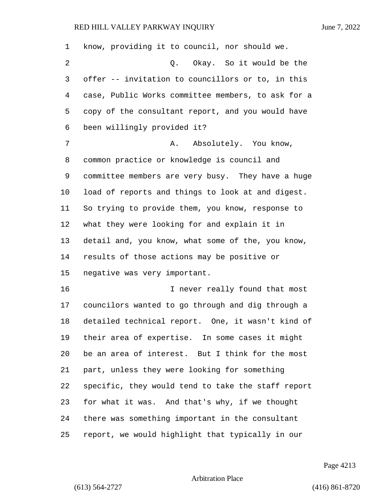| $\mathbf 1$ | know, providing it to council, nor should we.      |
|-------------|----------------------------------------------------|
| 2           | Q. Okay. So it would be the                        |
| 3           | offer -- invitation to councillors or to, in this  |
| 4           | case, Public Works committee members, to ask for a |
| 5           | copy of the consultant report, and you would have  |
| 6           | been willingly provided it?                        |
| 7           | Absolutely. You know,<br>Α.                        |
| 8           | common practice or knowledge is council and        |
| 9           | committee members are very busy. They have a huge  |
| 10          | load of reports and things to look at and digest.  |
| 11          | So trying to provide them, you know, response to   |
| 12          | what they were looking for and explain it in       |
| 13          | detail and, you know, what some of the, you know,  |
| 14          | results of those actions may be positive or        |
| 15          | negative was very important.                       |
| 16          | I never really found that most                     |
| 17          | councilors wanted to go through and dig through a  |
| 18          | detailed technical report. One, it wasn't kind of  |
| 19          | their area of expertise. In some cases it might    |
| 20          | be an area of interest. But I think for the most   |
| 21          | part, unless they were looking for something       |
| 22          | specific, they would tend to take the staff report |
| 23          | for what it was. And that's why, if we thought     |
| 24          | there was something important in the consultant    |
| 25          | report, we would highlight that typically in our   |

Page 4213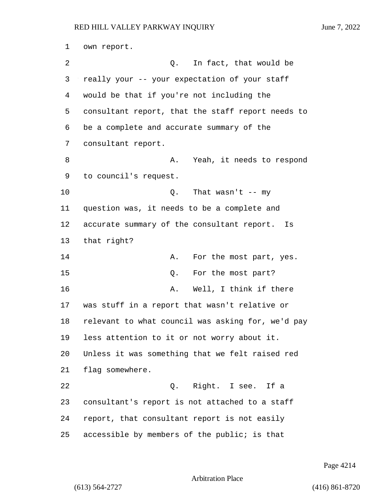own report. 2 Q. In fact, that would be really your -- your expectation of your staff would be that if you're not including the consultant report, that the staff report needs to be a complete and accurate summary of the consultant report. 8 A. Yeah, it needs to respond to council's request. 10 Q. That wasn't -- my question was, it needs to be a complete and accurate summary of the consultant report. Is that right? 14 A. For the most part, yes. 15 O. For the most part? 16 A. Well, I think if there was stuff in a report that wasn't relative or relevant to what council was asking for, we'd pay less attention to it or not worry about it. Unless it was something that we felt raised red flag somewhere. 22 Q. Right. I see. If a consultant's report is not attached to a staff report, that consultant report is not easily accessible by members of the public; is that

Arbitration Place

(613) 564-2727 (416) 861-8720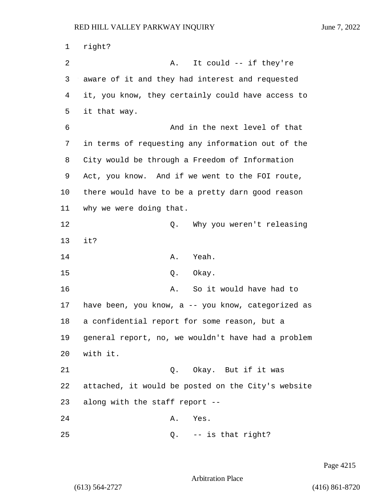1 right? 2 A. It could -- if they're 3 aware of it and they had interest and requested 4 it, you know, they certainly could have access to 5 it that way. 6 And in the next level of that 7 in terms of requesting any information out of the 8 City would be through a Freedom of Information 9 Act, you know. And if we went to the FOI route, 10 there would have to be a pretty darn good reason 11 why we were doing that. 12 D. Why you weren't releasing 13 it? 14 A. Yeah. 15 0. Okay. 16 A. So it would have had to 17 have been, you know, a -- you know, categorized as 18 a confidential report for some reason, but a 19 general report, no, we wouldn't have had a problem 20 with it. 21 Q. Okay. But if it was 22 attached, it would be posted on the City's website 23 along with the staff report -- 24 A. Yes. 25 Q. -- is that right?

Page 4215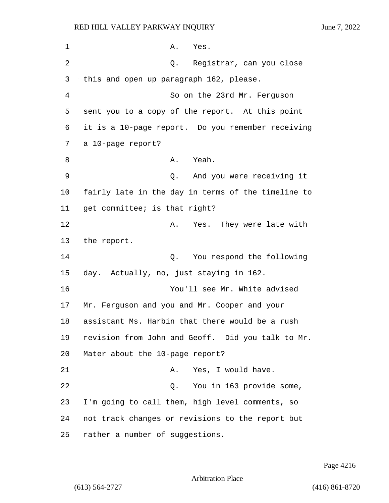1 A. Yes. 2 Q. Registrar, can you close 3 this and open up paragraph 162, please. 4 So on the 23rd Mr. Ferguson 5 sent you to a copy of the report. At this point 6 it is a 10-page report. Do you remember receiving 7 a 10-page report? 8 A. Yeah. 9 Q. And you were receiving it 10 fairly late in the day in terms of the timeline to 11 get committee; is that right? 12 A. Yes. They were late with 13 the report. 14 Q. You respond the following 15 day. Actually, no, just staying in 162. 16 You'll see Mr. White advised 17 Mr. Ferguson and you and Mr. Cooper and your 18 assistant Ms. Harbin that there would be a rush 19 revision from John and Geoff. Did you talk to Mr. 20 Mater about the 10-page report? 21 A. Yes, I would have. 22 Q. You in 163 provide some, 23 I'm going to call them, high level comments, so 24 not track changes or revisions to the report but 25 rather a number of suggestions.

Page 4216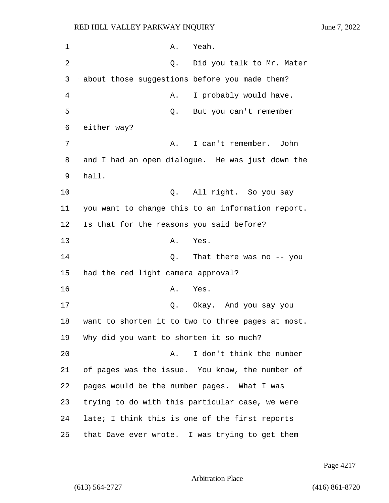1 A. Yeah. 2 Q. Did you talk to Mr. Mater 3 about those suggestions before you made them? 4 A. I probably would have. 5 Q. But you can't remember 6 either way? 7 A. I can't remember. John 8 and I had an open dialogue. He was just down the 9 hall. 10 Q. All right. So you say 11 you want to change this to an information report. 12 Is that for the reasons you said before? 13 A. Yes. 14 Q. That there was no -- you 15 had the red light camera approval? 16 A. Yes. 17 Q. Okay. And you say you 18 want to shorten it to two to three pages at most. 19 Why did you want to shorten it so much? 20 A. I don't think the number 21 of pages was the issue. You know, the number of 22 pages would be the number pages. What I was 23 trying to do with this particular case, we were 24 late; I think this is one of the first reports 25 that Dave ever wrote. I was trying to get them

Page 4217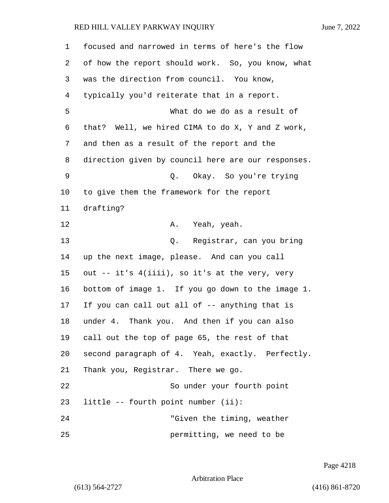| 1  | focused and narrowed in terms of here's the flow   |
|----|----------------------------------------------------|
| 2  | of how the report should work. So, you know, what  |
| 3  | was the direction from council. You know,          |
| 4  | typically you'd reiterate that in a report.        |
| 5  | What do we do as a result of                       |
| 6  | that? Well, we hired CIMA to do X, Y and Z work,   |
| 7  | and then as a result of the report and the         |
| 8  | direction given by council here are our responses. |
| 9  | Okay. So you're trying<br>Q.                       |
| 10 | to give them the framework for the report          |
| 11 | drafting?                                          |
| 12 | Yeah, yeah.<br>Α.                                  |
| 13 | Q. Registrar, can you bring                        |
| 14 | up the next image, please. And can you call        |
| 15 | out -- it's 4(iiii), so it's at the very, very     |
| 16 | bottom of image 1. If you go down to the image 1.  |
| 17 | If you can call out all of -- anything that is     |
| 18 | under 4. Thank you. And then if you can also       |
| 19 | call out the top of page 65, the rest of that      |
| 20 | second paragraph of 4. Yeah, exactly. Perfectly.   |
| 21 | Thank you, Registrar. There we go.                 |
| 22 | So under your fourth point                         |
| 23 | little -- fourth point number (ii):                |
| 24 | "Given the timing, weather                         |
| 25 | permitting, we need to be                          |

Page 4218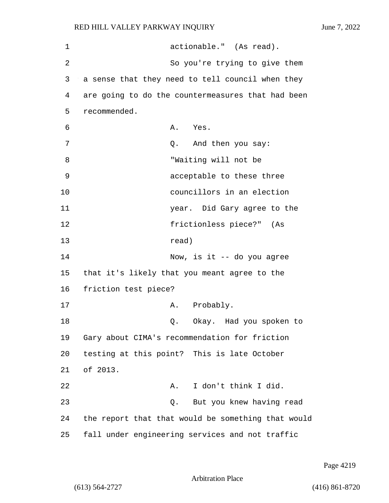| 1  | actionable." (As read).                            |
|----|----------------------------------------------------|
| 2  | So you're trying to give them                      |
| 3  | a sense that they need to tell council when they   |
| 4  | are going to do the countermeasures that had been  |
| 5  | recommended.                                       |
| 6  | A. Yes.                                            |
| 7  | And then you say:<br>Q.                            |
| 8  | "Waiting will not be                               |
| 9  | acceptable to these three                          |
| 10 | councillors in an election                         |
| 11 | year. Did Gary agree to the                        |
| 12 | frictionless piece?" (As                           |
| 13 | read)                                              |
| 14 | Now, is it $-$ do you agree                        |
| 15 | that it's likely that you meant agree to the       |
| 16 | friction test piece?                               |
| 17 | Probably.<br>Α.                                    |
| 18 | Okay. Had you spoken to<br>Q.                      |
| 19 | Gary about CIMA's recommendation for friction      |
| 20 | testing at this point? This is late October        |
| 21 | of 2013.                                           |
| 22 | I don't think I did.<br>Α.                         |
| 23 | But you knew having read<br>Q.                     |
| 24 | the report that that would be something that would |
| 25 | fall under engineering services and not traffic    |

Page 4219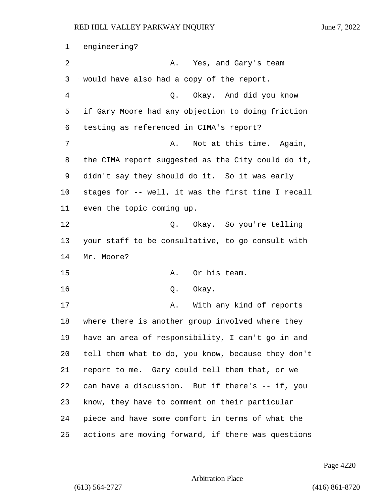engineering? 2 A. Yes, and Gary's team would have also had a copy of the report. 4 Q. Okay. And did you know if Gary Moore had any objection to doing friction testing as referenced in CIMA's report? 7 A. Not at this time. Again, the CIMA report suggested as the City could do it, didn't say they should do it. So it was early stages for -- well, it was the first time I recall even the topic coming up. 12 C. Okay. So you're telling your staff to be consultative, to go consult with Mr. Moore? 15 A. Or his team. 16 Q. Okay. 17 A. With any kind of reports where there is another group involved where they have an area of responsibility, I can't go in and tell them what to do, you know, because they don't report to me. Gary could tell them that, or we can have a discussion. But if there's -- if, you know, they have to comment on their particular piece and have some comfort in terms of what the actions are moving forward, if there was questions

Page 4220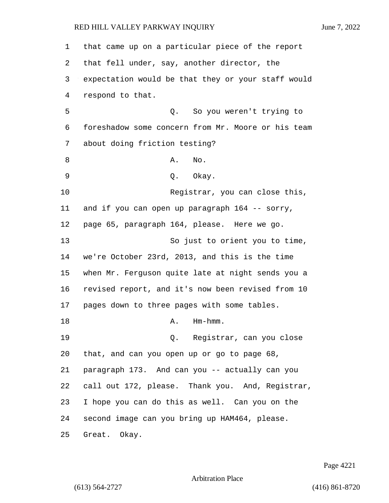| 1  | that came up on a particular piece of the report   |
|----|----------------------------------------------------|
| 2  | that fell under, say, another director, the        |
| 3  | expectation would be that they or your staff would |
| 4  | respond to that.                                   |
| 5  | Q. So you weren't trying to                        |
| 6  | foreshadow some concern from Mr. Moore or his team |
| 7  | about doing friction testing?                      |
| 8  | Α.<br>No.                                          |
| 9  | Q. Okay.                                           |
| 10 | Registrar, you can close this,                     |
| 11 | and if you can open up paragraph 164 -- sorry,     |
| 12 | page 65, paragraph 164, please. Here we go.        |
| 13 | So just to orient you to time,                     |
| 14 | we're October 23rd, 2013, and this is the time     |
| 15 | when Mr. Ferguson quite late at night sends you a  |
| 16 | revised report, and it's now been revised from 10  |
| 17 | pages down to three pages with some tables.        |
| 18 | $Hm-hmm.$<br>Α.                                    |
| 19 | Q. Registrar, can you close                        |
| 20 | that, and can you open up or go to page 68,        |
| 21 | paragraph 173. And can you -- actually can you     |
| 22 | call out 172, please. Thank you. And, Registrar,   |
| 23 | I hope you can do this as well. Can you on the     |
| 24 | second image can you bring up HAM464, please.      |
| 25 | Great. Okay.                                       |

Page 4221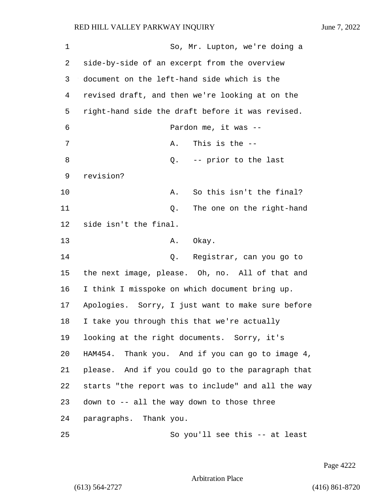| 1  | So, Mr. Lupton, we're doing a                      |
|----|----------------------------------------------------|
| 2  | side-by-side of an excerpt from the overview       |
| 3  | document on the left-hand side which is the        |
| 4  | revised draft, and then we're looking at on the    |
| 5  | right-hand side the draft before it was revised.   |
| 6  | Pardon me, it was --                               |
| 7  | This is the $-$ -<br>Α.                            |
| 8  | -- prior to the last<br>Q.                         |
| 9  | revision?                                          |
| 10 | So this isn't the final?<br>Α.                     |
| 11 | The one on the right-hand<br>Q.                    |
| 12 | side isn't the final.                              |
| 13 | Okay.<br>Α.                                        |
| 14 | Q. Registrar, can you go to                        |
| 15 | the next image, please. Oh, no. All of that and    |
| 16 | I think I misspoke on which document bring up.     |
| 17 | Apologies. Sorry, I just want to make sure before  |
| 18 | I take you through this that we're actually        |
| 19 | looking at the right documents. Sorry, it's        |
| 20 | HAM454. Thank you. And if you can go to image 4,   |
| 21 | please. And if you could go to the paragraph that  |
| 22 | starts "the report was to include" and all the way |
| 23 | down to -- all the way down to those three         |
| 24 | paragraphs. Thank you.                             |
| 25 | So you'll see this -- at least                     |

Page 4222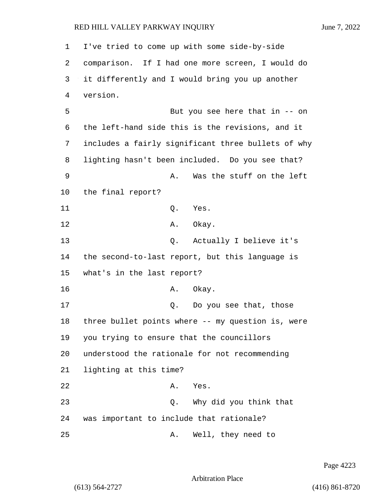1 I've tried to come up with some side-by-side 2 comparison. If I had one more screen, I would do 3 it differently and I would bring you up another 4 version. 5 But you see here that in -- on 6 the left-hand side this is the revisions, and it 7 includes a fairly significant three bullets of why 8 lighting hasn't been included. Do you see that? 9 A. Was the stuff on the left 10 the final report? 11 Q. Yes. 12 A. Okay. 13 Q. Actually I believe it's 14 the second-to-last report, but this language is 15 what's in the last report? 16 A. Okay. 17 and 17 Q. Do you see that, those 18 three bullet points where -- my question is, were 19 you trying to ensure that the councillors 20 understood the rationale for not recommending 21 lighting at this time? 22 A. Yes. 23 Q. Why did you think that 24 was important to include that rationale? 25 A. Well, they need to

Page 4223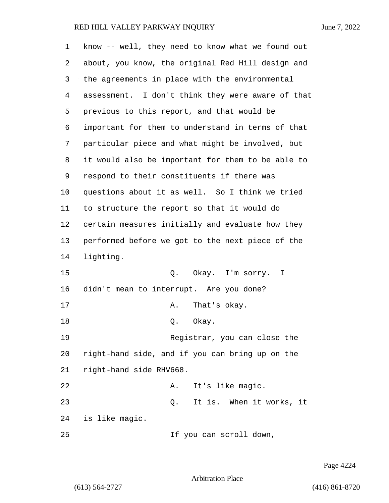| 1  | know -- well, they need to know what we found out |
|----|---------------------------------------------------|
| 2  | about, you know, the original Red Hill design and |
| 3  | the agreements in place with the environmental    |
| 4  | assessment. I don't think they were aware of that |
| 5  | previous to this report, and that would be        |
| 6  | important for them to understand in terms of that |
| 7  | particular piece and what might be involved, but  |
| 8  | it would also be important for them to be able to |
| 9  | respond to their constituents if there was        |
| 10 | questions about it as well. So I think we tried   |
| 11 | to structure the report so that it would do       |
| 12 | certain measures initially and evaluate how they  |
| 13 | performed before we got to the next piece of the  |
| 14 | lighting.                                         |
| 15 | Q. Okay. I'm sorry.<br>$\mathbf{I}$               |
| 16 | didn't mean to interrupt. Are you done?           |
| 17 | That's okay.<br>Α.                                |
| 18 | Okay.<br>Q.                                       |
| 19 | Registrar, you can close the                      |
| 20 | right-hand side, and if you can bring up on the   |
| 21 | right-hand side RHV668.                           |
| 22 | It's like magic.<br>Α.                            |
| 23 | It is. When it works, it<br>Q.                    |
| 24 | is like magic.                                    |
| 25 | If you can scroll down,                           |

Page 4224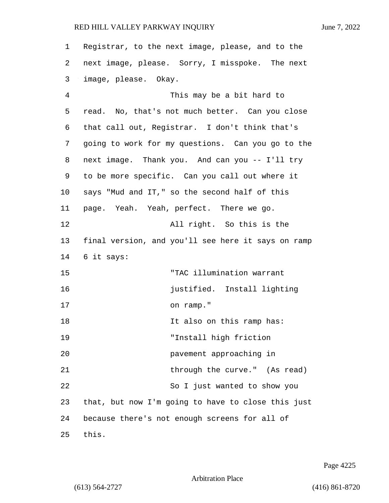| $\mathbf 1$ | Registrar, to the next image, please, and to the   |
|-------------|----------------------------------------------------|
| 2           | next image, please. Sorry, I misspoke. The next    |
| 3           | image, please. Okay.                               |
| 4           | This may be a bit hard to                          |
| 5           | read. No, that's not much better. Can you close    |
| 6           | that call out, Registrar. I don't think that's     |
| 7           | going to work for my questions. Can you go to the  |
| 8           | next image. Thank you. And can you -- I'll try     |
| 9           | to be more specific. Can you call out where it     |
| 10          | says "Mud and IT," so the second half of this      |
| 11          | page. Yeah. Yeah, perfect. There we go.            |
| 12          | All right. So this is the                          |
| 13          | final version, and you'll see here it says on ramp |
| 14          | 6 it says:                                         |
| 15          | "TAC illumination warrant                          |
| 16          | justified. Install lighting                        |
| 17          | on ramp."                                          |
| 18          | It also on this ramp has:                          |
| 19          | "Install high friction                             |
| 20          | pavement approaching in                            |
| 21          | through the curve." (As read)                      |
| 22          | So I just wanted to show you                       |
| 23          | that, but now I'm going to have to close this just |
| 24          | because there's not enough screens for all of      |
| 25          | this.                                              |

Page 4225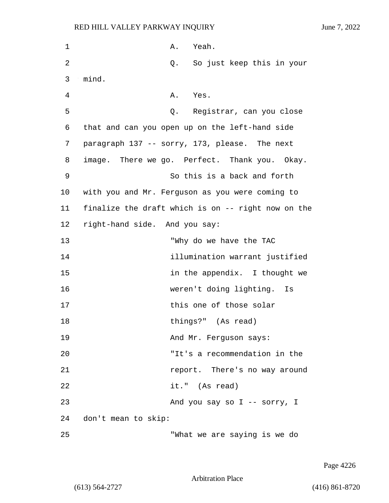| 1  | A. Yeah.                                           |
|----|----------------------------------------------------|
| 2  | So just keep this in your<br>Q.                    |
| 3  | mind.                                              |
| 4  | A. Yes.                                            |
| 5  | Q. Registrar, can you close                        |
| 6  | that and can you open up on the left-hand side     |
| 7  | paragraph 137 -- sorry, 173, please. The next      |
| 8  | image. There we go. Perfect. Thank you. Okay.      |
| 9  | So this is a back and forth                        |
| 10 | with you and Mr. Ferguson as you were coming to    |
| 11 | finalize the draft which is on -- right now on the |
| 12 | right-hand side. And you say:                      |
| 13 | "Why do we have the TAC                            |
| 14 | illumination warrant justified                     |
| 15 | in the appendix. I thought we                      |
| 16 | weren't doing lighting. Is                         |
| 17 | this one of those solar                            |
| 18 | things?" (As read)                                 |
| 19 | And Mr. Ferguson says:                             |
| 20 | "It's a recommendation in the                      |
| 21 | report. There's no way around                      |
| 22 | it." (As read)                                     |
| 23 | And you say so I -- sorry, I                       |
| 24 | don't mean to skip:                                |
| 25 | "What we are saying is we do                       |

Page 4226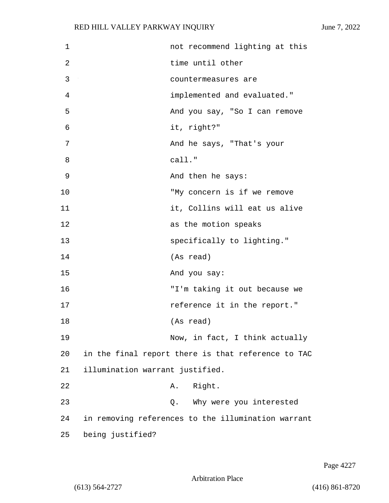| $\mathbf 1$ | not recommend lighting at this                     |
|-------------|----------------------------------------------------|
| 2           | time until other                                   |
| 3           | countermeasures are                                |
| 4           | implemented and evaluated."                        |
| 5           | And you say, "So I can remove                      |
| 6           | it, right?"                                        |
| 7           | And he says, "That's your                          |
| 8           | call."                                             |
| 9           | And then he says:                                  |
| 10          | "My concern is if we remove                        |
| 11          | it, Collins will eat us alive                      |
| 12          | as the motion speaks                               |
| 13          | specifically to lighting."                         |
| 14          | (As read)                                          |
| 15          | And you say:                                       |
| 16          | "I'm taking it out because we                      |
| 17          | reference it in the report."                       |
| 18          | (As read)                                          |
| 19          | Now, in fact, I think actually                     |
| 20          | in the final report there is that reference to TAC |
| 21          | illumination warrant justified.                    |
| 22          | Right.<br>Α.                                       |
| 23          | Why were you interested<br>Q.                      |
| 24          | in removing references to the illumination warrant |
| 25          | being justified?                                   |

Page 4227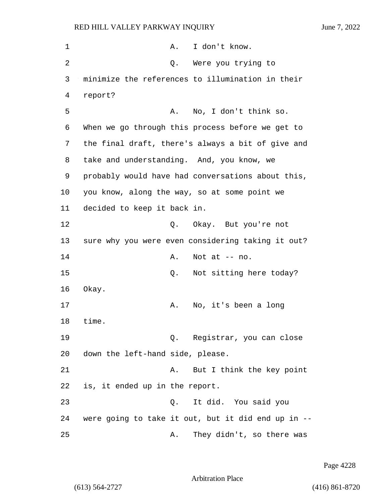| 1  | I don't know.<br>Α.                                |
|----|----------------------------------------------------|
| 2  | Were you trying to<br>Q.                           |
| 3  | minimize the references to illumination in their   |
| 4  | report?                                            |
| 5  | No, I don't think so.<br>Α.                        |
| 6  | When we go through this process before we get to   |
| 7  | the final draft, there's always a bit of give and  |
| 8  | take and understanding. And, you know, we          |
| 9  | probably would have had conversations about this,  |
| 10 | you know, along the way, so at some point we       |
| 11 | decided to keep it back in.                        |
| 12 | Q. Okay. But you're not                            |
| 13 | sure why you were even considering taking it out?  |
| 14 | Not at $--$ no.<br>Α.                              |
| 15 | Not sitting here today?<br>Q.                      |
| 16 | Okay.                                              |
| 17 | No, it's been a long<br>Α.                         |
| 18 | time.                                              |
| 19 | Q. Registrar, you can close                        |
| 20 | down the left-hand side, please.                   |
| 21 | But I think the key point<br>Α.                    |
| 22 | is, it ended up in the report.                     |
| 23 | It did. You said you<br>Q.                         |
| 24 | were going to take it out, but it did end up in -- |
| 25 | They didn't, so there was<br>Α.                    |

Page 4228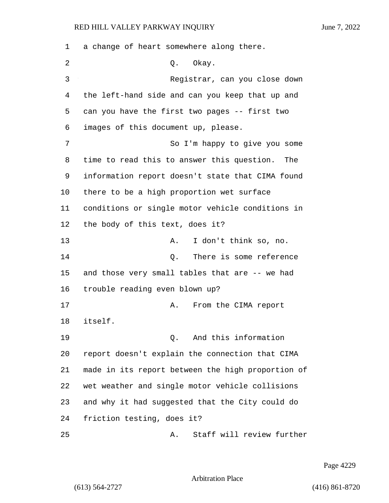a change of heart somewhere along there. 2 Q. Okay. 3 Registrar, can you close down the left-hand side and can you keep that up and can you have the first two pages -- first two images of this document up, please. 7 So I'm happy to give you some time to read this to answer this question. The information report doesn't state that CIMA found there to be a high proportion wet surface conditions or single motor vehicle conditions in the body of this text, does it? 13 A. I don't think so, no. 14 Q. There is some reference and those very small tables that are -- we had trouble reading even blown up? 17 A. From the CIMA report 18 itself. 19 Q. And this information report doesn't explain the connection that CIMA made in its report between the high proportion of wet weather and single motor vehicle collisions and why it had suggested that the City could do friction testing, does it? 25 A. Staff will review further

Page 4229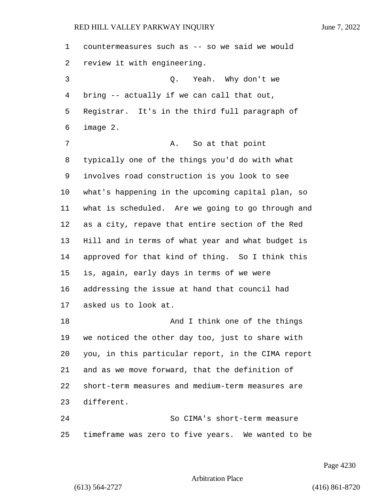| 1  | countermeasures such as -- so we said we would     |
|----|----------------------------------------------------|
| 2  | review it with engineering.                        |
| 3  | Yeah. Why don't we<br>Q.                           |
| 4  | bring -- actually if we can call that out,         |
| 5  | Registrar. It's in the third full paragraph of     |
| 6  | image 2.                                           |
| 7  | So at that point<br>Α.                             |
| 8  | typically one of the things you'd do with what     |
| 9  | involves road construction is you look to see      |
| 10 | what's happening in the upcoming capital plan, so  |
| 11 | what is scheduled. Are we going to go through and  |
| 12 | as a city, repave that entire section of the Red   |
| 13 | Hill and in terms of what year and what budget is  |
| 14 | approved for that kind of thing. So I think this   |
| 15 | is, again, early days in terms of we were          |
| 16 | addressing the issue at hand that council had      |
| 17 | asked us to look at.                               |
| 18 | And I think one of the things                      |
| 19 | we noticed the other day too, just to share with   |
| 20 | you, in this particular report, in the CIMA report |
| 21 | and as we move forward, that the definition of     |
| 22 | short-term measures and medium-term measures are   |
| 23 | different.                                         |
| 24 | So CIMA's short-term measure                       |
| 25 | timeframe was zero to five years. We wanted to be  |

Page 4230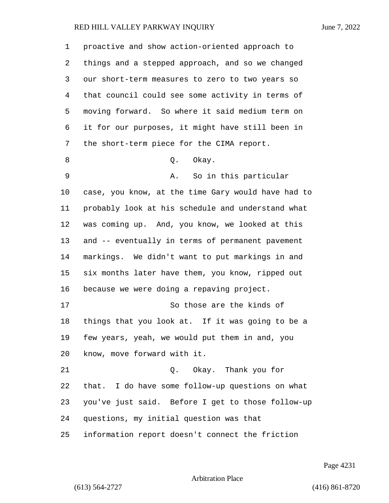| 1  | proactive and show action-oriented approach to      |
|----|-----------------------------------------------------|
| 2  | things and a stepped approach, and so we changed    |
| 3  | our short-term measures to zero to two years so     |
| 4  | that council could see some activity in terms of    |
| 5  | moving forward. So where it said medium term on     |
| 6  | it for our purposes, it might have still been in    |
| 7  | the short-term piece for the CIMA report.           |
| 8  | Okay.<br>Q.                                         |
| 9  | So in this particular<br>Α.                         |
| 10 | case, you know, at the time Gary would have had to  |
| 11 | probably look at his schedule and understand what   |
| 12 | was coming up. And, you know, we looked at this     |
| 13 | and -- eventually in terms of permanent pavement    |
| 14 | markings. We didn't want to put markings in and     |
| 15 | six months later have them, you know, ripped out    |
| 16 | because we were doing a repaving project.           |
| 17 | So those are the kinds of                           |
| 18 | things that you look at. If it was going to be a    |
| 19 | few years, yeah, we would put them in and, you      |
| 20 | know, move forward with it.                         |
| 21 | Q. Okay. Thank you for                              |
| 22 | I do have some follow-up questions on what<br>that. |
| 23 | you've just said. Before I get to those follow-up   |
| 24 | questions, my initial question was that             |
| 25 | information report doesn't connect the friction     |

Page 4231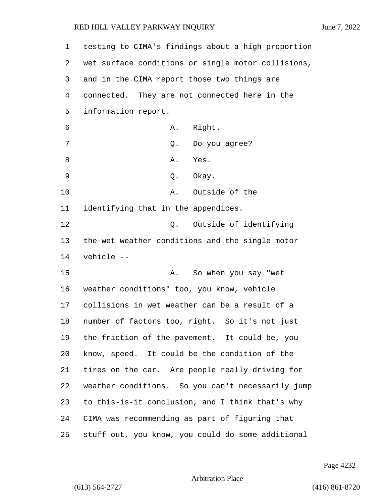| 1              | testing to CIMA's findings about a high proportion |
|----------------|----------------------------------------------------|
| 2              | wet surface conditions or single motor collisions, |
| 3              | and in the CIMA report those two things are        |
| $\overline{4}$ | connected. They are not connected here in the      |
| 5              | information report.                                |
| 6              | A. Right.                                          |
| 7              | Q. Do you agree?                                   |
| 8              | Α.<br>Yes.                                         |
| 9              | Q. Okay.                                           |
| 10             | Outside of the<br>Α.                               |
| 11             | identifying that in the appendices.                |
| 12             | Outside of identifying<br>Q.                       |
| 13             | the wet weather conditions and the single motor    |
| 14             | vehicle --                                         |
| 15             | So when you say "wet<br>Α.                         |
| 16             | weather conditions" too, you know, vehicle         |
| 17             | collisions in wet weather can be a result of a     |
| 18             | number of factors too, right. So it's not just     |
| 19             | the friction of the pavement. It could be, you     |
| 20             | know, speed. It could be the condition of the      |
| 21             | tires on the car. Are people really driving for    |
| 22             | weather conditions. So you can't necessarily jump  |
| 23             | to this-is-it conclusion, and I think that's why   |
| 24             | CIMA was recommending as part of figuring that     |
| 25             | stuff out, you know, you could do some additional  |

Page 4232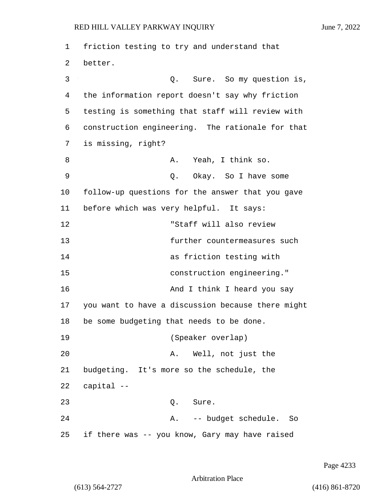1 friction testing to try and understand that 2 better. 3 Q. Sure. So my question is, 4 the information report doesn't say why friction 5 testing is something that staff will review with 6 construction engineering. The rationale for that 7 is missing, right? 8 A. Yeah, I think so. 9 Q. Okay. So I have some 10 follow-up questions for the answer that you gave 11 before which was very helpful. It says: 12 "Staff will also review 13 further countermeasures such 14 as friction testing with 15 construction engineering." 16 And I think I heard you say 17 you want to have a discussion because there might 18 be some budgeting that needs to be done. 19 (Speaker overlap) 20 A. Well, not just the 21 budgeting. It's more so the schedule, the 22 capital -- 23 Q. Sure. 24 A. -- budget schedule. So 25 if there was -- you know, Gary may have raised

Page 4233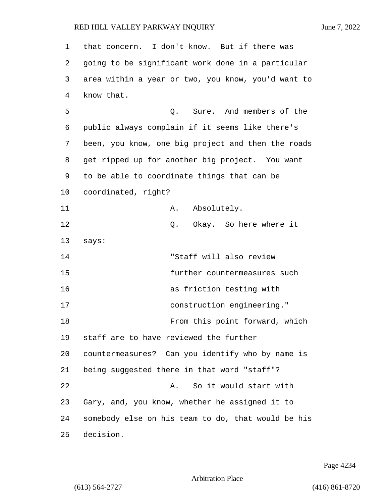| $\mathbf 1$ | that concern. I don't know. But if there was       |
|-------------|----------------------------------------------------|
| 2           | going to be significant work done in a particular  |
| 3           | area within a year or two, you know, you'd want to |
| 4           | know that.                                         |
| 5           | Q. Sure. And members of the                        |
| 6           | public always complain if it seems like there's    |
| 7           | been, you know, one big project and then the roads |
| 8           | get ripped up for another big project. You want    |
| 9           | to be able to coordinate things that can be        |
| 10          | coordinated, right?                                |
| 11          | Absolutely.<br>Α.                                  |
| 12          | Okay. So here where it<br>Q.                       |
| 13          | says:                                              |
| 14          | "Staff will also review                            |
| 15          | further countermeasures such                       |
| 16          | as friction testing with                           |
| 17          | construction engineering."                         |
| 18          | From this point forward, which                     |
| 19          | staff are to have reviewed the further             |
| 20          | countermeasures? Can you identify who by name is   |
| 21          | being suggested there in that word "staff"?        |
| 22          | So it would start with<br>Α.                       |
| 23          | Gary, and, you know, whether he assigned it to     |
| 24          | somebody else on his team to do, that would be his |
| 25          | decision.                                          |

Page 4234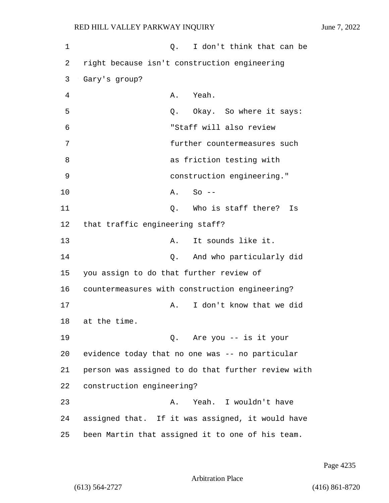1 Q. I don't think that can be 2 right because isn't construction engineering 3 Gary's group? 4 A. Yeah. 5 Q. Okay. So where it says: 6 "Staff will also review 7 further countermeasures such 8 as friction testing with 9 construction engineering." 10 A. So -- 11 C. Who is staff there? Is 12 that traffic engineering staff? 13 A. It sounds like it. 14 Q. And who particularly did 15 you assign to do that further review of 16 countermeasures with construction engineering? 17 A. I don't know that we did 18 at the time. 19 Q. Are you -- is it your 20 evidence today that no one was -- no particular 21 person was assigned to do that further review with 22 construction engineering? 23 A. Yeah. I wouldn't have 24 assigned that. If it was assigned, it would have 25 been Martin that assigned it to one of his team.

Page 4235

Arbitration Place

(613) 564-2727 (416) 861-8720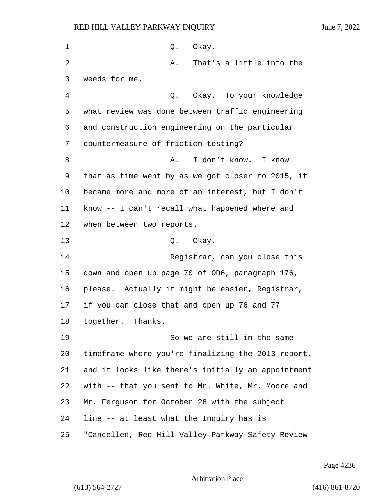| $\mathbf 1$ | Okay.<br>Q.                                        |
|-------------|----------------------------------------------------|
| 2           | That's a little into the<br>Α.                     |
| 3           | weeds for me.                                      |
| 4           | Okay. To your knowledge<br>Q.                      |
| 5           | what review was done between traffic engineering   |
| 6           | and construction engineering on the particular     |
| 7           | countermeasure of friction testing?                |
| 8           | I don't know.<br>I know<br>Α.                      |
| 9           | that as time went by as we got closer to 2015, it  |
| 10          | became more and more of an interest, but I don't   |
| 11          | know -- I can't recall what happened where and     |
| 12          | when between two reports.                          |
| 13          | Okay.<br>Q.                                        |
| 14          | Registrar, can you close this                      |
| 15          | down and open up page 70 of OD6, paragraph 176,    |
| 16          | please. Actually it might be easier, Registrar,    |
| 17          | if you can close that and open up 76 and 77        |
| 18          | together. Thanks.                                  |
| 19          | So we are still in the same                        |
| 20          | timeframe where you're finalizing the 2013 report, |
| 21          | and it looks like there's initially an appointment |
| 22          | with -- that you sent to Mr. White, Mr. Moore and  |
| 23          | Mr. Ferguson for October 28 with the subject       |
| 24          | line -- at least what the Inquiry has is           |
| 25          | "Cancelled, Red Hill Valley Parkway Safety Review  |

Page 4236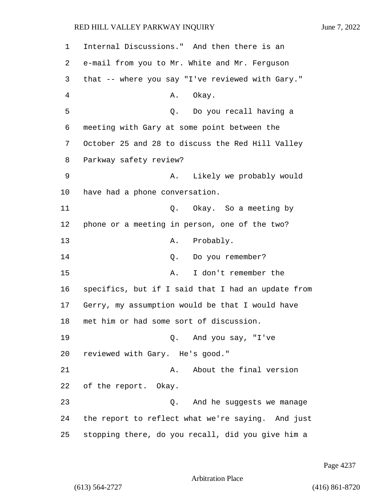1 Internal Discussions." And then there is an 2 e-mail from you to Mr. White and Mr. Ferguson 3 that -- where you say "I've reviewed with Gary." 4 A. Okay. 5 Q. Do you recall having a 6 meeting with Gary at some point between the 7 October 25 and 28 to discuss the Red Hill Valley 8 Parkway safety review? 9 A. Likely we probably would 10 have had a phone conversation. 11 C. Okay. So a meeting by 12 phone or a meeting in person, one of the two? 13 A. Probably. 14 Q. Do you remember? 15 A. I don't remember the 16 specifics, but if I said that I had an update from 17 Gerry, my assumption would be that I would have 18 met him or had some sort of discussion. 19 Q. And you say, "I've 20 reviewed with Gary. He's good." 21 A. About the final version 22 of the report. Okay. 23 Q. And he suggests we manage 24 the report to reflect what we're saying. And just 25 stopping there, do you recall, did you give him a

Page 4237

Arbitration Place

(613) 564-2727 (416) 861-8720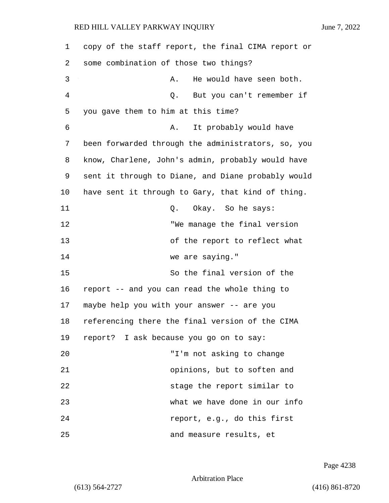| 1  | copy of the staff report, the final CIMA report or |
|----|----------------------------------------------------|
| 2  | some combination of those two things?              |
| 3  | He would have seen both.<br>Α.                     |
| 4  | But you can't remember if<br>Q.                    |
| 5  | you gave them to him at this time?                 |
| 6  | It probably would have<br>Α.                       |
| 7  | been forwarded through the administrators, so, you |
| 8  | know, Charlene, John's admin, probably would have  |
| 9  | sent it through to Diane, and Diane probably would |
| 10 | have sent it through to Gary, that kind of thing.  |
| 11 | Q. Okay. So he says:                               |
| 12 | "We manage the final version                       |
| 13 | of the report to reflect what                      |
| 14 | we are saying."                                    |
| 15 | So the final version of the                        |
| 16 | report -- and you can read the whole thing to      |
| 17 | maybe help you with your answer -- are you         |
| 18 | referencing there the final version of the CIMA    |
| 19 | report? I ask because you go on to say:            |
| 20 | "I'm not asking to change                          |
| 21 | opinions, but to soften and                        |
| 22 | stage the report similar to                        |
| 23 | what we have done in our info                      |
| 24 | report, e.g., do this first                        |
| 25 | and measure results, et                            |

Page 4238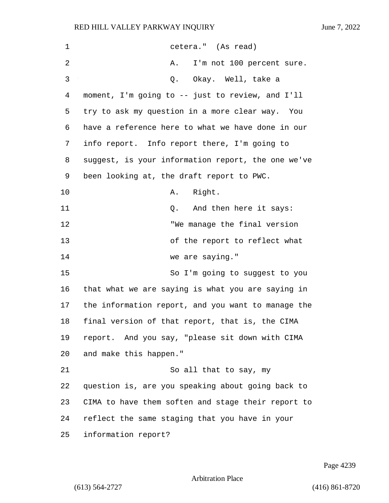| 1  | cetera." (As read)                                 |
|----|----------------------------------------------------|
| 2  | I'm not 100 percent sure.<br>Α.                    |
| 3  | Q. Okay. Well, take a                              |
| 4  | moment, I'm going to -- just to review, and I'll   |
| 5  | try to ask my question in a more clear way. You    |
| 6  | have a reference here to what we have done in our  |
| 7  | info report. Info report there, I'm going to       |
| 8  | suggest, is your information report, the one we've |
| 9  | been looking at, the draft report to PWC.          |
| 10 | Right.<br>Α.                                       |
| 11 | Q. And then here it says:                          |
| 12 | "We manage the final version                       |
| 13 | of the report to reflect what                      |
| 14 | we are saying."                                    |
| 15 | So I'm going to suggest to you                     |
| 16 | that what we are saying is what you are saying in  |
| 17 | the information report, and you want to manage the |
| 18 | final version of that report, that is, the CIMA    |
| 19 | report. And you say, "please sit down with CIMA    |
| 20 | and make this happen."                             |
| 21 | So all that to say, my                             |
| 22 | question is, are you speaking about going back to  |
| 23 | CIMA to have them soften and stage their report to |
| 24 | reflect the same staging that you have in your     |
| 25 | information report?                                |

Page 4239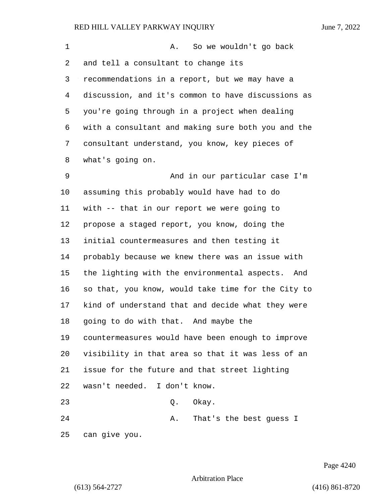| 1  | So we wouldn't go back<br>Α.                       |
|----|----------------------------------------------------|
| 2  | and tell a consultant to change its                |
| 3  | recommendations in a report, but we may have a     |
| 4  | discussion, and it's common to have discussions as |
| 5  | you're going through in a project when dealing     |
| 6  | with a consultant and making sure both you and the |
| 7  | consultant understand, you know, key pieces of     |
| 8  | what's going on.                                   |
| 9  | And in our particular case I'm                     |
| 10 | assuming this probably would have had to do        |
| 11 | with -- that in our report we were going to        |
| 12 | propose a staged report, you know, doing the       |
| 13 | initial countermeasures and then testing it        |
| 14 | probably because we knew there was an issue with   |
| 15 | the lighting with the environmental aspects. And   |
| 16 | so that, you know, would take time for the City to |
| 17 | kind of understand that and decide what they were  |
| 18 | going to do with that. And maybe the               |
| 19 | countermeasures would have been enough to improve  |
| 20 | visibility in that area so that it was less of an  |
| 21 | issue for the future and that street lighting      |
| 22 | wasn't needed. I don't know.                       |
| 23 | Okay.<br>Q.                                        |
| 24 | That's the best guess I<br>Α.                      |
| 25 | can give you.                                      |

Page 4240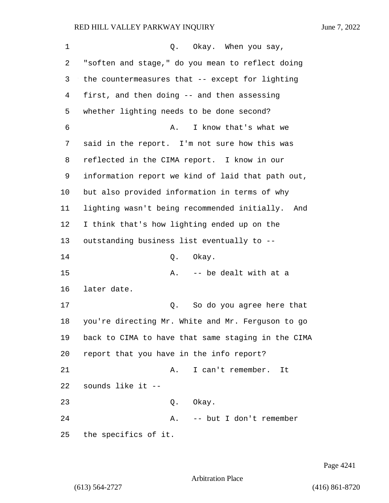| 1  | Okay. When you say,<br>Q.                           |
|----|-----------------------------------------------------|
| 2  | "soften and stage," do you mean to reflect doing    |
| 3  | the countermeasures that -- except for lighting     |
| 4  | first, and then doing -- and then assessing         |
| 5  | whether lighting needs to be done second?           |
| б  | I know that's what we<br>Α.                         |
| 7  | said in the report. I'm not sure how this was       |
| 8  | reflected in the CIMA report. I know in our         |
| 9  | information report we kind of laid that path out,   |
| 10 | but also provided information in terms of why       |
| 11 | lighting wasn't being recommended initially.<br>And |
| 12 | I think that's how lighting ended up on the         |
| 13 | outstanding business list eventually to --          |
| 14 | Okay.<br>Q.                                         |
| 15 | -- be dealt with at a<br>Α.                         |
| 16 | later date.                                         |
| 17 | Q.<br>So do you agree here that                     |
| 18 | you're directing Mr. White and Mr. Ferguson to go   |
| 19 | back to CIMA to have that same staging in the CIMA  |
| 20 | report that you have in the info report?            |
| 21 | I can't remember.<br>Α.<br>It                       |
| 22 | sounds like it --                                   |
| 23 | Q. Okay.                                            |
| 24 | -- but I don't remember<br>A.                       |
| 25 | the specifics of it.                                |

Page 4241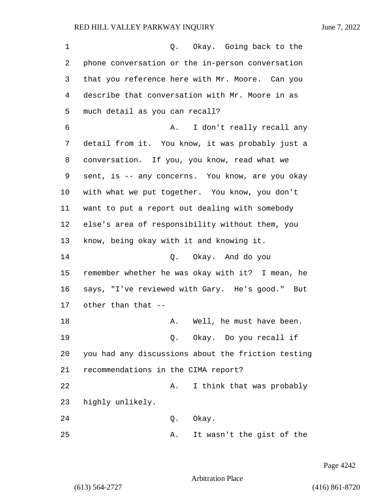| 1  | Okay. Going back to the<br>Q.                      |
|----|----------------------------------------------------|
| 2  | phone conversation or the in-person conversation   |
| 3  | that you reference here with Mr. Moore. Can you    |
| 4  | describe that conversation with Mr. Moore in as    |
| 5  | much detail as you can recall?                     |
| 6  | I don't really recall any<br>Α.                    |
| 7  | detail from it. You know, it was probably just a   |
| 8  | conversation. If you, you know, read what we       |
| 9  | sent, is -- any concerns. You know, are you okay   |
| 10 | with what we put together. You know, you don't     |
| 11 | want to put a report out dealing with somebody     |
| 12 | else's area of responsibility without them, you    |
| 13 | know, being okay with it and knowing it.           |
| 14 | Q. Okay. And do you                                |
| 15 | remember whether he was okay with it? I mean, he   |
| 16 | says, "I've reviewed with Gary. He's good." But    |
| 17 | other than that --                                 |
| 18 | A. Well, he must have been.                        |
| 19 | Q. Okay. Do you recall if                          |
| 20 | you had any discussions about the friction testing |
| 21 | recommendations in the CIMA report?                |
| 22 | I think that was probably<br>Α.                    |
| 23 | highly unlikely.                                   |
| 24 | Okay.<br>Q.                                        |
| 25 | It wasn't the gist of the<br>Α.                    |

Page 4242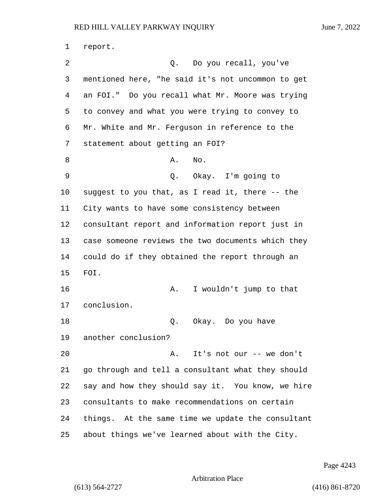report. 2 Q. Do you recall, you've mentioned here, "he said it's not uncommon to get an FOI." Do you recall what Mr. Moore was trying to convey and what you were trying to convey to Mr. White and Mr. Ferguson in reference to the statement about getting an FOI? 8 A. No. 9 Q. Okay. I'm going to suggest to you that, as I read it, there -- the City wants to have some consistency between consultant report and information report just in case someone reviews the two documents which they could do if they obtained the report through an FOI. 16 A. I wouldn't jump to that conclusion. 18 Q. Okay. Do you have another conclusion? 20 A. It's not our -- we don't go through and tell a consultant what they should say and how they should say it. You know, we hire consultants to make recommendations on certain things. At the same time we update the consultant about things we've learned about with the City.

Page 4243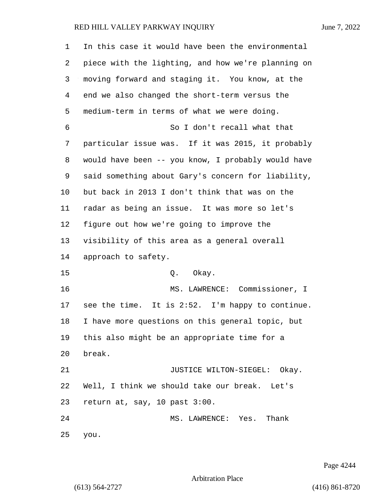| 1              | In this case it would have been the environmental  |
|----------------|----------------------------------------------------|
| 2              | piece with the lighting, and how we're planning on |
| 3              | moving forward and staging it. You know, at the    |
| $\overline{4}$ | end we also changed the short-term versus the      |
| 5              | medium-term in terms of what we were doing.        |
| 6              | So I don't recall what that                        |
| 7              | particular issue was. If it was 2015, it probably  |
| 8              | would have been -- you know, I probably would have |
| 9              | said something about Gary's concern for liability, |
| 10             | but back in 2013 I don't think that was on the     |
| 11             | radar as being an issue. It was more so let's      |
| 12             | figure out how we're going to improve the          |
| 13             | visibility of this area as a general overall       |
| 14             | approach to safety.                                |
| 15             | Q. Okay.                                           |
| 16             | MS. LAWRENCE: Commissioner, I                      |
| 17             | see the time. It is 2:52. I'm happy to continue.   |
| 18             | I have more questions on this general topic, but   |
| 19             | this also might be an appropriate time for a       |
| 20             | break.                                             |
| 21             | JUSTICE WILTON-SIEGEL: Okay.                       |
| 22             | Well, I think we should take our break. Let's      |
| 23             | return at, say, 10 past 3:00.                      |
| 24             | MS. LAWRENCE: Yes.<br>Thank                        |
| 25             | you.                                               |

Page 4244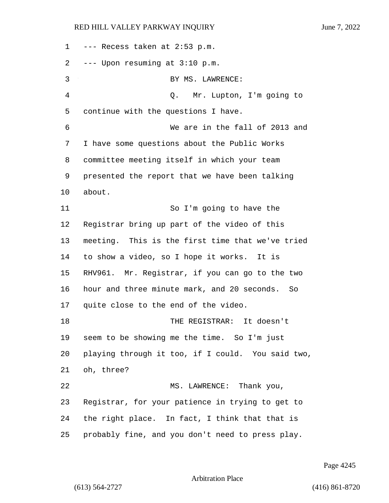--- Recess taken at 2:53 p.m. --- Upon resuming at 3:10 p.m. 3 BY MS. LAWRENCE: 4 Q. Mr. Lupton, I'm going to continue with the questions I have. 6 We are in the fall of 2013 and I have some questions about the Public Works committee meeting itself in which your team presented the report that we have been talking about. 11 So I'm going to have the Registrar bring up part of the video of this meeting. This is the first time that we've tried to show a video, so I hope it works. It is RHV961. Mr. Registrar, if you can go to the two hour and three minute mark, and 20 seconds. So quite close to the end of the video. 18 THE REGISTRAR: It doesn't seem to be showing me the time. So I'm just playing through it too, if I could. You said two, oh, three? 22 MS. LAWRENCE: Thank you, Registrar, for your patience in trying to get to the right place. In fact, I think that that is probably fine, and you don't need to press play.

Arbitration Place

(613) 564-2727 (416) 861-8720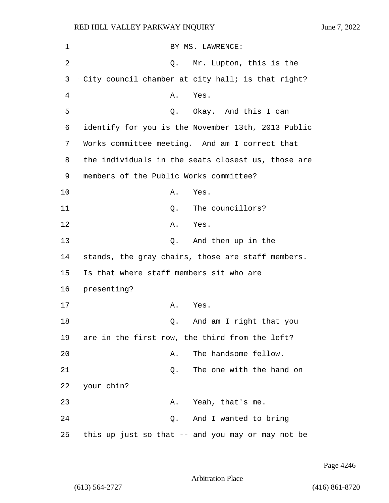| 1  | BY MS. LAWRENCE:                                   |
|----|----------------------------------------------------|
| 2  | Mr. Lupton, this is the<br>Q.                      |
| 3  | City council chamber at city hall; is that right?  |
| 4  | Α.<br>Yes.                                         |
| 5  | Q. Okay. And this I can                            |
| 6  | identify for you is the November 13th, 2013 Public |
| 7  | Works committee meeting. And am I correct that     |
| 8  | the individuals in the seats closest us, those are |
| 9  | members of the Public Works committee?             |
| 10 | Α.<br>Yes.                                         |
| 11 | The councillors?<br>Q.                             |
| 12 | Α.<br>Yes.                                         |
| 13 | And then up in the<br>Q.                           |
| 14 | stands, the gray chairs, those are staff members.  |
| 15 | Is that where staff members sit who are            |
| 16 | presenting?                                        |
| 17 | Yes.<br>А.                                         |
| 18 | And am I right that you<br>Q.                      |
| 19 | are in the first row, the third from the left?     |
| 20 | The handsome fellow.<br>Α.                         |
| 21 | The one with the hand on<br>Q.                     |
| 22 | your chin?                                         |
| 23 | Yeah, that's me.<br>Α.                             |
| 24 | And I wanted to bring<br>Q.                        |
| 25 | this up just so that -- and you may or may not be  |

Page 4246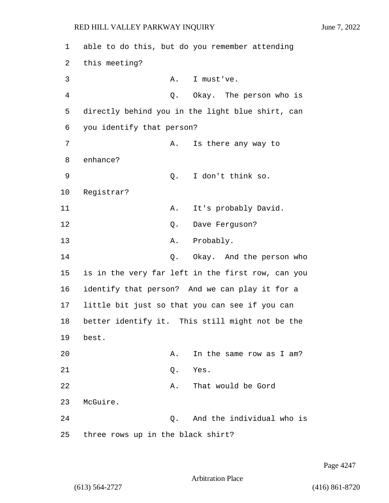1 able to do this, but do you remember attending 2 this meeting? 3 A. I must've. 4 Q. Okay. The person who is 5 directly behind you in the light blue shirt, can 6 you identify that person? 7 A. Is there any way to 8 enhance? 9 Q. I don't think so. 10 Registrar? 11 A. It's probably David. 12 O. Dave Ferguson? 13 A. Probably. 14 Q. Okay. And the person who 15 is in the very far left in the first row, can you 16 identify that person? And we can play it for a 17 little bit just so that you can see if you can 18 better identify it. This still might not be the 19 best. 20 **A.** In the same row as I am? 21 Q. Yes. 22 A. That would be Gord 23 McGuire. 24 Q. And the individual who is 25 three rows up in the black shirt?

Page 4247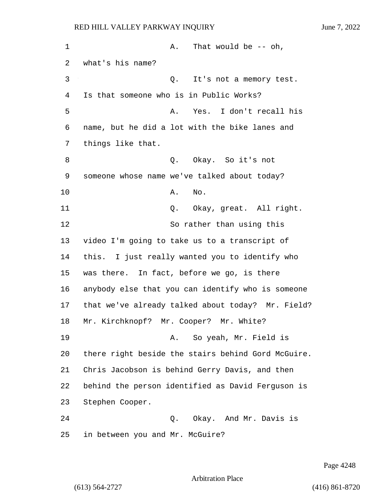| 1  | That would be $--$ oh,<br>Α.                       |
|----|----------------------------------------------------|
| 2  | what's his name?                                   |
| 3  | It's not a memory test.<br>Q.                      |
| 4  | Is that someone who is in Public Works?            |
| 5  | Yes. I don't recall his<br>Α.                      |
| 6  | name, but he did a lot with the bike lanes and     |
| 7  | things like that.                                  |
| 8  | Q. Okay. So it's not                               |
| 9  | someone whose name we've talked about today?       |
| 10 | No.<br>Α.                                          |
| 11 | Okay, great. All right.<br>Q.                      |
| 12 | So rather than using this                          |
| 13 | video I'm going to take us to a transcript of      |
| 14 | this. I just really wanted you to identify who     |
| 15 | was there. In fact, before we go, is there         |
| 16 | anybody else that you can identify who is someone  |
| 17 | that we've already talked about today? Mr. Field?  |
| 18 | Mr. Kirchknopf? Mr. Cooper? Mr. White?             |
| 19 | So yeah, Mr. Field is<br>Α.                        |
| 20 | there right beside the stairs behind Gord McGuire. |
| 21 | Chris Jacobson is behind Gerry Davis, and then     |
| 22 | behind the person identified as David Ferguson is  |
| 23 | Stephen Cooper.                                    |
| 24 | Okay. And Mr. Davis is<br>Q.                       |
| 25 | in between you and Mr. McGuire?                    |

Page 4248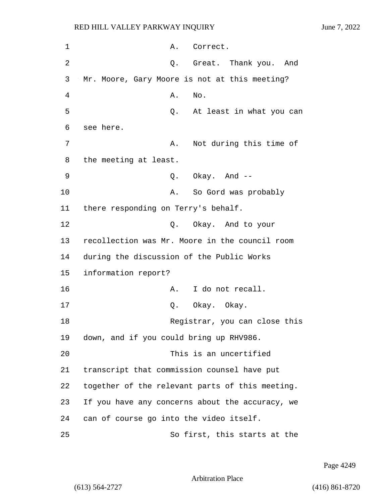| 1  | A. Correct.                                     |
|----|-------------------------------------------------|
| 2  | Great. Thank you.<br>And<br>Q.                  |
| 3  | Mr. Moore, Gary Moore is not at this meeting?   |
| 4  | No.<br>Α.                                       |
| 5  | Q. At least in what you can                     |
| 6  | see here.                                       |
| 7  | Not during this time of<br>Α.                   |
| 8  | the meeting at least.                           |
| 9  | $Q.$ Okay. And $-$                              |
| 10 | So Gord was probably<br>Α.                      |
| 11 | there responding on Terry's behalf.             |
| 12 | Q. Okay. And to your                            |
| 13 | recollection was Mr. Moore in the council room  |
| 14 | during the discussion of the Public Works       |
| 15 | information report?                             |
| 16 | I do not recall.<br>Α.                          |
| 17 | Q. Okay. Okay.                                  |
| 18 | Registrar, you can close this                   |
| 19 | down, and if you could bring up RHV986.         |
| 20 | This is an uncertified                          |
| 21 | transcript that commission counsel have put     |
| 22 | together of the relevant parts of this meeting. |
| 23 | If you have any concerns about the accuracy, we |
| 24 | can of course go into the video itself.         |
| 25 | So first, this starts at the                    |

Page 4249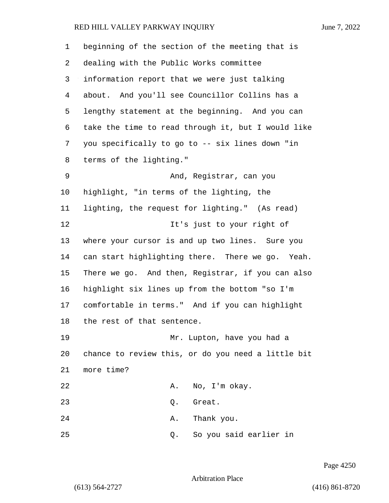| 1       | beginning of the section of the meeting that is    |
|---------|----------------------------------------------------|
| 2       | dealing with the Public Works committee            |
| 3       | information report that we were just talking       |
| 4       | about. And you'll see Councillor Collins has a     |
| 5       | lengthy statement at the beginning. And you can    |
| 6       | take the time to read through it, but I would like |
| 7       | you specifically to go to -- six lines down "in    |
| 8       | terms of the lighting."                            |
| 9       | And, Registrar, can you                            |
| $10 \,$ | highlight, "in terms of the lighting, the          |
| 11      | lighting, the request for lighting." (As read)     |
| 12      | It's just to your right of                         |
| 13      | where your cursor is and up two lines. Sure you    |
| 14      | can start highlighting there. There we go. Yeah.   |
| 15      | There we go. And then, Registrar, if you can also  |
| 16      | highlight six lines up from the bottom "so I'm     |
| 17      | comfortable in terms." And if you can highlight    |
| 18      | the rest of that sentence.                         |
| 19      | Mr. Lupton, have you had a                         |
| 20      | chance to review this, or do you need a little bit |
| 21      | more time?                                         |
| 22      | No, I'm okay.<br>Α.                                |
| 23      | Great.<br>Q.                                       |
| 24      | Thank you.<br>Α.                                   |
| 25      | So you said earlier in<br>Q.                       |

Page 4250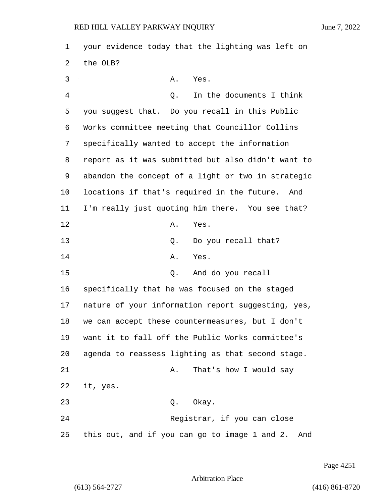1 your evidence today that the lighting was left on 2 the OLB? 3 A. Yes. 4 Q. In the documents I think 5 you suggest that. Do you recall in this Public 6 Works committee meeting that Councillor Collins 7 specifically wanted to accept the information 8 report as it was submitted but also didn't want to 9 abandon the concept of a light or two in strategic 10 locations if that's required in the future. And 11 I'm really just quoting him there. You see that? 12 A. Yes. 13 Q. Do you recall that? 14 A. Yes. 15 Q. And do you recall 16 specifically that he was focused on the staged 17 nature of your information report suggesting, yes, 18 we can accept these countermeasures, but I don't 19 want it to fall off the Public Works committee's 20 agenda to reassess lighting as that second stage. 21 A. That's how I would say 22 it, yes. 23 Q. Okay. 24 Registrar, if you can close 25 this out, and if you can go to image 1 and 2. And

Page 4251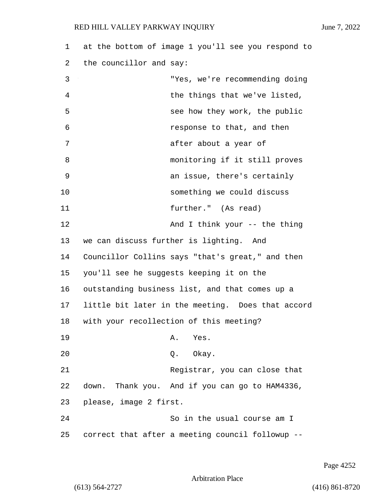| 1  | at the bottom of image 1 you'll see you respond to |
|----|----------------------------------------------------|
| 2  | the councillor and say:                            |
| 3  | "Yes, we're recommending doing                     |
| 4  | the things that we've listed,                      |
| 5  | see how they work, the public                      |
| 6  | response to that, and then                         |
| 7  | after about a year of                              |
| 8  | monitoring if it still proves                      |
| 9  | an issue, there's certainly                        |
| 10 | something we could discuss                         |
| 11 | further." (As read)                                |
| 12 | And I think your -- the thing                      |
| 13 | we can discuss further is lighting. And            |
| 14 | Councillor Collins says "that's great," and then   |
| 15 | you'll see he suggests keeping it on the           |
| 16 | outstanding business list, and that comes up a     |
| 17 | little bit later in the meeting. Does that accord  |
| 18 | with your recollection of this meeting?            |
| 19 | Yes.<br>Α.                                         |
| 20 | Okay.<br>Q.                                        |
| 21 | Registrar, you can close that                      |
| 22 | down. Thank you. And if you can go to HAM4336,     |
| 23 | please, image 2 first.                             |
| 24 | So in the usual course am I                        |
| 25 | correct that after a meeting council followup --   |

Page 4252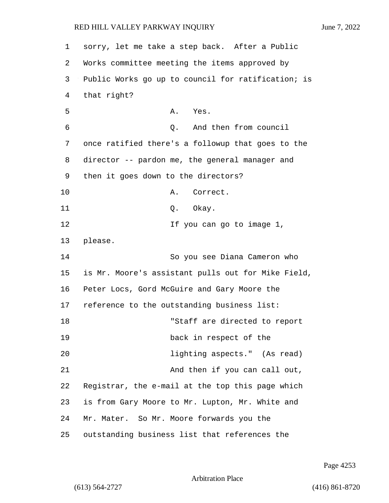1 sorry, let me take a step back. After a Public 2 Works committee meeting the items approved by 3 Public Works go up to council for ratification; is 4 that right? 5 A. Yes. 6 Q. And then from council 7 once ratified there's a followup that goes to the 8 director -- pardon me, the general manager and 9 then it goes down to the directors? 10 A. Correct. 11 Q. Okay. 12 12 If you can go to image 1, 13 please. 14 So you see Diana Cameron who 15 is Mr. Moore's assistant pulls out for Mike Field, 16 Peter Locs, Gord McGuire and Gary Moore the 17 reference to the outstanding business list: 18 "Staff are directed to report 19 back in respect of the 20 lighting aspects." (As read) 21 And then if you can call out, 22 Registrar, the e-mail at the top this page which 23 is from Gary Moore to Mr. Lupton, Mr. White and 24 Mr. Mater. So Mr. Moore forwards you the 25 outstanding business list that references the

Page 4253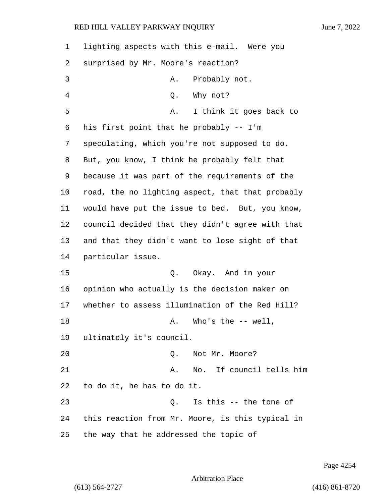| 1  | lighting aspects with this e-mail. Were you      |
|----|--------------------------------------------------|
| 2  | surprised by Mr. Moore's reaction?               |
| 3  | Probably not.<br>Α.                              |
| 4  | Why not?<br>Q.                                   |
| 5  | I think it goes back to<br>Α.                    |
| 6  | his first point that he probably -- I'm          |
| 7  | speculating, which you're not supposed to do.    |
| 8  | But, you know, I think he probably felt that     |
| 9  | because it was part of the requirements of the   |
| 10 | road, the no lighting aspect, that that probably |
| 11 | would have put the issue to bed. But, you know,  |
| 12 | council decided that they didn't agree with that |
| 13 | and that they didn't want to lose sight of that  |
| 14 | particular issue.                                |
| 15 | Q. Okay. And in your                             |
| 16 | opinion who actually is the decision maker on    |
| 17 | whether to assess illumination of the Red Hill?  |
| 18 | Who's the $--$ well,<br>Α.                       |
| 19 | ultimately it's council.                         |
| 20 | Not Mr. Moore?<br>Q.                             |
| 21 | No. If council tells him<br>Α.                   |
| 22 | to do it, he has to do it.                       |
| 23 | Is this -- the tone of<br>Q.                     |
| 24 | this reaction from Mr. Moore, is this typical in |
| 25 | the way that he addressed the topic of           |

Page 4254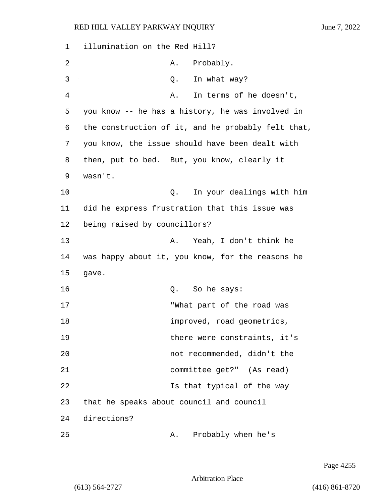1 illumination on the Red Hill? 2 A. Probably. 3 Q. In what way? 4 A. In terms of he doesn't, 5 you know -- he has a history, he was involved in 6 the construction of it, and he probably felt that, 7 you know, the issue should have been dealt with 8 then, put to bed. But, you know, clearly it 9 wasn't. 10 Q. In your dealings with him 11 did he express frustration that this issue was 12 being raised by councillors? 13 A. Yeah, I don't think he 14 was happy about it, you know, for the reasons he 15 gave. 16 Q. So he says: 17 That part of the road was 18 improved, road geometrics, 19 there were constraints, it's 20 not recommended, didn't the 21 committee get?" (As read) 22 Is that typical of the way 23 that he speaks about council and council 24 directions? 25 A. Probably when he's

Page 4255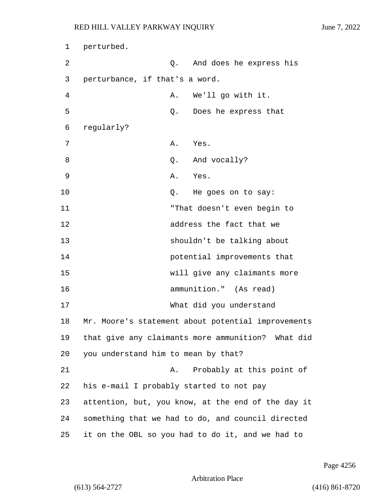1 perturbed. 2 Q. And does he express his 3 perturbance, if that's a word. 4 A. We'll go with it. 5 Q. Does he express that 6 regularly? 7 A. Yes. 8 and vocally? 9 A. Yes. 10 Q. He goes on to say: 11 "That doesn't even begin to 12 address the fact that we 13 shouldn't be talking about 14 potential improvements that 15 will give any claimants more 16 ammunition." (As read) 17 What did you understand 18 Mr. Moore's statement about potential improvements 19 that give any claimants more ammunition? What did 20 you understand him to mean by that? 21 A. Probably at this point of 22 his e-mail I probably started to not pay 23 attention, but, you know, at the end of the day it 24 something that we had to do, and council directed 25 it on the OBL so you had to do it, and we had to

Page 4256

Arbitration Place

(613) 564-2727 (416) 861-8720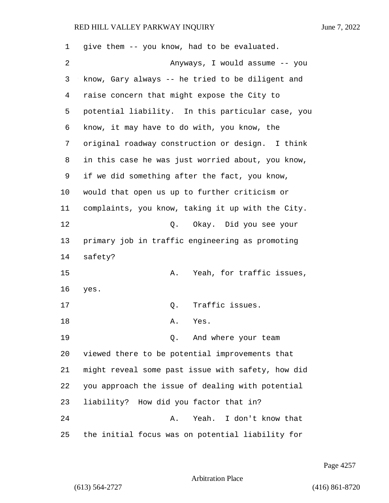give them -- you know, had to be evaluated. 2 Anyways, I would assume -- you know, Gary always -- he tried to be diligent and raise concern that might expose the City to potential liability. In this particular case, you know, it may have to do with, you know, the original roadway construction or design. I think in this case he was just worried about, you know, if we did something after the fact, you know, would that open us up to further criticism or complaints, you know, taking it up with the City. 12 Q. Okay. Did you see your primary job in traffic engineering as promoting safety? 15 A. Yeah, for traffic issues, yes. 17 0. Traffic issues. 18 A. Yes. 19 Q. And where your team viewed there to be potential improvements that might reveal some past issue with safety, how did you approach the issue of dealing with potential liability? How did you factor that in? 24 A. Yeah. I don't know that the initial focus was on potential liability for

Page 4257

Arbitration Place

(613) 564-2727 (416) 861-8720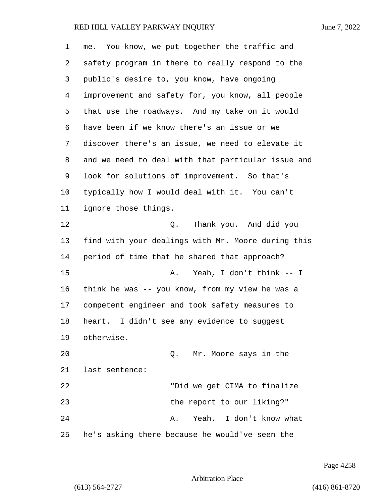| 1              | me. You know, we put together the traffic and      |
|----------------|----------------------------------------------------|
| 2              | safety program in there to really respond to the   |
| 3              | public's desire to, you know, have ongoing         |
| $\overline{4}$ | improvement and safety for, you know, all people   |
| 5              | that use the roadways. And my take on it would     |
| 6              | have been if we know there's an issue or we        |
| 7              | discover there's an issue, we need to elevate it   |
| 8              | and we need to deal with that particular issue and |
| 9              | look for solutions of improvement. So that's       |
| 10             | typically how I would deal with it. You can't      |
| 11             | ignore those things.                               |
| 12             | Thank you. And did you<br>Q.                       |
| 13             | find with your dealings with Mr. Moore during this |
| 14             | period of time that he shared that approach?       |
| 15             | Yeah, I don't think -- I<br>Α.                     |
| 16             | think he was -- you know, from my view he was a    |
| 17             | competent engineer and took safety measures to     |
| 18             | I didn't see any evidence to suggest<br>heart.     |
| 19             | otherwise.                                         |
| 20             | Q. Mr. Moore says in the                           |
| 21             | last sentence:                                     |
| 22             | "Did we get CIMA to finalize                       |
| 23             | the report to our liking?"                         |
| 24             | Yeah. I don't know what<br>Α.                      |
| 25             | he's asking there because he would've seen the     |

Page 4258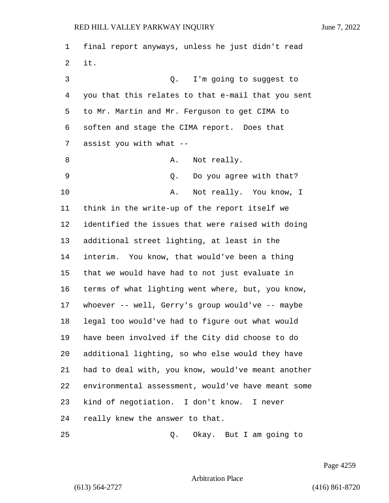final report anyways, unless he just didn't read it. 3 Q. I'm going to suggest to you that this relates to that e-mail that you sent to Mr. Martin and Mr. Ferguson to get CIMA to soften and stage the CIMA report. Does that assist you with what -- 8 A. Not really. 9 Q. Do you agree with that? 10 A. Not really. You know, I think in the write-up of the report itself we identified the issues that were raised with doing additional street lighting, at least in the interim. You know, that would've been a thing that we would have had to not just evaluate in terms of what lighting went where, but, you know, whoever -- well, Gerry's group would've -- maybe legal too would've had to figure out what would have been involved if the City did choose to do additional lighting, so who else would they have had to deal with, you know, would've meant another environmental assessment, would've have meant some kind of negotiation. I don't know. I never really knew the answer to that. 25 Q. Okay. But I am going to

Page 4259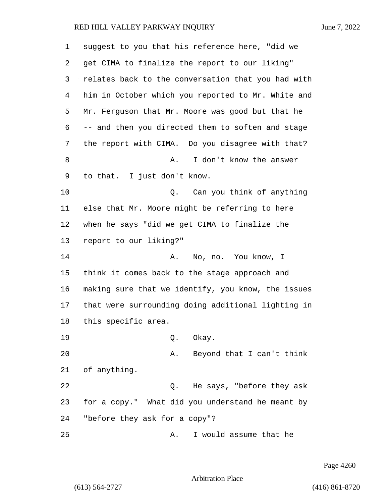| $\mathbf 1$ | suggest to you that his reference here, "did we    |
|-------------|----------------------------------------------------|
| 2           | get CIMA to finalize the report to our liking"     |
| 3           | relates back to the conversation that you had with |
| 4           | him in October which you reported to Mr. White and |
| 5           | Mr. Ferguson that Mr. Moore was good but that he   |
| 6           | -- and then you directed them to soften and stage  |
| 7           | the report with CIMA. Do you disagree with that?   |
| 8           | I don't know the answer<br>Α.                      |
| 9           | to that. I just don't know.                        |
| 10          | Can you think of anything<br>0.                    |
| 11          | else that Mr. Moore might be referring to here     |
| 12          | when he says "did we get CIMA to finalize the      |
| 13          | report to our liking?"                             |
| 14          | A. No, no. You know, I                             |
| 15          | think it comes back to the stage approach and      |
| 16          | making sure that we identify, you know, the issues |
| 17          | that were surrounding doing additional lighting in |
| 18          | this specific area.                                |
| 19          | Okay.<br>Q.                                        |
| 20          | Beyond that I can't think<br>Α.                    |
| 21          | of anything.                                       |
| 22          | He says, "before they ask<br>Q.                    |
| 23          | for a copy." What did you understand he meant by   |
| 24          | "before they ask for a copy"?                      |
| 25          | I would assume that he<br>Α.                       |

Page 4260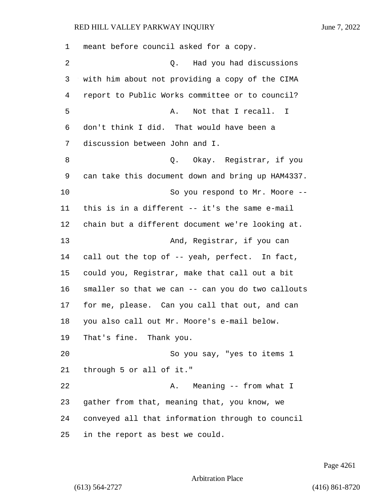| 1  | meant before council asked for a copy.            |
|----|---------------------------------------------------|
| 2  | Had you had discussions<br>О.                     |
| 3  | with him about not providing a copy of the CIMA   |
| 4  | report to Public Works committee or to council?   |
| 5  | Not that I recall.<br>Α.<br>$\mathbf{I}$          |
| 6  | don't think I did. That would have been a         |
| 7  | discussion between John and I.                    |
| 8  | Okay. Registrar, if you<br>Q.                     |
| 9  | can take this document down and bring up HAM4337. |
| 10 | So you respond to Mr. Moore --                    |
| 11 | this is in a different -- it's the same e-mail    |
| 12 | chain but a different document we're looking at.  |
| 13 | And, Registrar, if you can                        |
| 14 | call out the top of -- yeah, perfect. In fact,    |
| 15 | could you, Registrar, make that call out a bit    |
| 16 | smaller so that we can -- can you do two callouts |
| 17 | for me, please. Can you call that out, and can    |
| 18 | you also call out Mr. Moore's e-mail below.       |
| 19 | That's fine. Thank you.                           |
| 20 | So you say, "yes to items 1                       |
| 21 | through 5 or all of it."                          |
| 22 | Meaning -- from what I<br>Α.                      |
| 23 | gather from that, meaning that, you know, we      |
| 24 | conveyed all that information through to council  |
| 25 | in the report as best we could.                   |

Page 4261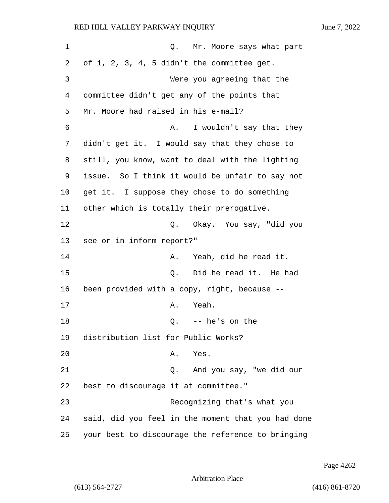| 1  | Q. Mr. Moore says what part                        |
|----|----------------------------------------------------|
| 2  | of 1, 2, 3, 4, 5 didn't the committee get.         |
| 3  | Were you agreeing that the                         |
| 4  | committee didn't get any of the points that        |
| 5  | Mr. Moore had raised in his e-mail?                |
| 6  | I wouldn't say that they<br>Α.                     |
| 7  | didn't get it. I would say that they chose to      |
| 8  | still, you know, want to deal with the lighting    |
| 9  | issue. So I think it would be unfair to say not    |
| 10 | get it. I suppose they chose to do something       |
| 11 | other which is totally their prerogative.          |
| 12 | Q. Okay. You say, "did you                         |
| 13 | see or in inform report?"                          |
| 14 | Yeah, did he read it.<br>Α.                        |
| 15 | Did he read it. He had<br>Q.                       |
| 16 | been provided with a copy, right, because --       |
| 17 | Yeah.<br>Α.                                        |
| 18 | -- he's on the<br>Q.                               |
| 19 | distribution list for Public Works?                |
| 20 | Α.<br>Yes.                                         |
| 21 | And you say, "we did our<br>Q.                     |
| 22 | best to discourage it at committee."               |
| 23 | Recognizing that's what you                        |
| 24 | said, did you feel in the moment that you had done |
| 25 | your best to discourage the reference to bringing  |

Page 4262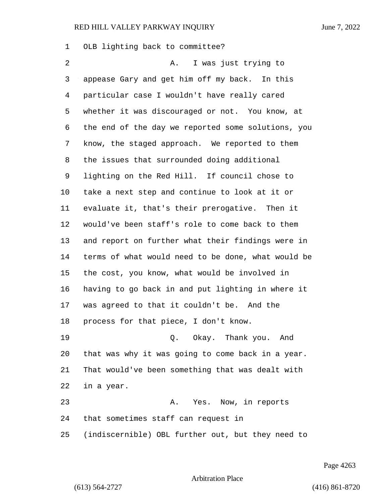OLB lighting back to committee? 2 A. I was just trying to appease Gary and get him off my back. In this particular case I wouldn't have really cared whether it was discouraged or not. You know, at the end of the day we reported some solutions, you know, the staged approach. We reported to them the issues that surrounded doing additional lighting on the Red Hill. If council chose to take a next step and continue to look at it or evaluate it, that's their prerogative. Then it would've been staff's role to come back to them and report on further what their findings were in terms of what would need to be done, what would be the cost, you know, what would be involved in having to go back in and put lighting in where it was agreed to that it couldn't be. And the process for that piece, I don't know. 19 Q. Okay. Thank you. And that was why it was going to come back in a year. That would've been something that was dealt with in a year. 23 A. Yes. Now, in reports that sometimes staff can request in (indiscernible) OBL further out, but they need to

Page 4263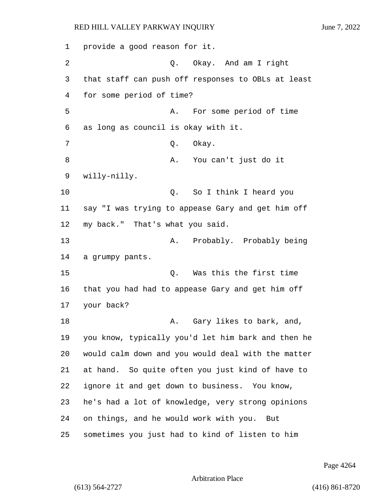provide a good reason for it. 2 Q. Okay. And am I right that staff can push off responses to OBLs at least for some period of time? 5 A. For some period of time as long as council is okay with it. 7 O. Okay. 8 A. You can't just do it willy-nilly. 10 Q. So I think I heard you say "I was trying to appease Gary and get him off my back." That's what you said. 13 A. Probably. Probably being a grumpy pants. 15 Q. Was this the first time that you had had to appease Gary and get him off your back? 18 A. Gary likes to bark, and, you know, typically you'd let him bark and then he would calm down and you would deal with the matter at hand. So quite often you just kind of have to ignore it and get down to business. You know, he's had a lot of knowledge, very strong opinions on things, and he would work with you. But sometimes you just had to kind of listen to him

Page 4264

Arbitration Place

(613) 564-2727 (416) 861-8720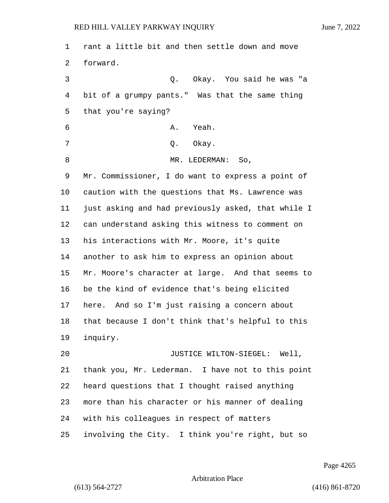rant a little bit and then settle down and move forward. 3 Q. Okay. You said he was "a bit of a grumpy pants." Was that the same thing that you're saying? 6 A. Yeah. 7 O. Okay. 8 MR. LEDERMAN: So, Mr. Commissioner, I do want to express a point of caution with the questions that Ms. Lawrence was just asking and had previously asked, that while I can understand asking this witness to comment on his interactions with Mr. Moore, it's quite another to ask him to express an opinion about Mr. Moore's character at large. And that seems to be the kind of evidence that's being elicited here. And so I'm just raising a concern about that because I don't think that's helpful to this inquiry. 20 JUSTICE WILTON-SIEGEL: Well, thank you, Mr. Lederman. I have not to this point heard questions that I thought raised anything more than his character or his manner of dealing with his colleagues in respect of matters involving the City. I think you're right, but so

Page 4265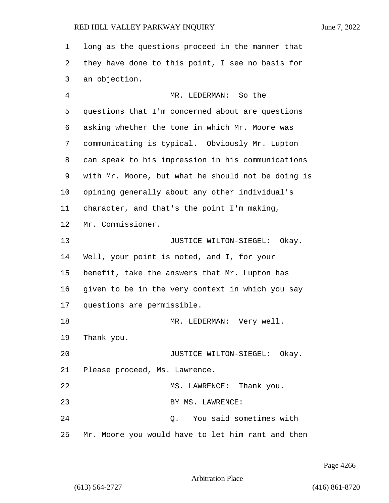long as the questions proceed in the manner that they have done to this point, I see no basis for an objection. 4 MR. LEDERMAN: So the questions that I'm concerned about are questions asking whether the tone in which Mr. Moore was communicating is typical. Obviously Mr. Lupton can speak to his impression in his communications with Mr. Moore, but what he should not be doing is opining generally about any other individual's character, and that's the point I'm making, Mr. Commissioner. 13 JUSTICE WILTON-SIEGEL: Okay. Well, your point is noted, and I, for your benefit, take the answers that Mr. Lupton has given to be in the very context in which you say questions are permissible. 18 MR. LEDERMAN: Very well. Thank you. 20 JUSTICE WILTON-SIEGEL: Okay. Please proceed, Ms. Lawrence. 22 MS. LAWRENCE: Thank you.

23 BY MS. LAWRENCE:

24 Q. You said sometimes with Mr. Moore you would have to let him rant and then

Page 4266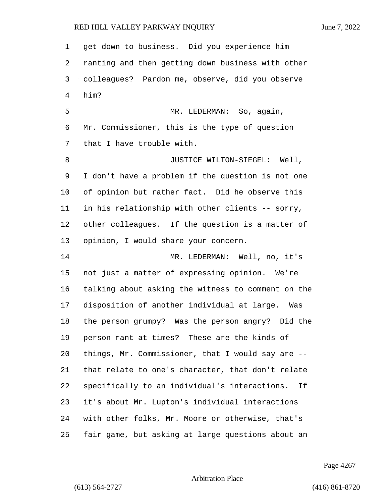| $\mathbf 1$ | get down to business. Did you experience him        |
|-------------|-----------------------------------------------------|
| 2           | ranting and then getting down business with other   |
| 3           | colleagues? Pardon me, observe, did you observe     |
| 4           | him?                                                |
| 5           | MR. LEDERMAN: So, again,                            |
| 6           | Mr. Commissioner, this is the type of question      |
| 7           | that I have trouble with.                           |
| 8           | JUSTICE WILTON-SIEGEL: Well,                        |
| 9           | I don't have a problem if the question is not one   |
| 10          | of opinion but rather fact. Did he observe this     |
| 11          | in his relationship with other clients -- sorry,    |
| 12          | other colleagues. If the question is a matter of    |
| 13          | opinion, I would share your concern.                |
| 14          | MR. LEDERMAN: Well, no, it's                        |
| 15          | not just a matter of expressing opinion. We're      |
| 16          | talking about asking the witness to comment on the  |
| 17          | disposition of another individual at large.<br>Was  |
| 18          | the person grumpy? Was the person angry? Did the    |
| 19          | person rant at times? These are the kinds of        |
| 20          | things, Mr. Commissioner, that I would say are --   |
| 21          | that relate to one's character, that don't relate   |
| 22          | specifically to an individual's interactions.<br>If |
| 23          | it's about Mr. Lupton's individual interactions     |
| 24          | with other folks, Mr. Moore or otherwise, that's    |
| 25          | fair game, but asking at large questions about an   |

Page 4267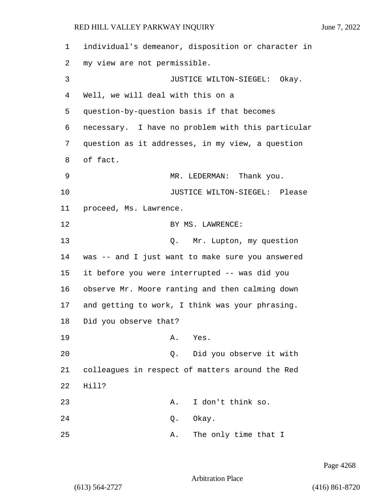1 individual's demeanor, disposition or character in 2 my view are not permissible. 3 JUSTICE WILTON-SIEGEL: Okay. 4 Well, we will deal with this on a 5 question-by-question basis if that becomes 6 necessary. I have no problem with this particular 7 question as it addresses, in my view, a question 8 of fact. 9 MR. LEDERMAN: Thank you. 10 JUSTICE WILTON-SIEGEL: Please 11 proceed, Ms. Lawrence. 12 BY MS. LAWRENCE: 13 Q. Mr. Lupton, my question 14 was -- and I just want to make sure you answered 15 it before you were interrupted -- was did you 16 observe Mr. Moore ranting and then calming down 17 and getting to work, I think was your phrasing. 18 Did you observe that? 19 A. Yes. 20 Q. Did you observe it with 21 colleagues in respect of matters around the Red 22 Hill? 23 A. I don't think so. 24 Q. Okay. 25 A. The only time that I

Page 4268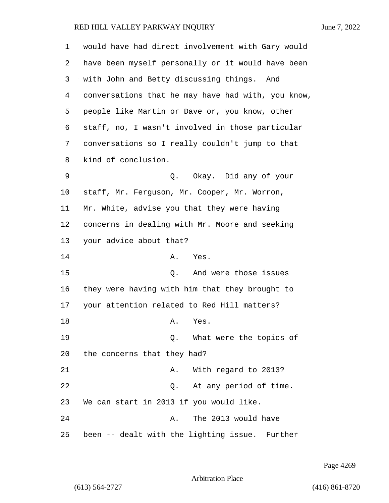| 1  | would have had direct involvement with Gary would  |
|----|----------------------------------------------------|
| 2  | have been myself personally or it would have been  |
| 3  | with John and Betty discussing things. And         |
| 4  | conversations that he may have had with, you know, |
| 5  | people like Martin or Dave or, you know, other     |
| 6  | staff, no, I wasn't involved in those particular   |
| 7  | conversations so I really couldn't jump to that    |
| 8  | kind of conclusion.                                |
| 9  | Q. Okay. Did any of your                           |
| 10 | staff, Mr. Ferguson, Mr. Cooper, Mr. Worron,       |
| 11 | Mr. White, advise you that they were having        |
| 12 | concerns in dealing with Mr. Moore and seeking     |
| 13 | your advice about that?                            |
| 14 | Yes.<br>Α.                                         |
| 15 | And were those issues<br>Q.                        |
| 16 | they were having with him that they brought to     |
| 17 | your attention related to Red Hill matters?        |
| 18 | Yes.<br>Α.                                         |
| 19 | What were the topics of<br>$Q$ .                   |
| 20 | the concerns that they had?                        |
| 21 | With regard to 2013?<br>Α.                         |
| 22 | At any period of time.<br>Q.                       |
| 23 | We can start in 2013 if you would like.            |
| 24 | The 2013 would have<br>Α.                          |
| 25 | been -- dealt with the lighting issue. Further     |

Page 4269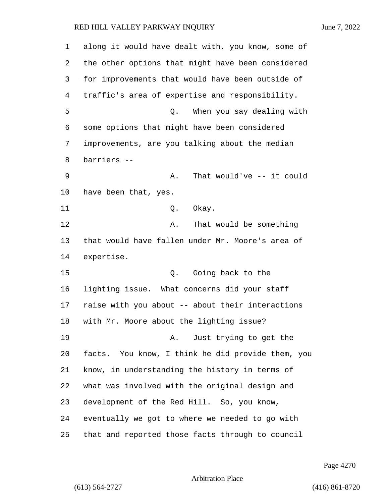along it would have dealt with, you know, some of the other options that might have been considered for improvements that would have been outside of traffic's area of expertise and responsibility. 5 Q. When you say dealing with some options that might have been considered improvements, are you talking about the median barriers -- 9 A. That would've -- it could have been that, yes. 11 Q. Okay. 12 A. That would be something that would have fallen under Mr. Moore's area of expertise. 15 O. Going back to the lighting issue. What concerns did your staff raise with you about -- about their interactions with Mr. Moore about the lighting issue? 19 A. Just trying to get the facts. You know, I think he did provide them, you know, in understanding the history in terms of what was involved with the original design and development of the Red Hill. So, you know, eventually we got to where we needed to go with that and reported those facts through to council

Page 4270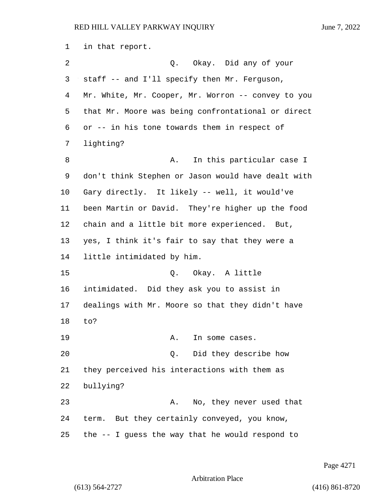in that report. 2 Q. Okay. Did any of your staff -- and I'll specify then Mr. Ferguson, Mr. White, Mr. Cooper, Mr. Worron -- convey to you that Mr. Moore was being confrontational or direct or -- in his tone towards them in respect of lighting? 8 A. In this particular case I don't think Stephen or Jason would have dealt with Gary directly. It likely -- well, it would've been Martin or David. They're higher up the food chain and a little bit more experienced. But, yes, I think it's fair to say that they were a little intimidated by him. 15 Q. Okay. A little intimidated. Did they ask you to assist in dealings with Mr. Moore so that they didn't have to? 19 A. In some cases. 20 Q. Did they describe how they perceived his interactions with them as bullying? 23 A. No, they never used that term. But they certainly conveyed, you know, the -- I guess the way that he would respond to

Page 4271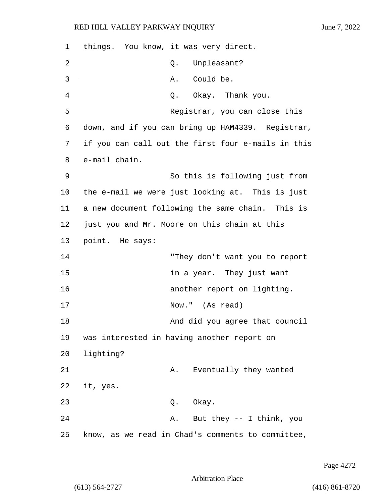| 1  | things. You know, it was very direct.              |
|----|----------------------------------------------------|
| 2  | Unpleasant?<br>Q.                                  |
| 3  | Could be.<br>Α.                                    |
| 4  | Q. Okay. Thank you.                                |
| 5  | Registrar, you can close this                      |
| 6  | down, and if you can bring up HAM4339. Registrar,  |
| 7  | if you can call out the first four e-mails in this |
| 8  | e-mail chain.                                      |
| 9  | So this is following just from                     |
| 10 | the e-mail we were just looking at. This is just   |
| 11 | a new document following the same chain. This is   |
| 12 | just you and Mr. Moore on this chain at this       |
| 13 | point. He says:                                    |
| 14 | "They don't want you to report                     |
| 15 | in a year. They just want                          |
| 16 | another report on lighting.                        |
| 17 | Now." (As read)                                    |
| 18 | And did you agree that council                     |
| 19 | was interested in having another report on         |
| 20 | lighting?                                          |
| 21 | Eventually they wanted<br>Α.                       |
| 22 | it, yes.                                           |
| 23 | Q. Okay.                                           |
| 24 | But they -- I think, you<br>Α.                     |
| 25 | know, as we read in Chad's comments to committee,  |

Page 4272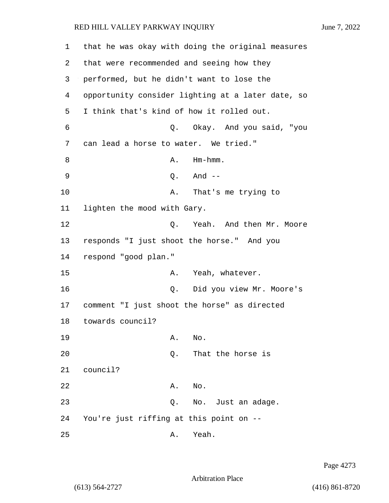1 that he was okay with doing the original measures 2 that were recommended and seeing how they 3 performed, but he didn't want to lose the 4 opportunity consider lighting at a later date, so 5 I think that's kind of how it rolled out. 6 Q. Okay. And you said, "you 7 can lead a horse to water. We tried." 8 A. Hm-hmm. 9 Q. And -- 10 A. That's me trying to 11 lighten the mood with Gary. 12 C. Yeah. And then Mr. Moore 13 responds "I just shoot the horse." And you 14 respond "good plan." 15 A. Yeah, whatever. 16 Q. Did you view Mr. Moore's 17 comment "I just shoot the horse" as directed 18 towards council? 19 A. No. 20 Q. That the horse is 21 council? 22 A. No. 23 Q. No. Just an adage.

24 You're just riffing at this point on --

25 A. Yeah.

(613) 564-2727 (416) 861-8720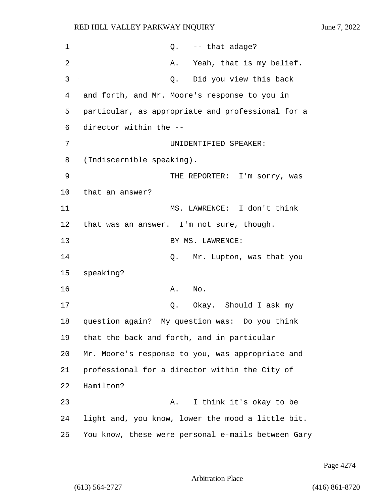| $\mathbf 1$ | $Q.$ -- that adage?                                |
|-------------|----------------------------------------------------|
| 2           | Yeah, that is my belief.<br>Α.                     |
| 3           | Did you view this back<br>Q.                       |
| 4           | and forth, and Mr. Moore's response to you in      |
| 5           | particular, as appropriate and professional for a  |
| 6           | director within the --                             |
| 7           | UNIDENTIFIED SPEAKER:                              |
| 8           | (Indiscernible speaking).                          |
| 9           | THE REPORTER: I'm sorry, was                       |
| 10          | that an answer?                                    |
| 11          | MS. LAWRENCE: I don't think                        |
| 12          | that was an answer. I'm not sure, though.          |
| 13          | BY MS. LAWRENCE:                                   |
| 14          | Mr. Lupton, was that you<br>Q.                     |
| 15          | speaking?                                          |
| 16          | A.<br>No.                                          |
| 17          | Okay. Should I ask my<br>Q.                        |
| 18          | question again?<br>My question was: Do you think   |
| 19          | that the back and forth, and in particular         |
| 20          | Mr. Moore's response to you, was appropriate and   |
| 21          | professional for a director within the City of     |
| 22          | Hamilton?                                          |
| 23          | I think it's okay to be<br>Α.                      |
| 24          | light and, you know, lower the mood a little bit.  |
| 25          | You know, these were personal e-mails between Gary |

Page 4274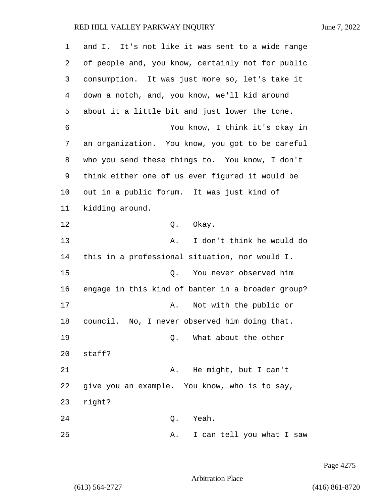| 1  | and I. It's not like it was sent to a wide range  |
|----|---------------------------------------------------|
| 2  | of people and, you know, certainly not for public |
| 3  | consumption. It was just more so, let's take it   |
| 4  | down a notch, and, you know, we'll kid around     |
| 5  | about it a little bit and just lower the tone.    |
| 6  | You know, I think it's okay in                    |
| 7  | an organization. You know, you got to be careful  |
| 8  | who you send these things to. You know, I don't   |
| 9  | think either one of us ever figured it would be   |
| 10 | out in a public forum. It was just kind of        |
| 11 | kidding around.                                   |
| 12 | Okay.<br>Q.                                       |
| 13 | I don't think he would do<br>Α.                   |
| 14 | this in a professional situation, nor would I.    |
| 15 | You never observed him<br>Q.                      |
| 16 | engage in this kind of banter in a broader group? |
| 17 | Not with the public or<br>Α.                      |
| 18 | council. No, I never observed him doing that.     |
| 19 | What about the other<br>Q.                        |
| 20 | staff?                                            |
| 21 | He might, but I can't<br>Α.                       |
| 22 | give you an example. You know, who is to say,     |
| 23 | right?                                            |
| 24 | Yeah.<br>Q.                                       |
| 25 | I can tell you what I saw<br>Α.                   |

Page 4275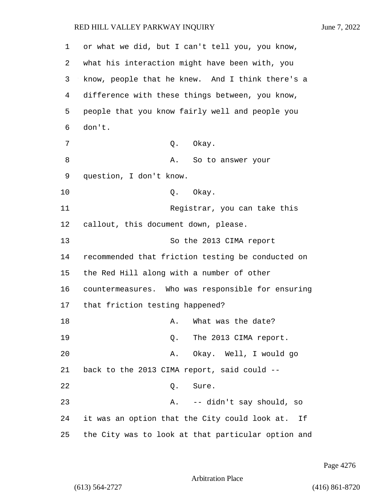| 1  | or what we did, but I can't tell you, you know,     |
|----|-----------------------------------------------------|
| 2  | what his interaction might have been with, you      |
| 3  | know, people that he knew. And I think there's a    |
| 4  | difference with these things between, you know,     |
| 5  | people that you know fairly well and people you     |
| 6  | don't.                                              |
| 7  | Q. Okay.                                            |
| 8  | A. So to answer your                                |
| 9  | question, I don't know.                             |
| 10 | Q. Okay.                                            |
| 11 | Registrar, you can take this                        |
| 12 | callout, this document down, please.                |
| 13 | So the 2013 CIMA report                             |
| 14 | recommended that friction testing be conducted on   |
| 15 | the Red Hill along with a number of other           |
| 16 | countermeasures. Who was responsible for ensuring   |
| 17 | that friction testing happened?                     |
| 18 | A. What was the date?                               |
| 19 | The 2013 CIMA report.<br>Q.                         |
| 20 | Okay. Well, I would go<br>Α.                        |
| 21 | back to the 2013 CIMA report, said could --         |
| 22 | Sure.<br>Q.                                         |
| 23 | -- didn't say should, so<br>Α.                      |
| 24 | it was an option that the City could look at.<br>Ιf |
| 25 | the City was to look at that particular option and  |

Page 4276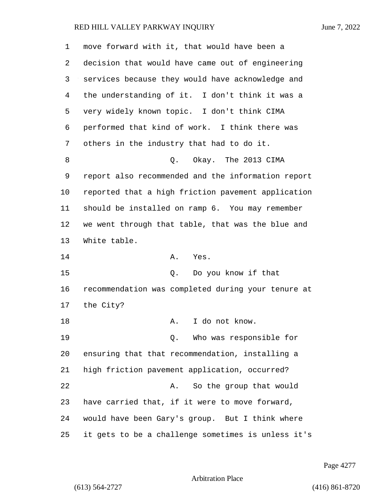| 1  | move forward with it, that would have been a       |
|----|----------------------------------------------------|
| 2  | decision that would have came out of engineering   |
| 3  | services because they would have acknowledge and   |
| 4  | the understanding of it. I don't think it was a    |
| 5  | very widely known topic. I don't think CIMA        |
| 6  | performed that kind of work. I think there was     |
| 7  | others in the industry that had to do it.          |
| 8  | Okay. The 2013 CIMA<br>Q.                          |
| 9  | report also recommended and the information report |
| 10 | reported that a high friction pavement application |
| 11 | should be installed on ramp 6. You may remember    |
| 12 | we went through that table, that was the blue and  |
| 13 | White table.                                       |
| 14 | A. Yes.                                            |
| 15 | Q. Do you know if that                             |
| 16 | recommendation was completed during your tenure at |
| 17 | the City?                                          |
| 18 | I do not know.<br>A.                               |
| 19 | Who was responsible for<br>О.                      |
| 20 | ensuring that that recommendation, installing a    |
| 21 | high friction pavement application, occurred?      |
| 22 | So the group that would<br>Α.                      |
| 23 | have carried that, if it were to move forward,     |
| 24 | would have been Gary's group. But I think where    |
| 25 | it gets to be a challenge sometimes is unless it's |

Page 4277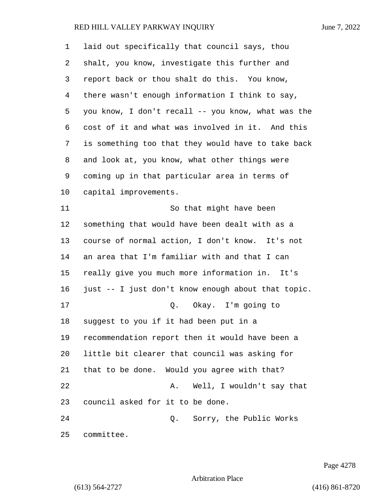| 1              | laid out specifically that council says, thou      |
|----------------|----------------------------------------------------|
| 2              | shalt, you know, investigate this further and      |
| 3              | report back or thou shalt do this. You know,       |
| $\overline{4}$ | there wasn't enough information I think to say,    |
| 5              | you know, I don't recall -- you know, what was the |
| 6              | cost of it and what was involved in it. And this   |
| 7              | is something too that they would have to take back |
| 8              | and look at, you know, what other things were      |
| 9              | coming up in that particular area in terms of      |
| 10             | capital improvements.                              |
| 11             | So that might have been                            |
| 12             | something that would have been dealt with as a     |
| 13             | course of normal action, I don't know. It's not    |
| 14             | an area that I'm familiar with and that I can      |
| 15             | really give you much more information in. It's     |
| 16             | just -- I just don't know enough about that topic. |
| 17             | Q. Okay. I'm going to                              |
| 18             | suggest to you if it had been put in a             |
| 19             | recommendation report then it would have been a    |
| 20             | little bit clearer that council was asking for     |
| 21             | that to be done. Would you agree with that?        |
| 22             | Well, I wouldn't say that<br>Α.                    |
| 23             | council asked for it to be done.                   |
| 24             | Sorry, the Public Works<br>Q.                      |
| 25             | committee.                                         |

Page 4278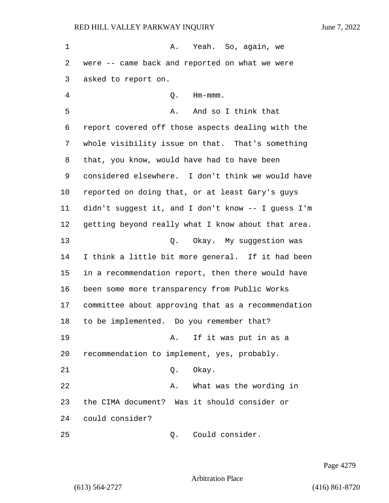1 A. Yeah. So, again, we were -- came back and reported on what we were asked to report on. 4 Q. Hm-mmm. 5 A. And so I think that report covered off those aspects dealing with the whole visibility issue on that. That's something that, you know, would have had to have been considered elsewhere. I don't think we would have reported on doing that, or at least Gary's guys didn't suggest it, and I don't know -- I guess I'm getting beyond really what I know about that area. 13 Q. Okay. My suggestion was I think a little bit more general. If it had been in a recommendation report, then there would have been some more transparency from Public Works committee about approving that as a recommendation to be implemented. Do you remember that? 19 A. If it was put in as a recommendation to implement, yes, probably. 21 0. Okay. 22 A. What was the wording in the CIMA document? Was it should consider or could consider? 25 Q. Could consider.

Page 4279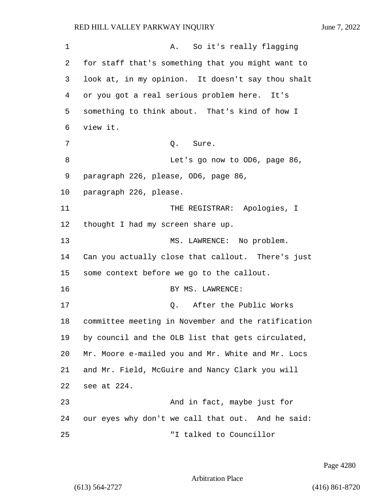1 A. So it's really flagging 2 for staff that's something that you might want to 3 look at, in my opinion. It doesn't say thou shalt 4 or you got a real serious problem here. It's 5 something to think about. That's kind of how I 6 view it. 7 0. Sure. 8 Let's go now to OD6, page 86, 9 paragraph 226, please, OD6, page 86, 10 paragraph 226, please. 11 THE REGISTRAR: Apologies, I 12 thought I had my screen share up. 13 MS. LAWRENCE: No problem. 14 Can you actually close that callout. There's just 15 some context before we go to the callout. 16 BY MS. LAWRENCE: 17 and 17 Q. After the Public Works 18 committee meeting in November and the ratification 19 by council and the OLB list that gets circulated, 20 Mr. Moore e-mailed you and Mr. White and Mr. Locs 21 and Mr. Field, McGuire and Nancy Clark you will 22 see at 224. 23 And in fact, maybe just for 24 our eyes why don't we call that out. And he said: 25 "I talked to Councillor

Page 4280

Arbitration Place

(613) 564-2727 (416) 861-8720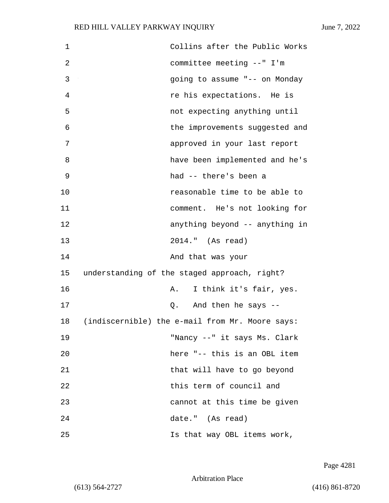| 1  | Collins after the Public Works                  |
|----|-------------------------------------------------|
| 2  | committee meeting --" I'm                       |
| 3  | going to assume "-- on Monday                   |
| 4  | re his expectations. He is                      |
| 5  | not expecting anything until                    |
| 6  | the improvements suggested and                  |
| 7  | approved in your last report                    |
| 8  | have been implemented and he's                  |
| 9  | had -- there's been a                           |
| 10 | reasonable time to be able to                   |
| 11 | comment. He's not looking for                   |
| 12 | anything beyond -- anything in                  |
| 13 | 2014." (As read)                                |
| 14 | And that was your                               |
| 15 | understanding of the staged approach, right?    |
| 16 | I think it's fair, yes.<br>Α.                   |
| 17 | And then he says --<br>Q.                       |
| 18 | (indiscernible) the e-mail from Mr. Moore says: |
| 19 | "Nancy --" it says Ms. Clark                    |
| 20 | here "-- this is an OBL item                    |
| 21 | that will have to go beyond                     |
| 22 | this term of council and                        |
| 23 | cannot at this time be given                    |
| 24 | date." (As read)                                |
| 25 | Is that way OBL items work,                     |

Page 4281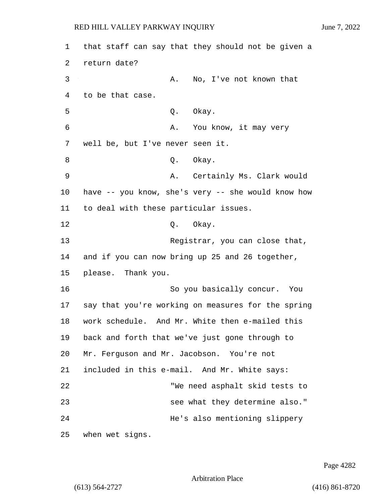1 that staff can say that they should not be given a 2 return date? 3 A. No, I've not known that 4 to be that case. 5 Q. Okay. 6 A. You know, it may very 7 well be, but I've never seen it. 8 Q. Okay. 9 A. Certainly Ms. Clark would 10 have -- you know, she's very -- she would know how 11 to deal with these particular issues. 12 0. Okay. 13 Registrar, you can close that, 14 and if you can now bring up 25 and 26 together, 15 please. Thank you. 16 So you basically concur. You 17 say that you're working on measures for the spring 18 work schedule. And Mr. White then e-mailed this 19 back and forth that we've just gone through to 20 Mr. Ferguson and Mr. Jacobson. You're not 21 included in this e-mail. And Mr. White says: 22 "We need asphalt skid tests to 23 see what they determine also." 24 He's also mentioning slippery 25 when wet signs.

Page 4282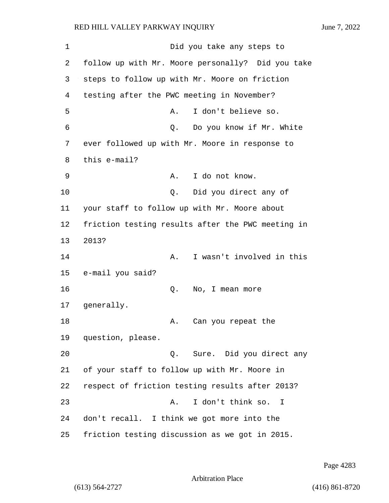1 Did you take any steps to 2 follow up with Mr. Moore personally? Did you take 3 steps to follow up with Mr. Moore on friction 4 testing after the PWC meeting in November? 5 A. I don't believe so. 6 Q. Do you know if Mr. White 7 ever followed up with Mr. Moore in response to 8 this e-mail? 9 A. I do not know. 10 Q. Did you direct any of 11 your staff to follow up with Mr. Moore about 12 friction testing results after the PWC meeting in 13 2013? 14 A. I wasn't involved in this 15 e-mail you said? 16 Q. No, I mean more 17 generally. 18 A. Can you repeat the 19 question, please. 20 Q. Sure. Did you direct any 21 of your staff to follow up with Mr. Moore in 22 respect of friction testing results after 2013? 23 A. I don't think so. I 24 don't recall. I think we got more into the 25 friction testing discussion as we got in 2015.

Page 4283

```
Arbitration Place
```
(613) 564-2727 (416) 861-8720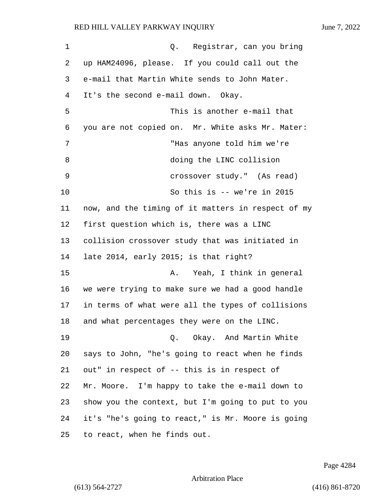| 1  | Registrar, can you bring<br>Q.                     |
|----|----------------------------------------------------|
| 2  | up HAM24096, please. If you could call out the     |
| 3  | e-mail that Martin White sends to John Mater.      |
| 4  | It's the second e-mail down. Okay.                 |
| 5  | This is another e-mail that                        |
| 6  | you are not copied on. Mr. White asks Mr. Mater:   |
| 7  | "Has anyone told him we're                         |
| 8  | doing the LINC collision                           |
| 9  | crossover study." (As read)                        |
| 10 | So this is $--$ we're in 2015                      |
| 11 | now, and the timing of it matters in respect of my |
| 12 | first question which is, there was a LINC          |
| 13 | collision crossover study that was initiated in    |
| 14 | late 2014, early 2015; is that right?              |
| 15 | Yeah, I think in general<br>Α.                     |
| 16 | we were trying to make sure we had a good handle   |
| 17 | in terms of what were all the types of collisions  |
| 18 | and what percentages they were on the LINC.        |
| 19 | Q. Okay. And Martin White                          |
| 20 | says to John, "he's going to react when he finds   |
| 21 | out" in respect of -- this is in respect of        |
| 22 | Mr. Moore. I'm happy to take the e-mail down to    |
| 23 | show you the context, but I'm going to put to you  |
| 24 | it's "he's going to react," is Mr. Moore is going  |
| 25 | to react, when he finds out.                       |

Page 4284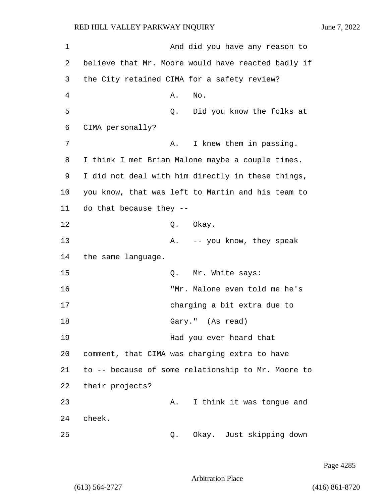1 And did you have any reason to 2 believe that Mr. Moore would have reacted badly if 3 the City retained CIMA for a safety review? 4 A. No. 5 Q. Did you know the folks at 6 CIMA personally? 7 A. I knew them in passing. 8 I think I met Brian Malone maybe a couple times. 9 I did not deal with him directly in these things, 10 you know, that was left to Martin and his team to 11 do that because they -- 12 Q. Okay. 13 A. -- you know, they speak 14 the same language. 15 O. Mr. White says: 16 "Mr. Malone even told me he's 17 charging a bit extra due to 18 Gary." (As read) 19 Had you ever heard that 20 comment, that CIMA was charging extra to have 21 to -- because of some relationship to Mr. Moore to 22 their projects? 23 A. I think it was tongue and 24 cheek. 25 Q. Okay. Just skipping down

Page 4285

Arbitration Place

(613) 564-2727 (416) 861-8720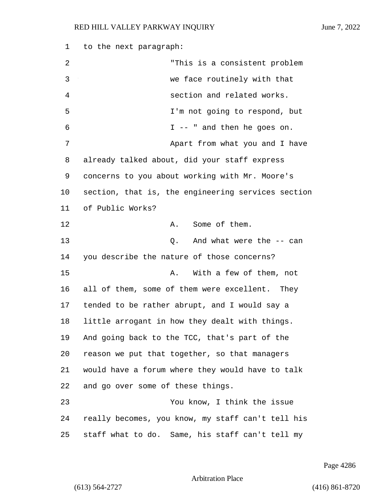to the next paragraph: 2 "This is a consistent problem 3 we face routinely with that 4 section and related works. 5 I'm not going to respond, but 6 I -- " and then he goes on. **Apart from what you and I have** 7 already talked about, did your staff express concerns to you about working with Mr. Moore's section, that is, the engineering services section of Public Works? 12 A. Some of them. 13 C. And what were the -- can you describe the nature of those concerns? 15 A. With a few of them, not all of them, some of them were excellent. They tended to be rather abrupt, and I would say a little arrogant in how they dealt with things. And going back to the TCC, that's part of the reason we put that together, so that managers would have a forum where they would have to talk and go over some of these things. 23 You know, I think the issue really becomes, you know, my staff can't tell his staff what to do. Same, his staff can't tell my

Page 4286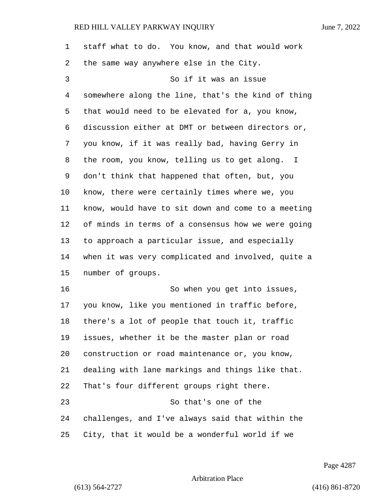| $\mathbf 1$ | staff what to do. You know, and that would work    |
|-------------|----------------------------------------------------|
| 2           | the same way anywhere else in the City.            |
| 3           | So if it was an issue                              |
| 4           | somewhere along the line, that's the kind of thing |
| 5           | that would need to be elevated for a, you know,    |
| 6           | discussion either at DMT or between directors or,  |
| 7           | you know, if it was really bad, having Gerry in    |
| 8           | the room, you know, telling us to get along. I     |
| 9           | don't think that happened that often, but, you     |
| $10 \,$     | know, there were certainly times where we, you     |
| 11          | know, would have to sit down and come to a meeting |
| 12          | of minds in terms of a consensus how we were going |
| 13          | to approach a particular issue, and especially     |
| 14          | when it was very complicated and involved, quite a |
| 15          | number of groups.                                  |
| 16          | So when you get into issues,                       |
| 17          | you know, like you mentioned in traffic before,    |
| 18          | there's a lot of people that touch it, traffic     |
| 19          | issues, whether it be the master plan or road      |
| 20          | construction or road maintenance or, you know,     |
| 21          | dealing with lane markings and things like that.   |
| 22          | That's four different groups right there.          |
| 23          | So that's one of the                               |
| 24          | challenges, and I've always said that within the   |
| 25          | City, that it would be a wonderful world if we     |

Page 4287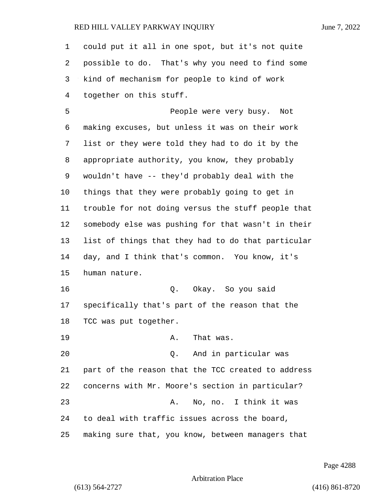could put it all in one spot, but it's not quite possible to do. That's why you need to find some kind of mechanism for people to kind of work together on this stuff.

5 People were very busy. Not making excuses, but unless it was on their work list or they were told they had to do it by the appropriate authority, you know, they probably wouldn't have -- they'd probably deal with the things that they were probably going to get in trouble for not doing versus the stuff people that somebody else was pushing for that wasn't in their list of things that they had to do that particular day, and I think that's common. You know, it's human nature. 16 Q. Okay. So you said specifically that's part of the reason that the TCC was put together.

19 A. That was.

20 Q. And in particular was part of the reason that the TCC created to address concerns with Mr. Moore's section in particular? 23 A. No, no. I think it was to deal with traffic issues across the board, making sure that, you know, between managers that

Page 4288

Arbitration Place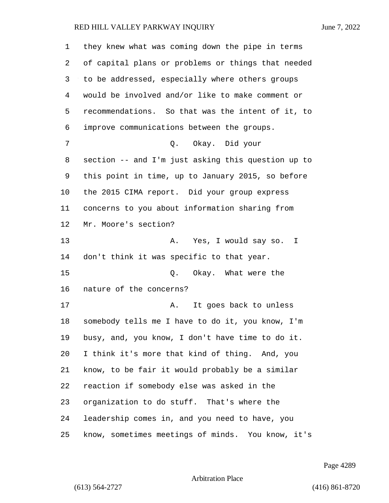they knew what was coming down the pipe in terms of capital plans or problems or things that needed to be addressed, especially where others groups would be involved and/or like to make comment or recommendations. So that was the intent of it, to improve communications between the groups. 7 Q. Okay. Did your section -- and I'm just asking this question up to this point in time, up to January 2015, so before the 2015 CIMA report. Did your group express concerns to you about information sharing from Mr. Moore's section? 13 A. Yes, I would say so. I don't think it was specific to that year. 15 0. Okay. What were the nature of the concerns? 17 A. It goes back to unless somebody tells me I have to do it, you know, I'm busy, and, you know, I don't have time to do it. I think it's more that kind of thing. And, you know, to be fair it would probably be a similar reaction if somebody else was asked in the organization to do stuff. That's where the leadership comes in, and you need to have, you know, sometimes meetings of minds. You know, it's

Page 4289

Arbitration Place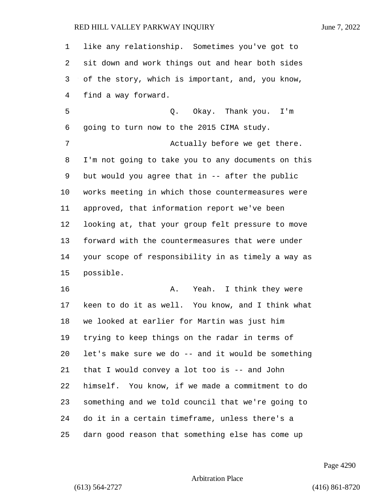like any relationship. Sometimes you've got to sit down and work things out and hear both sides of the story, which is important, and, you know, find a way forward. 5 Q. Okay. Thank you. I'm going to turn now to the 2015 CIMA study. 7 Actually before we get there. I'm not going to take you to any documents on this but would you agree that in -- after the public works meeting in which those countermeasures were approved, that information report we've been looking at, that your group felt pressure to move forward with the countermeasures that were under your scope of responsibility in as timely a way as possible. **A.** Yeah. I think they were keen to do it as well. You know, and I think what we looked at earlier for Martin was just him trying to keep things on the radar in terms of let's make sure we do -- and it would be something that I would convey a lot too is -- and John himself. You know, if we made a commitment to do something and we told council that we're going to do it in a certain timeframe, unless there's a darn good reason that something else has come up

Page 4290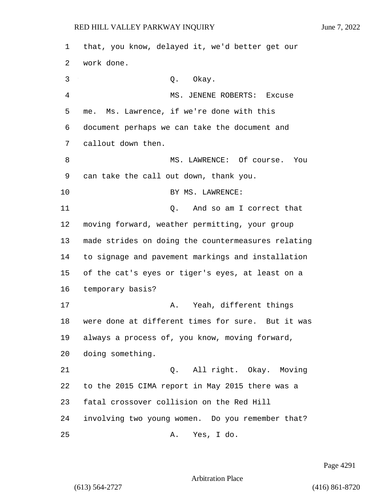that, you know, delayed it, we'd better get our work done. 3 Q. Okay. 4 MS. JENENE ROBERTS: Excuse me. Ms. Lawrence, if we're done with this document perhaps we can take the document and callout down then. 8 MS. LAWRENCE: Of course. You can take the call out down, thank you. 10 BY MS. LAWRENCE: 11 Q. And so am I correct that moving forward, weather permitting, your group made strides on doing the countermeasures relating to signage and pavement markings and installation of the cat's eyes or tiger's eyes, at least on a temporary basis? 17 A. Yeah, different things were done at different times for sure. But it was always a process of, you know, moving forward, doing something. 21 Q. All right. Okay. Moving to the 2015 CIMA report in May 2015 there was a fatal crossover collision on the Red Hill involving two young women. Do you remember that? 25 A. Yes, I do.

Page 4291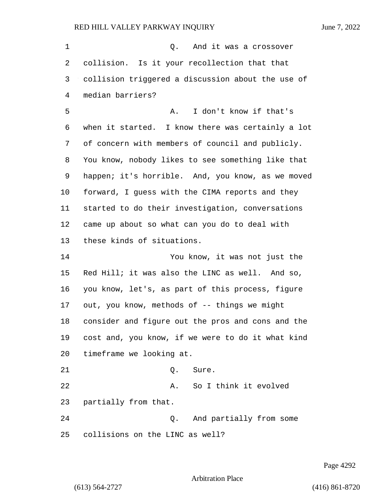1 Q. And it was a crossover collision. Is it your recollection that that collision triggered a discussion about the use of median barriers? 5 A. I don't know if that's when it started. I know there was certainly a lot of concern with members of council and publicly. You know, nobody likes to see something like that happen; it's horrible. And, you know, as we moved forward, I guess with the CIMA reports and they started to do their investigation, conversations came up about so what can you do to deal with these kinds of situations. 14 You know, it was not just the Red Hill; it was also the LINC as well. And so, you know, let's, as part of this process, figure out, you know, methods of -- things we might consider and figure out the pros and cons and the cost and, you know, if we were to do it what kind timeframe we looking at. 21 0. Sure. 22 A. So I think it evolved partially from that. 24 Q. And partially from some collisions on the LINC as well?

Page 4292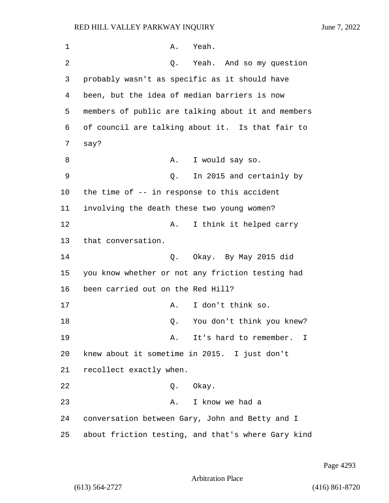1 A. Yeah. 2 Q. Yeah. And so my question 3 probably wasn't as specific as it should have 4 been, but the idea of median barriers is now 5 members of public are talking about it and members 6 of council are talking about it. Is that fair to 7 say? 8 A. I would say so. 9 Q. In 2015 and certainly by 10 the time of -- in response to this accident 11 involving the death these two young women? 12 A. I think it helped carry 13 that conversation. 14 Q. Okay. By May 2015 did 15 you know whether or not any friction testing had 16 been carried out on the Red Hill? 17 A. I don't think so. 18 and 18 Q. You don't think you knew? 19 **A.** It's hard to remember. I 20 knew about it sometime in 2015. I just don't 21 recollect exactly when. 22 Q. Okay. 23 A. I know we had a 24 conversation between Gary, John and Betty and I 25 about friction testing, and that's where Gary kind

Page 4293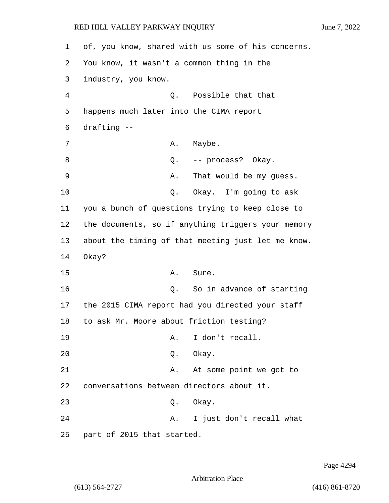| 1  | of, you know, shared with us some of his concerns. |
|----|----------------------------------------------------|
| 2  | You know, it wasn't a common thing in the          |
| 3  | industry, you know.                                |
| 4  | Q. Possible that that                              |
| 5  | happens much later into the CIMA report            |
| 6  | drafting --                                        |
| 7  | A. Maybe.                                          |
| 8  | -- process? Okay.<br>Q.                            |
| 9  | That would be my guess.<br>Α.                      |
| 10 | Q.<br>Okay. I'm going to ask                       |
| 11 | you a bunch of questions trying to keep close to   |
| 12 | the documents, so if anything triggers your memory |
| 13 | about the timing of that meeting just let me know. |
| 14 | Okay?                                              |
| 15 | Sure.<br>Α.                                        |
| 16 | So in advance of starting<br>Q.                    |
| 17 | the 2015 CIMA report had you directed your staff   |
| 18 | to ask Mr. Moore about friction testing?           |
| 19 | I don't recall.<br>Α.                              |
| 20 | Q. Okay.                                           |
| 21 | At some point we got to<br>Α.                      |
| 22 | conversations between directors about it.          |
| 23 | Q. Okay.                                           |
| 24 | I just don't recall what<br>Α.                     |
| 25 | part of 2015 that started.                         |

Page 4294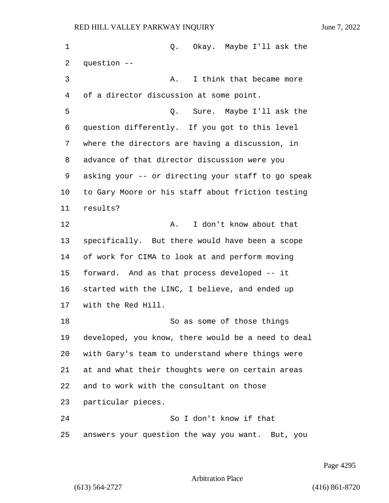1 Q. Okay. Maybe I'll ask the question -- 3 A. I think that became more of a director discussion at some point. 5 Q. Sure. Maybe I'll ask the question differently. If you got to this level where the directors are having a discussion, in advance of that director discussion were you asking your -- or directing your staff to go speak to Gary Moore or his staff about friction testing results? 12 A. I don't know about that specifically. But there would have been a scope of work for CIMA to look at and perform moving forward. And as that process developed -- it started with the LINC, I believe, and ended up with the Red Hill. 18 So as some of those things developed, you know, there would be a need to deal with Gary's team to understand where things were at and what their thoughts were on certain areas and to work with the consultant on those particular pieces. 24 So I don't know if that answers your question the way you want. But, you

Page 4295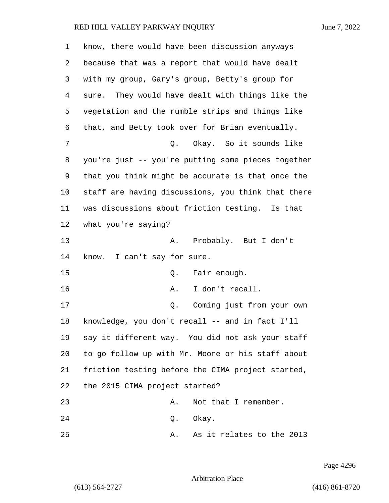| 1              | know, there would have been discussion anyways     |
|----------------|----------------------------------------------------|
| 2              | because that was a report that would have dealt    |
| 3              | with my group, Gary's group, Betty's group for     |
| $\overline{4}$ | sure. They would have dealt with things like the   |
| 5              | vegetation and the rumble strips and things like   |
| 6              | that, and Betty took over for Brian eventually.    |
| 7              | Q. Okay. So it sounds like                         |
| 8              | you're just -- you're putting some pieces together |
| 9              | that you think might be accurate is that once the  |
| 10             | staff are having discussions, you think that there |
| 11             | was discussions about friction testing. Is that    |
| 12             | what you're saying?                                |
| 13             | A. Probably. But I don't                           |
| 14             | know. I can't say for sure.                        |
| 15             | Fair enough.<br>Q.                                 |
| 16             | I don't recall.<br>Α.                              |
| 17             | Coming just from your own<br>Q.                    |
| 18             | knowledge, you don't recall -- and in fact I'll    |
| 19             | say it different way. You did not ask your staff   |
| 20             | to go follow up with Mr. Moore or his staff about  |
| 21             | friction testing before the CIMA project started,  |
| 22             | the 2015 CIMA project started?                     |
| 23             | Not that I remember.<br>Α.                         |
| 24             | Okay.<br>Q.                                        |
| 25             | As it relates to the 2013<br>Α.                    |

Page 4296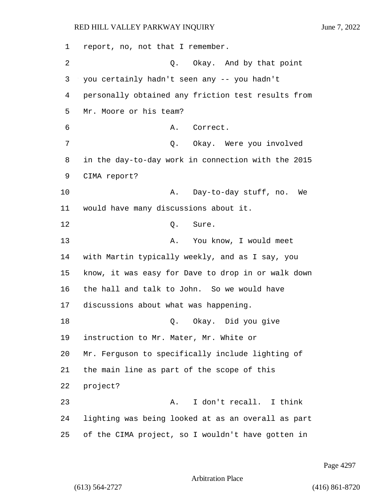report, no, not that I remember. 2 Q. Okay. And by that point you certainly hadn't seen any -- you hadn't personally obtained any friction test results from Mr. Moore or his team? 6 A. Correct. 7 Q. Okay. Were you involved in the day-to-day work in connection with the 2015 CIMA report? 10 A. Day-to-day stuff, no. We would have many discussions about it. 12 0. Sure. 13 A. You know, I would meet with Martin typically weekly, and as I say, you know, it was easy for Dave to drop in or walk down the hall and talk to John. So we would have discussions about what was happening. 18 Q. Okay. Did you give instruction to Mr. Mater, Mr. White or Mr. Ferguson to specifically include lighting of the main line as part of the scope of this 22 project? 23 A. I don't recall. I think lighting was being looked at as an overall as part of the CIMA project, so I wouldn't have gotten in

Page 4297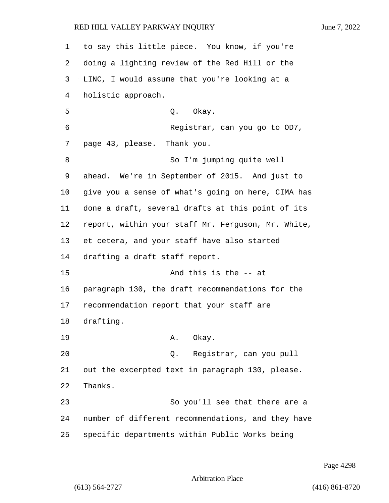to say this little piece. You know, if you're doing a lighting review of the Red Hill or the LINC, I would assume that you're looking at a holistic approach. 5 Q. Okay. 6 Registrar, can you go to OD7, page 43, please. Thank you. 8 So I'm jumping quite well ahead. We're in September of 2015. And just to give you a sense of what's going on here, CIMA has done a draft, several drafts at this point of its report, within your staff Mr. Ferguson, Mr. White, et cetera, and your staff have also started drafting a draft staff report. 15 And this is the -- at paragraph 130, the draft recommendations for the recommendation report that your staff are drafting. 19 A. Okay. 20 Q. Registrar, can you pull out the excerpted text in paragraph 130, please. Thanks. 23 So you'll see that there are a number of different recommendations, and they have specific departments within Public Works being

Page 4298

Arbitration Place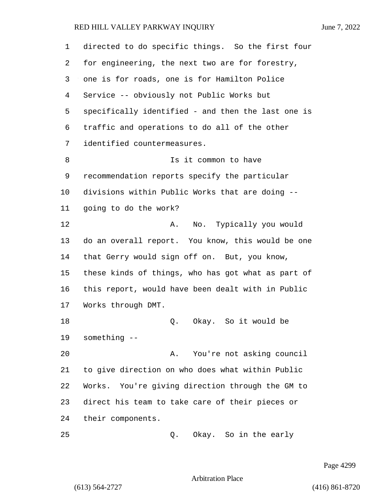directed to do specific things. So the first four for engineering, the next two are for forestry, one is for roads, one is for Hamilton Police Service -- obviously not Public Works but specifically identified - and then the last one is traffic and operations to do all of the other identified countermeasures. 8 Is it common to have recommendation reports specify the particular divisions within Public Works that are doing -- going to do the work? 12 A. No. Typically you would do an overall report. You know, this would be one that Gerry would sign off on. But, you know, these kinds of things, who has got what as part of this report, would have been dealt with in Public Works through DMT. 18 Q. Okay. So it would be something -- 20 A. You're not asking council

 to give direction on who does what within Public Works. You're giving direction through the GM to direct his team to take care of their pieces or their components.

25 Q. Okay. So in the early

Page 4299

Arbitration Place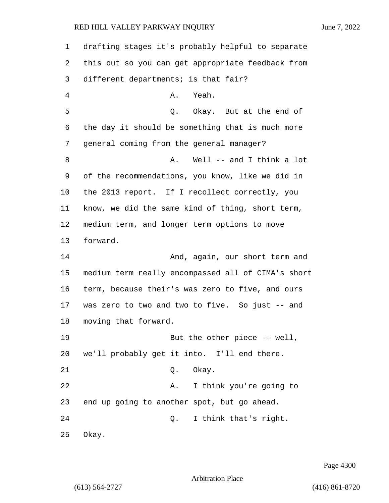| 1  | drafting stages it's probably helpful to separate  |
|----|----------------------------------------------------|
| 2  | this out so you can get appropriate feedback from  |
| 3  | different departments; is that fair?               |
| 4  | Yeah.<br>Α.                                        |
| 5  | Q. Okay. But at the end of                         |
| 6  | the day it should be something that is much more   |
| 7  | general coming from the general manager?           |
| 8  | Well -- and I think a lot<br>Α.                    |
| 9  | of the recommendations, you know, like we did in   |
| 10 | the 2013 report. If I recollect correctly, you     |
| 11 | know, we did the same kind of thing, short term,   |
| 12 | medium term, and longer term options to move       |
| 13 | forward.                                           |
| 14 | And, again, our short term and                     |
| 15 | medium term really encompassed all of CIMA's short |
| 16 | term, because their's was zero to five, and ours   |
| 17 | was zero to two and two to five. So just -- and    |
| 18 | moving that forward.                               |
| 19 | But the other piece -- well,                       |
| 20 | we'll probably get it into. I'll end there.        |
| 21 | Okay.<br>Q.                                        |
| 22 | I think you're going to<br>Α.                      |
| 23 | end up going to another spot, but go ahead.        |
| 24 | I think that's right.<br>Q.                        |
| 25 | Okay.                                              |

Page 4300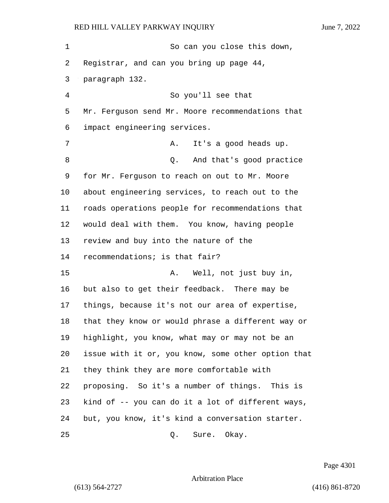| 1  | So can you close this down,                        |
|----|----------------------------------------------------|
| 2  | Registrar, and can you bring up page 44,           |
| 3  | paragraph 132.                                     |
| 4  | So you'll see that                                 |
| 5  | Mr. Ferguson send Mr. Moore recommendations that   |
| 6  | impact engineering services.                       |
| 7  | It's a good heads up.<br>Α.                        |
| 8  | And that's good practice<br>Q.                     |
| 9  | for Mr. Ferguson to reach on out to Mr. Moore      |
| 10 | about engineering services, to reach out to the    |
| 11 | roads operations people for recommendations that   |
| 12 | would deal with them. You know, having people      |
| 13 | review and buy into the nature of the              |
| 14 | recommendations; is that fair?                     |
| 15 | Well, not just buy in,<br>Α.                       |
| 16 | but also to get their feedback. There may be       |
| 17 | things, because it's not our area of expertise,    |
| 18 | that they know or would phrase a different way or  |
| 19 | highlight, you know, what may or may not be an     |
| 20 | issue with it or, you know, some other option that |
| 21 | they think they are more comfortable with          |
| 22 | proposing. So it's a number of things. This is     |
| 23 | kind of -- you can do it a lot of different ways,  |
| 24 | but, you know, it's kind a conversation starter.   |
| 25 | Sure. Okay.<br>Q.                                  |

Page 4301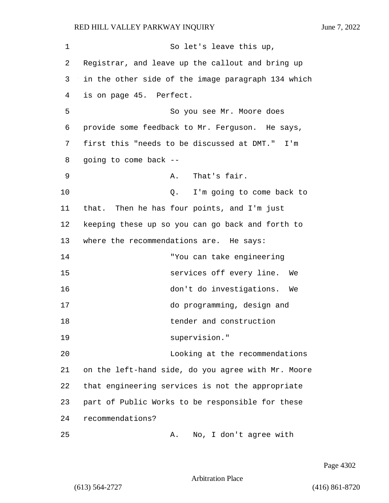1 So let's leave this up, 2 Registrar, and leave up the callout and bring up 3 in the other side of the image paragraph 134 which 4 is on page 45. Perfect. 5 So you see Mr. Moore does 6 provide some feedback to Mr. Ferguson. He says, 7 first this "needs to be discussed at DMT." I'm 8 going to come back -- 9 A. That's fair. 10 **Q.** I'm going to come back to 11 that. Then he has four points, and I'm just 12 keeping these up so you can go back and forth to 13 where the recommendations are. He says: 14 "You can take engineering 15 services off every line. We 16 don't do investigations. We 17 do programming, design and 18 tender and construction 19 supervision." 20 Looking at the recommendations 21 on the left-hand side, do you agree with Mr. Moore 22 that engineering services is not the appropriate 23 part of Public Works to be responsible for these 24 recommendations? 25 A. No, I don't agree with

Page 4302

Arbitration Place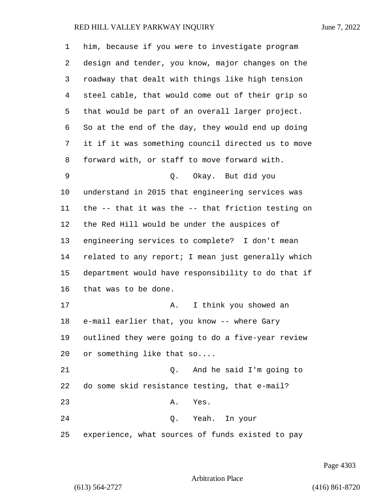| 1  | him, because if you were to investigate program    |
|----|----------------------------------------------------|
| 2  | design and tender, you know, major changes on the  |
| 3  | roadway that dealt with things like high tension   |
| 4  | steel cable, that would come out of their grip so  |
| 5  | that would be part of an overall larger project.   |
| 6  | So at the end of the day, they would end up doing  |
| 7  | it if it was something council directed us to move |
| 8  | forward with, or staff to move forward with.       |
| 9  | Okay. But did you<br>Q.                            |
| 10 | understand in 2015 that engineering services was   |
| 11 | the -- that it was the -- that friction testing on |
| 12 | the Red Hill would be under the auspices of        |
| 13 | engineering services to complete? I don't mean     |
| 14 | related to any report; I mean just generally which |
| 15 | department would have responsibility to do that if |
| 16 | that was to be done.                               |
| 17 | I think you showed an<br>Α.                        |
| 18 | e-mail earlier that, you know -- where Gary        |
| 19 | outlined they were going to do a five-year review  |
| 20 | or something like that so                          |
| 21 | And he said I'm going to<br>О.                     |
| 22 | do some skid resistance testing, that e-mail?      |
| 23 | Yes.<br>Α.                                         |
| 24 | Q. Yeah. In your                                   |
| 25 | experience, what sources of funds existed to pay   |

Page 4303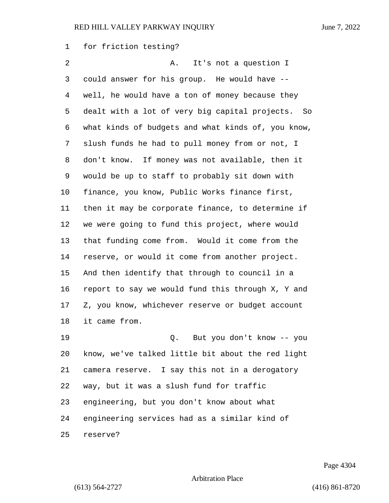for friction testing?

2 A. It's not a question I could answer for his group. He would have -- well, he would have a ton of money because they dealt with a lot of very big capital projects. So what kinds of budgets and what kinds of, you know, slush funds he had to pull money from or not, I don't know. If money was not available, then it would be up to staff to probably sit down with finance, you know, Public Works finance first, then it may be corporate finance, to determine if we were going to fund this project, where would that funding come from. Would it come from the reserve, or would it come from another project. And then identify that through to council in a report to say we would fund this through X, Y and Z, you know, whichever reserve or budget account it came from. 19 Q. But you don't know -- you know, we've talked little bit about the red light camera reserve. I say this not in a derogatory way, but it was a slush fund for traffic engineering, but you don't know about what engineering services had as a similar kind of

reserve?

Page 4304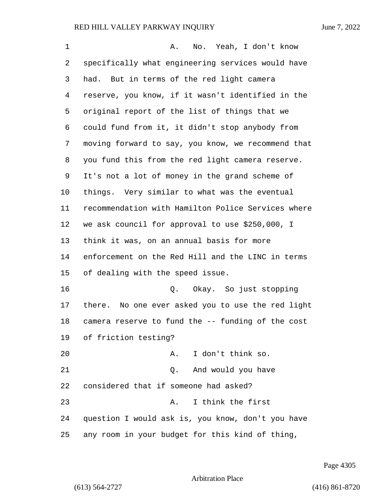| 1  | No. Yeah, I don't know<br>Α.                         |
|----|------------------------------------------------------|
| 2  | specifically what engineering services would have    |
| 3  | had. But in terms of the red light camera            |
| 4  | reserve, you know, if it wasn't identified in the    |
| 5  | original report of the list of things that we        |
| 6  | could fund from it, it didn't stop anybody from      |
| 7  | moving forward to say, you know, we recommend that   |
| 8  | you fund this from the red light camera reserve.     |
| 9  | It's not a lot of money in the grand scheme of       |
| 10 | things. Very similar to what was the eventual        |
| 11 | recommendation with Hamilton Police Services where   |
| 12 | we ask council for approval to use \$250,000, I      |
| 13 | think it was, on an annual basis for more            |
| 14 | enforcement on the Red Hill and the LINC in terms    |
| 15 | of dealing with the speed issue.                     |
| 16 | Q. Okay. So just stopping                            |
| 17 | No one ever asked you to use the red light<br>there. |
| 18 | camera reserve to fund the -- funding of the cost    |
| 19 | of friction testing?                                 |
| 20 | I don't think so.<br>Α.                              |
| 21 | And would you have<br>Q.                             |
| 22 | considered that if someone had asked?                |
| 23 | I think the first<br>Α.                              |
| 24 | question I would ask is, you know, don't you have    |
| 25 | any room in your budget for this kind of thing,      |

Page 4305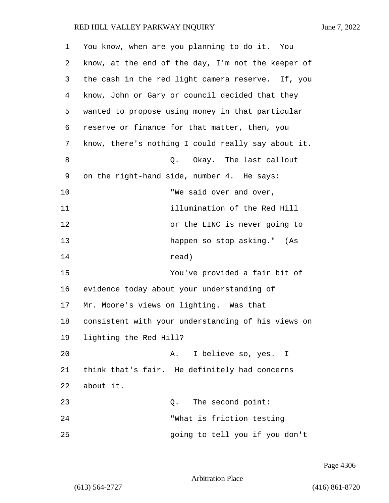| 1  | You know, when are you planning to do it. You      |
|----|----------------------------------------------------|
| 2  | know, at the end of the day, I'm not the keeper of |
| 3  | the cash in the red light camera reserve. If, you  |
| 4  | know, John or Gary or council decided that they    |
| 5  | wanted to propose using money in that particular   |
| 6  | reserve or finance for that matter, then, you      |
| 7  | know, there's nothing I could really say about it. |
| 8  | Okay. The last callout<br>Q.                       |
| 9  | on the right-hand side, number 4. He says:         |
| 10 | "We said over and over,                            |
| 11 | illumination of the Red Hill                       |
| 12 | or the LINC is never going to                      |
| 13 | happen so stop asking." (As                        |
| 14 | read)                                              |
| 15 | You've provided a fair bit of                      |
| 16 | evidence today about your understanding of         |
| 17 | Mr. Moore's views on lighting. Was that            |
| 18 | consistent with your understanding of his views on |
| 19 | lighting the Red Hill?                             |
| 20 | I believe so, yes. I<br>Α.                         |
| 21 | think that's fair. He definitely had concerns      |
| 22 | about it.                                          |
| 23 | The second point:<br>Q.                            |
| 24 | "What is friction testing                          |
| 25 | going to tell you if you don't                     |

Page 4306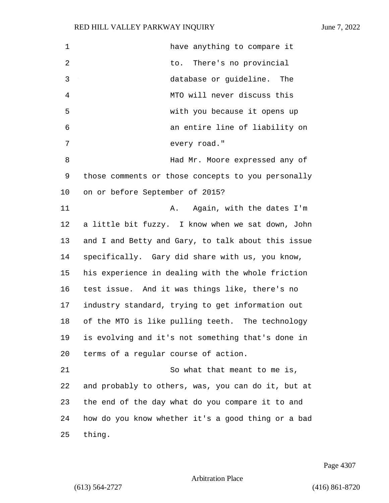| 1  | have anything to compare it                        |
|----|----------------------------------------------------|
| 2  | to. There's no provincial                          |
| 3  | database or guideline. The                         |
| 4  | MTO will never discuss this                        |
| 5  | with you because it opens up                       |
| 6  | an entire line of liability on                     |
| 7  | every road."                                       |
| 8  | Had Mr. Moore expressed any of                     |
| 9  | those comments or those concepts to you personally |
| 10 | on or before September of 2015?                    |
| 11 | Again, with the dates I'm<br>Α.                    |
| 12 | a little bit fuzzy. I know when we sat down, John  |
| 13 | and I and Betty and Gary, to talk about this issue |
| 14 | specifically. Gary did share with us, you know,    |
| 15 | his experience in dealing with the whole friction  |
| 16 | test issue. And it was things like, there's no     |
| 17 | industry standard, trying to get information out   |
| 18 | of the MTO is like pulling teeth. The technology   |
| 19 | is evolving and it's not something that's done in  |
| 20 | terms of a regular course of action.               |
| 21 | So what that meant to me is,                       |
| 22 | and probably to others, was, you can do it, but at |
| 23 | the end of the day what do you compare it to and   |
| 24 | how do you know whether it's a good thing or a bad |
| 25 | thing.                                             |

Page 4307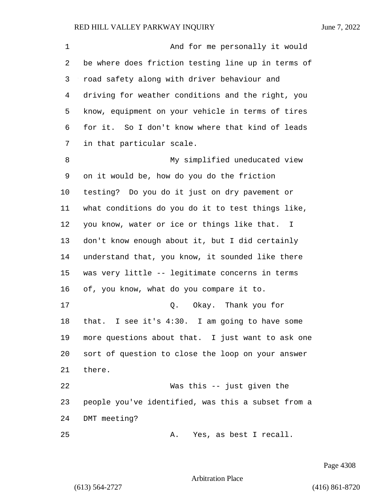1 And for me personally it would be where does friction testing line up in terms of road safety along with driver behaviour and driving for weather conditions and the right, you know, equipment on your vehicle in terms of tires for it. So I don't know where that kind of leads in that particular scale. 8 My simplified uneducated view on it would be, how do you do the friction testing? Do you do it just on dry pavement or what conditions do you do it to test things like, you know, water or ice or things like that. I don't know enough about it, but I did certainly understand that, you know, it sounded like there was very little -- legitimate concerns in terms of, you know, what do you compare it to. 17 Q. Okay. Thank you for that. I see it's 4:30. I am going to have some more questions about that. I just want to ask one sort of question to close the loop on your answer there. 22 Was this -- just given the people you've identified, was this a subset from a DMT meeting? 25 A. Yes, as best I recall.

Page 4308

Arbitration Place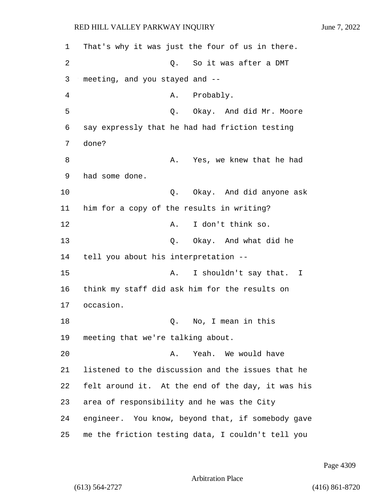1 That's why it was just the four of us in there. 2 C. So it was after a DMT 3 meeting, and you stayed and -- 4 A. Probably. 5 Q. Okay. And did Mr. Moore 6 say expressly that he had had friction testing 7 done? 8 A. Yes, we knew that he had 9 had some done. 10 Q. Okay. And did anyone ask 11 him for a copy of the results in writing? 12 A. I don't think so. 13 Q. Okay. And what did he 14 tell you about his interpretation -- 15 A. I shouldn't say that. I 16 think my staff did ask him for the results on 17 occasion. 18 Q. No, I mean in this 19 meeting that we're talking about. 20 A. Yeah. We would have 21 listened to the discussion and the issues that he 22 felt around it. At the end of the day, it was his 23 area of responsibility and he was the City 24 engineer. You know, beyond that, if somebody gave 25 me the friction testing data, I couldn't tell you

Page 4309

Arbitration Place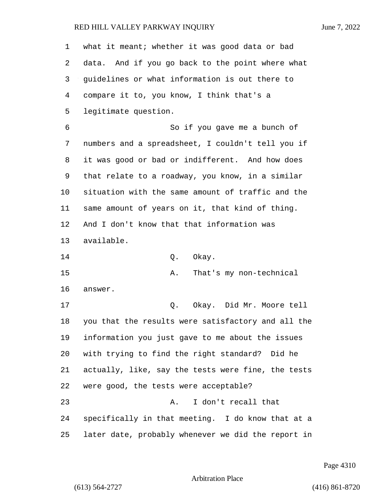| 1        | what it meant; whether it was good data or bad     |
|----------|----------------------------------------------------|
| 2        | data. And if you go back to the point where what   |
| 3        | guidelines or what information is out there to     |
| 4        | compare it to, you know, I think that's a          |
| 5        | legitimate question.                               |
| 6        | So if you gave me a bunch of                       |
| 7        | numbers and a spreadsheet, I couldn't tell you if  |
| 8        | it was good or bad or indifferent. And how does    |
| 9        | that relate to a roadway, you know, in a similar   |
| 10       | situation with the same amount of traffic and the  |
| 11       | same amount of years on it, that kind of thing.    |
| 12       | And I don't know that that information was         |
|          | available.                                         |
|          |                                                    |
| 13<br>14 | Okay.<br>Q.                                        |
| 15       | That's my non-technical<br>Α.                      |
| 16       | answer.                                            |
| 17       | Okay. Did Mr. Moore tell<br>Q.                     |
| 18       | you that the results were satisfactory and all the |
| 19       | information you just gave to me about the issues   |
| 20       | with trying to find the right standard? Did he     |
| 21       | actually, like, say the tests were fine, the tests |
| 22       | were good, the tests were acceptable?              |
| 23       | I don't recall that<br>Α.                          |
| 24       | specifically in that meeting. I do know that at a  |

Page 4310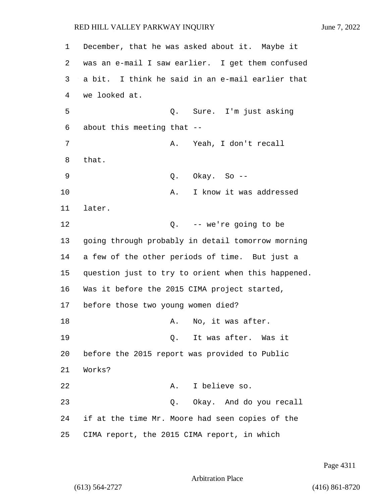1 December, that he was asked about it. Maybe it 2 was an e-mail I saw earlier. I get them confused 3 a bit. I think he said in an e-mail earlier that 4 we looked at. 5 Q. Sure. I'm just asking 6 about this meeting that -- 7 A. Yeah, I don't recall 8 that. 9 Q. Okay. So -- 10 A. I know it was addressed 11 later. 12 Q. -- we're going to be 13 going through probably in detail tomorrow morning 14 a few of the other periods of time. But just a 15 question just to try to orient when this happened. 16 Was it before the 2015 CIMA project started, 17 before those two young women died? 18 A. No, it was after. 19 Q. It was after. Was it 20 before the 2015 report was provided to Public 21 Works? 22 A. I believe so. 23 Q. Okay. And do you recall 24 if at the time Mr. Moore had seen copies of the 25 CIMA report, the 2015 CIMA report, in which

Page 4311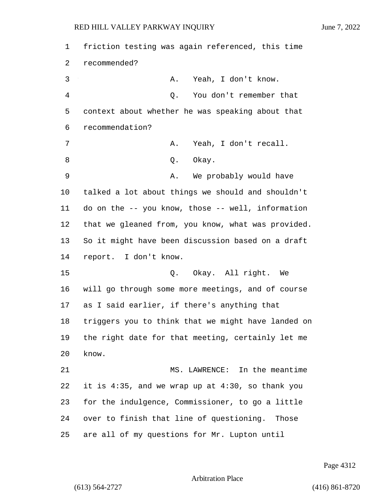| 1              | friction testing was again referenced, this time       |
|----------------|--------------------------------------------------------|
| 2              | recommended?                                           |
| 3              | Yeah, I don't know.<br>Α.                              |
| $\overline{4}$ | You don't remember that<br>Q.                          |
| 5              | context about whether he was speaking about that       |
| 6              | recommendation?                                        |
| 7              | Yeah, I don't recall.<br>Α.                            |
| 8              | Okay.<br>Q.                                            |
| 9              | We probably would have<br>Α.                           |
| 10             | talked a lot about things we should and shouldn't      |
| 11             | do on the -- you know, those -- well, information      |
| 12             | that we gleaned from, you know, what was provided.     |
| 13             | So it might have been discussion based on a draft      |
| 14             | report. I don't know.                                  |
| 15             | Q. Okay. All right. We                                 |
| 16             | will go through some more meetings, and of course      |
| 17             | as I said earlier, if there's anything that            |
| 18             | triggers you to think that we might have landed on     |
| 19             | the right date for that meeting, certainly let me      |
| 20             | know.                                                  |
| 21             | MS. LAWRENCE: In the meantime                          |
| 22             | it is $4:35$ , and we wrap up at $4:30$ , so thank you |
| 23             | for the indulgence, Commissioner, to go a little       |
| 24             | over to finish that line of questioning. Those         |
| 25             | are all of my questions for Mr. Lupton until           |

Page 4312